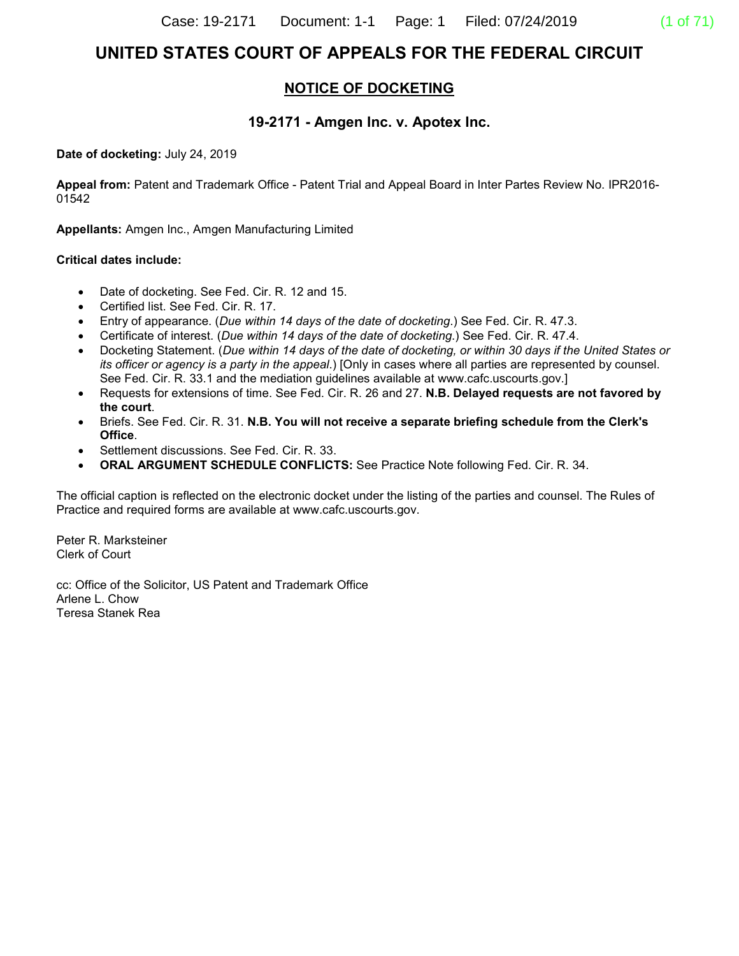# **UNITED STATES COURT OF APPEALS FOR THE FEDERAL CIRCUIT**

## **NOTICE OF DOCKETING**

#### **19-2171 - Amgen Inc. v. Apotex Inc.**

**Date of docketing:** July 24, 2019

**Appeal from:** Patent and Trademark Office - Patent Trial and Appeal Board in Inter Partes Review No. IPR2016- 01542

**Appellants:** Amgen Inc., Amgen Manufacturing Limited

#### **Critical dates include:**

- Date of docketing. See Fed. Cir. R. 12 and 15.
- Certified list. See Fed. Cir. R. 17.
- Entry of appearance. (*Due within 14 days of the date of docketing*.) See Fed. Cir. R. 47.3.
- Certificate of interest. (*Due within 14 days of the date of docketing*.) See Fed. Cir. R. 47.4.
- Docketing Statement. (*Due within 14 days of the date of docketing, or within 30 days if the United States or its officer or agency is a party in the appeal*.) [Only in cases where all parties are represented by counsel. See Fed. Cir. R. 33.1 and the mediation guidelines available at www.cafc.uscourts.gov.]
- Requests for extensions of time. See Fed. Cir. R. 26 and 27. **N.B. Delayed requests are not favored by the court**.
- Briefs. See Fed. Cir. R. 31. **N.B. You will not receive a separate briefing schedule from the Clerk's Office**.
- Settlement discussions. See Fed. Cir. R. 33.
- **ORAL ARGUMENT SCHEDULE CONFLICTS:** See Practice Note following Fed. Cir. R. 34.

The official caption is reflected on the electronic docket under the listing of the parties and counsel. The Rules of Practice and required forms are available at www.cafc.uscourts.gov.

Peter R. Marksteiner Clerk of Court

cc: Office of the Solicitor, US Patent and Trademark Office Arlene L. Chow Teresa Stanek Rea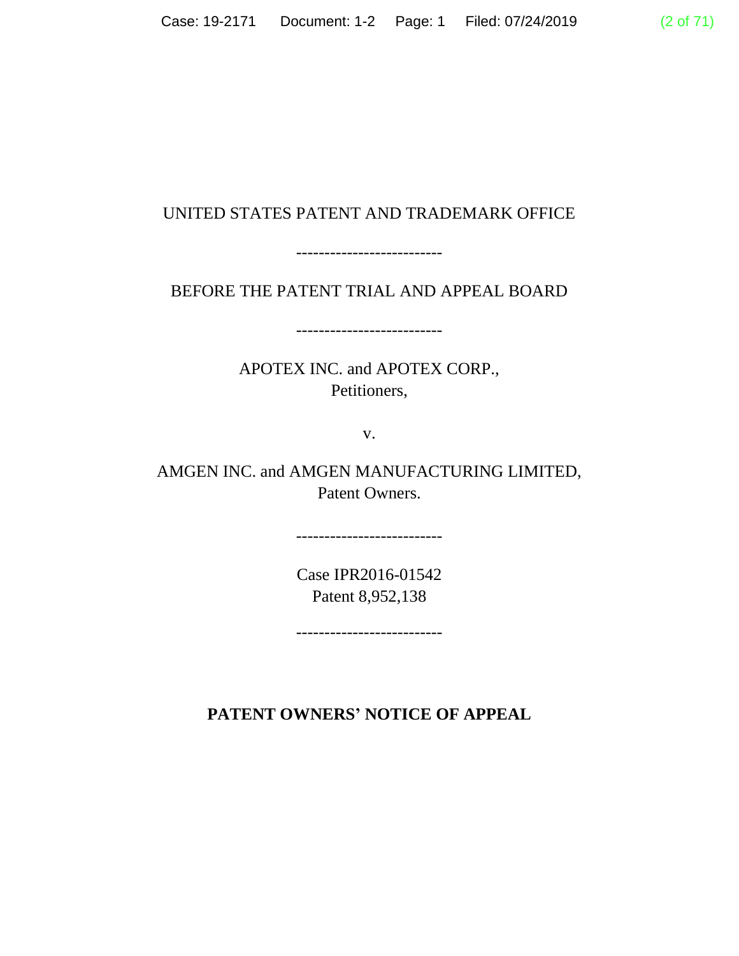# UNITED STATES PATENT AND TRADEMARK OFFICE

--------------------------

BEFORE THE PATENT TRIAL AND APPEAL BOARD

--------------------------

APOTEX INC. and APOTEX CORP., Petitioners,

v.

AMGEN INC. and AMGEN MANUFACTURING LIMITED, Patent Owners.

> Case IPR2016-01542 Patent 8,952,138

--------------------------

--------------------------

**PATENT OWNERS' NOTICE OF APPEAL**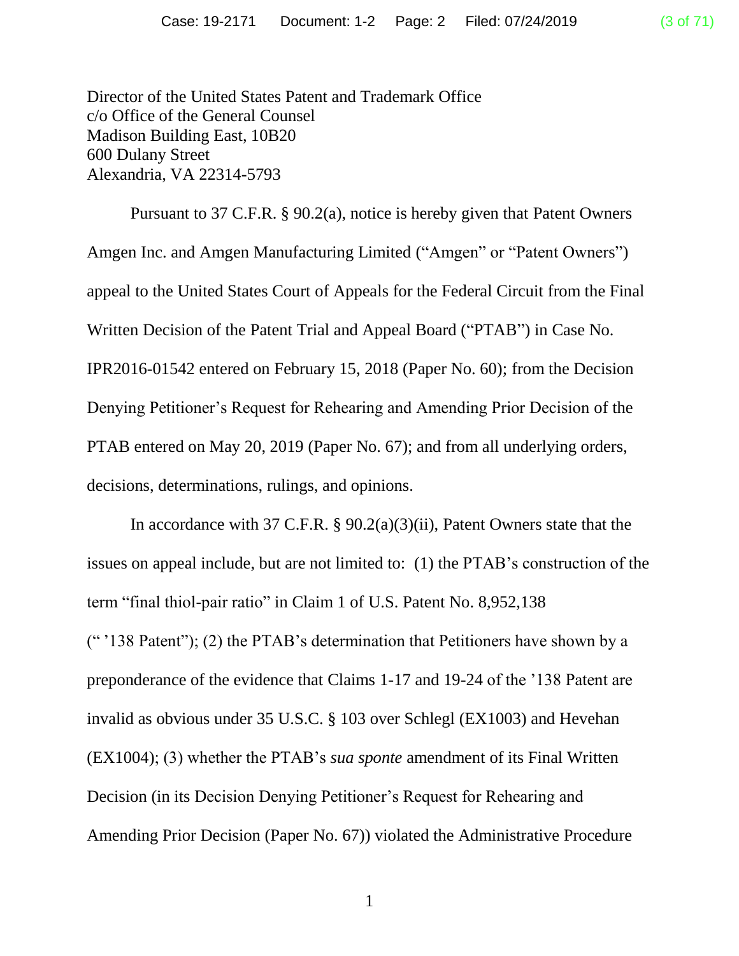Director of the United States Patent and Trademark Office c/o Office of the General Counsel Madison Building East, 10B20 600 Dulany Street Alexandria, VA 22314-5793

Pursuant to 37 C.F.R. § 90.2(a), notice is hereby given that Patent Owners Amgen Inc. and Amgen Manufacturing Limited ("Amgen" or "Patent Owners") appeal to the United States Court of Appeals for the Federal Circuit from the Final Written Decision of the Patent Trial and Appeal Board ("PTAB") in Case No. IPR2016-01542 entered on February 15, 2018 (Paper No. 60); from the Decision Denying Petitioner's Request for Rehearing and Amending Prior Decision of the PTAB entered on May 20, 2019 (Paper No. 67); and from all underlying orders, decisions, determinations, rulings, and opinions.

In accordance with 37 C.F.R. § 90.2(a)(3)(ii), Patent Owners state that the issues on appeal include, but are not limited to: (1) the PTAB's construction of the term "final thiol-pair ratio" in Claim 1 of U.S. Patent No. 8,952,138 (" '138 Patent"); (2) the PTAB's determination that Petitioners have shown by a preponderance of the evidence that Claims 1-17 and 19-24 of the '138 Patent are invalid as obvious under 35 U.S.C. § 103 over Schlegl (EX1003) and Hevehan (EX1004); (3) whether the PTAB's *sua sponte* amendment of its Final Written Decision (in its Decision Denying Petitioner's Request for Rehearing and Amending Prior Decision (Paper No. 67)) violated the Administrative Procedure

1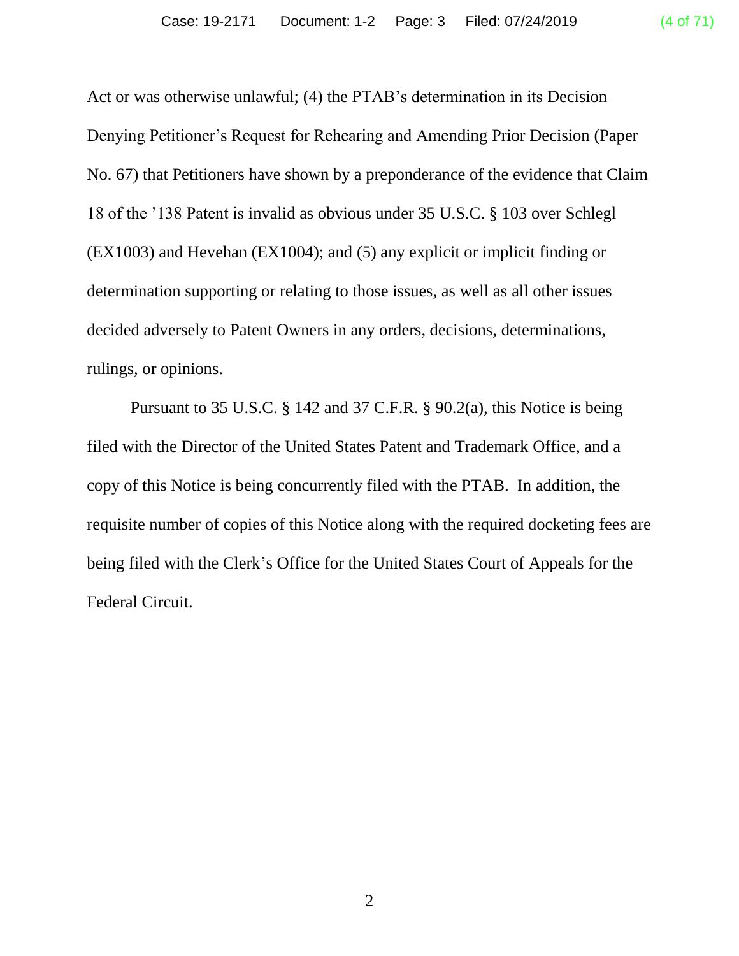Act or was otherwise unlawful; (4) the PTAB's determination in its Decision Denying Petitioner's Request for Rehearing and Amending Prior Decision (Paper No. 67) that Petitioners have shown by a preponderance of the evidence that Claim 18 of the '138 Patent is invalid as obvious under 35 U.S.C. § 103 over Schlegl (EX1003) and Hevehan (EX1004); and (5) any explicit or implicit finding or determination supporting or relating to those issues, as well as all other issues decided adversely to Patent Owners in any orders, decisions, determinations,

rulings, or opinions.

Pursuant to 35 U.S.C. § 142 and 37 C.F.R. § 90.2(a), this Notice is being filed with the Director of the United States Patent and Trademark Office, and a copy of this Notice is being concurrently filed with the PTAB. In addition, the requisite number of copies of this Notice along with the required docketing fees are being filed with the Clerk's Office for the United States Court of Appeals for the Federal Circuit.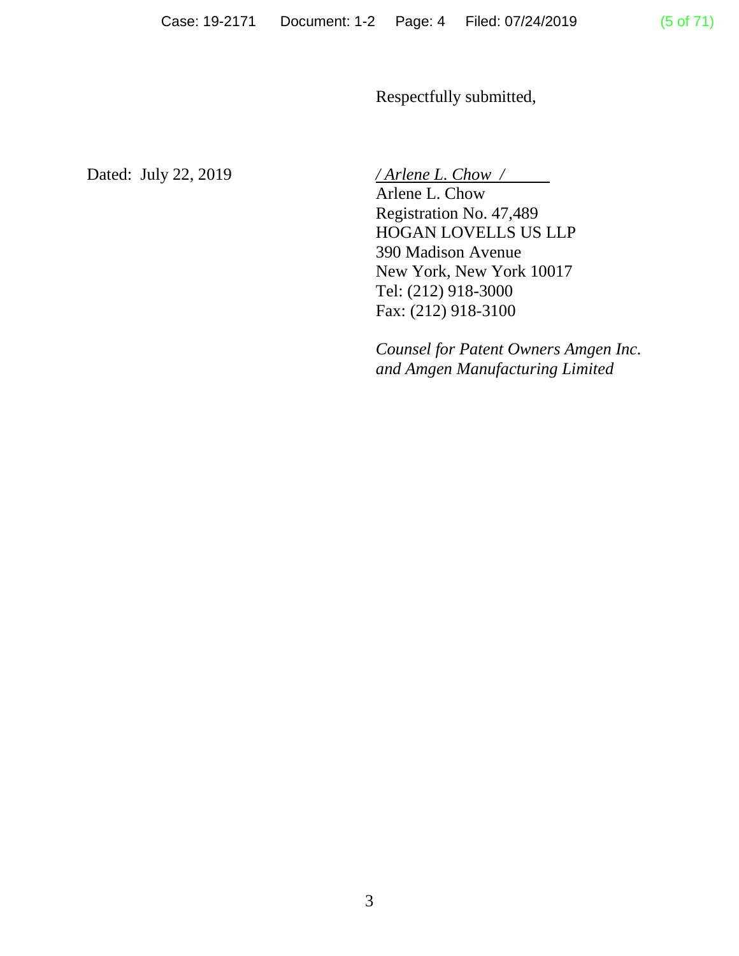Respectfully submitted,

Dated: July 22, 2019 */ Arlene L. Chow /*

Arlene L. Chow Registration No. 47,489 HOGAN LOVELLS US LLP 390 Madison Avenue New York, New York 10017 Tel: (212) 918-3000 Fax: (212) 918-3100

*Counsel for Patent Owners Amgen Inc. and Amgen Manufacturing Limited*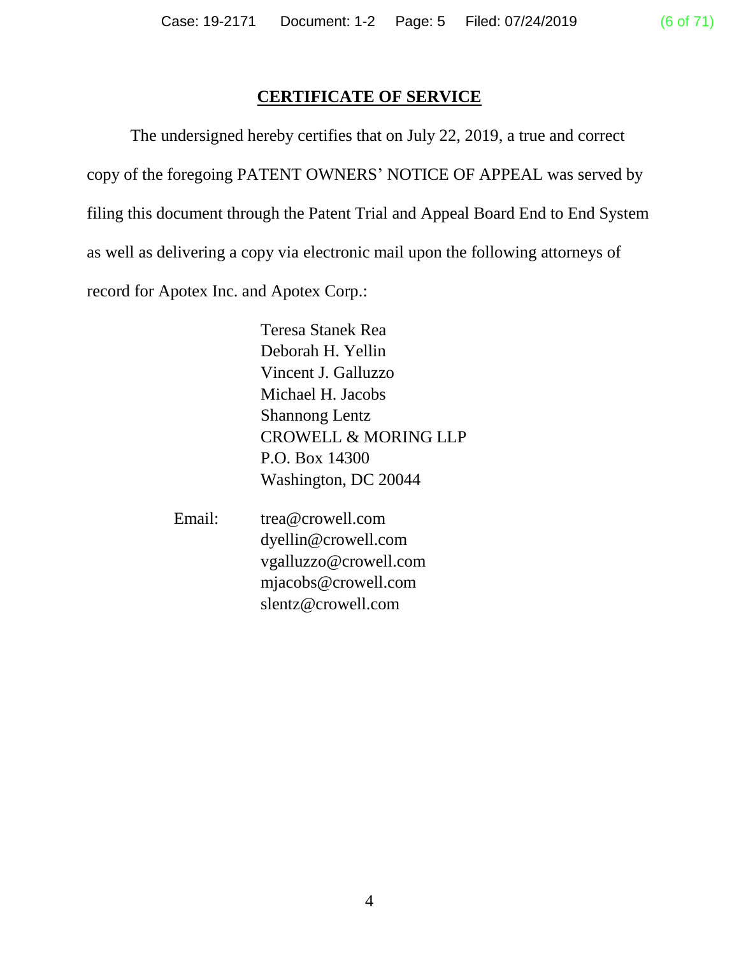## **CERTIFICATE OF SERVICE**

The undersigned hereby certifies that on July 22, 2019, a true and correct copy of the foregoing PATENT OWNERS' NOTICE OF APPEAL was served by filing this document through the Patent Trial and Appeal Board End to End System as well as delivering a copy via electronic mail upon the following attorneys of record for Apotex Inc. and Apotex Corp.:

> Teresa Stanek Rea Deborah H. Yellin Vincent J. Galluzzo Michael H. Jacobs Shannong Lentz CROWELL & MORING LLP P.O. Box 14300 Washington, DC 20044

Email: trea@crowell.com dyellin@crowell.com vgalluzzo@crowell.com mjacobs@crowell.com slentz@crowell.com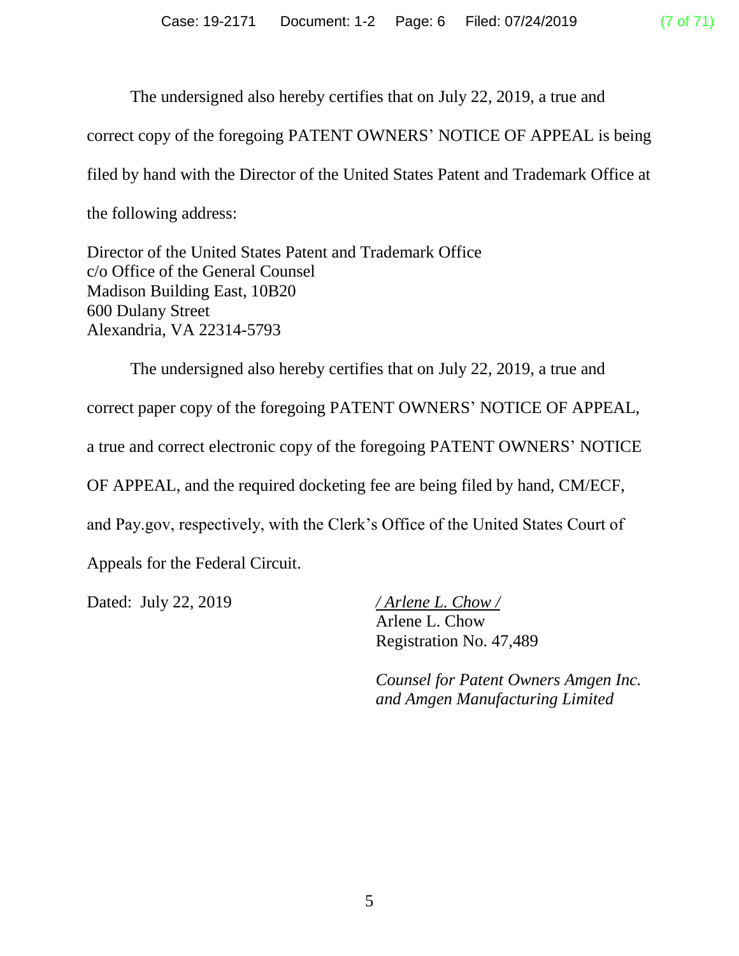The undersigned also hereby certifies that on July 22, 2019, a true and correct copy of the foregoing PATENT OWNERS' NOTICE OF APPEAL is being filed by hand with the Director of the United States Patent and Trademark Office at the following address:

Director of the United States Patent and Trademark Office c/o Office of the General Counsel Madison Building East, 10B20 600 Dulany Street Alexandria, VA 22314-5793

The undersigned also hereby certifies that on July 22, 2019, a true and correct paper copy of the foregoing PATENT OWNERS' NOTICE OF APPEAL, a true and correct electronic copy of the foregoing PATENT OWNERS' NOTICE OF APPEAL, and the required docketing fee are being filed by hand, CM/ECF, and Pay.gov, respectively, with the Clerk's Office of the United States Court of Appeals for the Federal Circuit. Dated: July 22, 2019 */ Arlene L. Chow /*

Arlene L. Chow Registration No. 47,489

*Counsel for Patent Owners Amgen Inc. and Amgen Manufacturing Limited*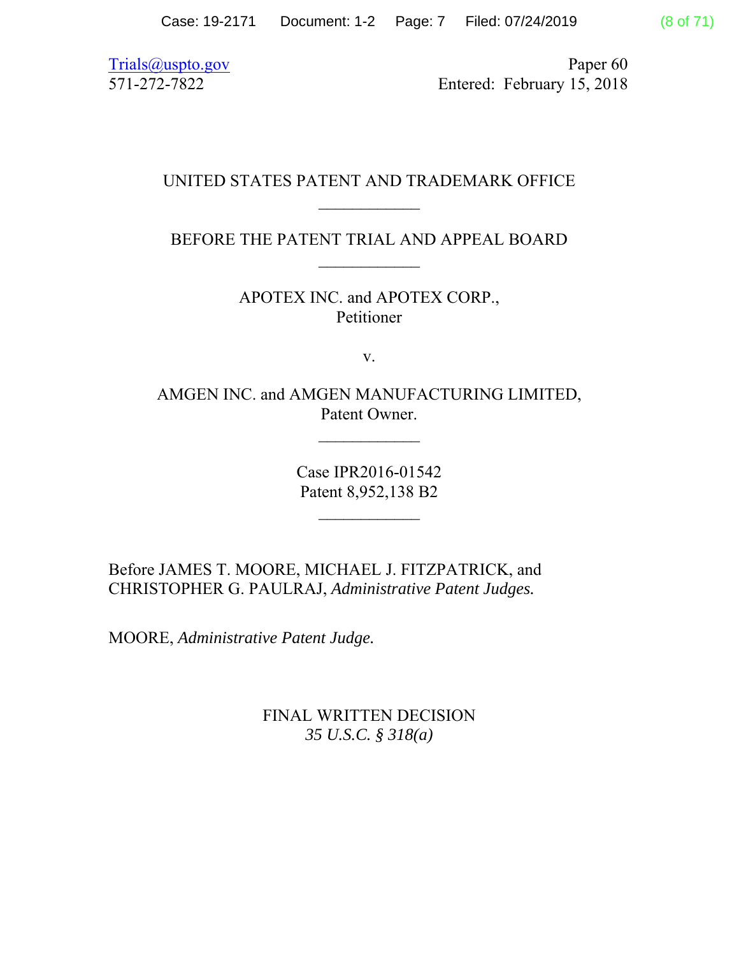Trials@uspto.gov Paper 60 571-272-7822 Entered: February 15, 2018

## UNITED STATES PATENT AND TRADEMARK OFFICE  $\frac{1}{2}$

BEFORE THE PATENT TRIAL AND APPEAL BOARD

APOTEX INC. and APOTEX CORP., Petitioner

v.

AMGEN INC. and AMGEN MANUFACTURING LIMITED, Patent Owner.

 $\frac{1}{2}$ 

Case IPR2016-01542 Patent 8,952,138 B2

 $\frac{1}{2}$ 

Before JAMES T. MOORE, MICHAEL J. FITZPATRICK, and CHRISTOPHER G. PAULRAJ, *Administrative Patent Judges.*

MOORE, *Administrative Patent Judge.*

FINAL WRITTEN DECISION *35 U.S.C. § 318(a)*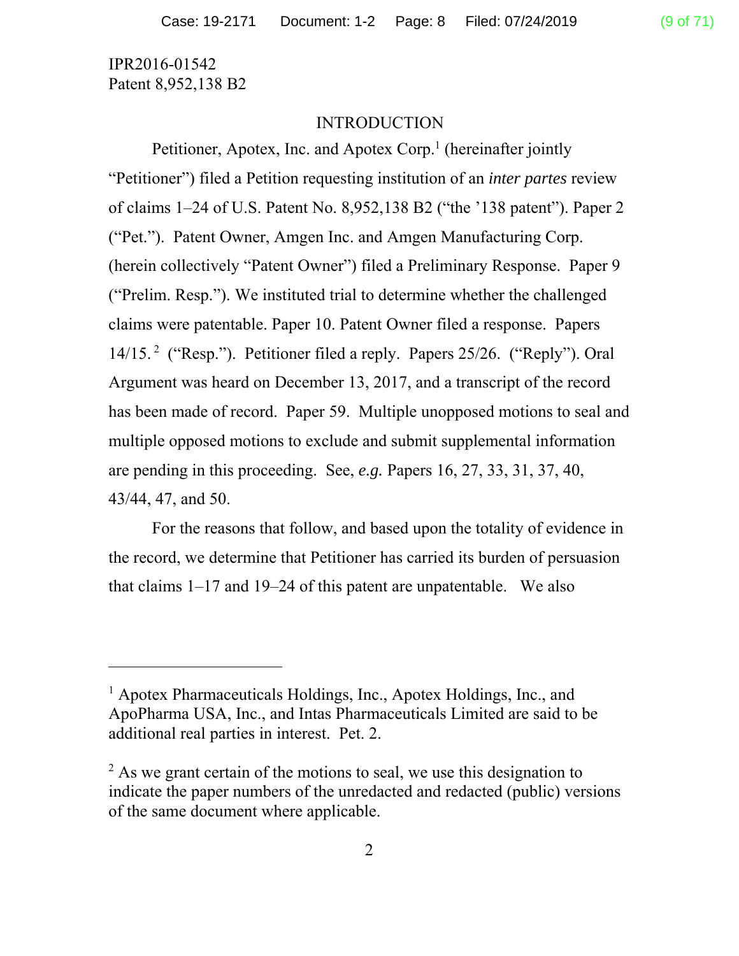-

#### INTRODUCTION

Petitioner, Apotex, Inc. and Apotex Corp.<sup>1</sup> (hereinafter jointly "Petitioner") filed a Petition requesting institution of an *inter partes* review of claims 1–24 of U.S. Patent No. 8,952,138 B2 ("the '138 patent"). Paper 2 ("Pet."). Patent Owner, Amgen Inc. and Amgen Manufacturing Corp. (herein collectively "Patent Owner") filed a Preliminary Response. Paper 9 ("Prelim. Resp."). We instituted trial to determine whether the challenged claims were patentable. Paper 10. Patent Owner filed a response. Papers 14/15. 2 ("Resp."). Petitioner filed a reply. Papers 25/26. ("Reply"). Oral Argument was heard on December 13, 2017, and a transcript of the record has been made of record. Paper 59. Multiple unopposed motions to seal and multiple opposed motions to exclude and submit supplemental information are pending in this proceeding. See, *e.g.* Papers 16, 27, 33, 31, 37, 40, 43/44, 47, and 50.

For the reasons that follow, and based upon the totality of evidence in the record, we determine that Petitioner has carried its burden of persuasion that claims 1–17 and 19–24 of this patent are unpatentable. We also

<sup>&</sup>lt;sup>1</sup> Apotex Pharmaceuticals Holdings, Inc., Apotex Holdings, Inc., and ApoPharma USA, Inc., and Intas Pharmaceuticals Limited are said to be additional real parties in interest. Pet. 2.

 $2$  As we grant certain of the motions to seal, we use this designation to indicate the paper numbers of the unredacted and redacted (public) versions of the same document where applicable.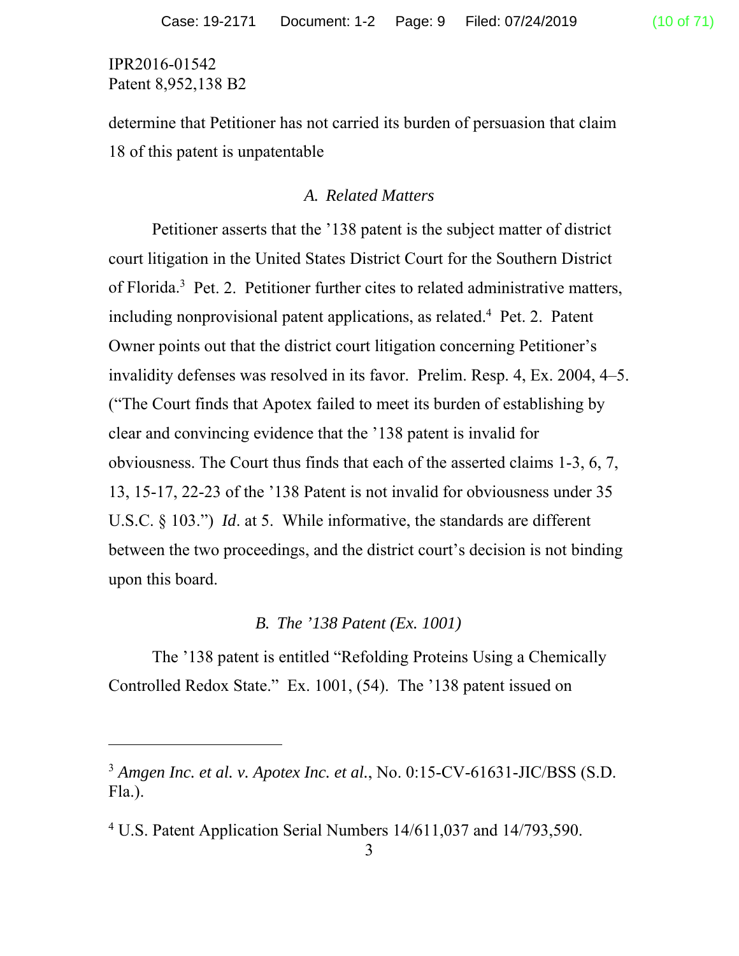l

determine that Petitioner has not carried its burden of persuasion that claim 18 of this patent is unpatentable

#### *A. Related Matters*

Petitioner asserts that the '138 patent is the subject matter of district court litigation in the United States District Court for the Southern District of Florida.<sup>3</sup> Pet. 2. Petitioner further cites to related administrative matters, including nonprovisional patent applications, as related.<sup>4</sup> Pet. 2. Patent Owner points out that the district court litigation concerning Petitioner's invalidity defenses was resolved in its favor. Prelim. Resp. 4, Ex. 2004, 4–5. ("The Court finds that Apotex failed to meet its burden of establishing by clear and convincing evidence that the '138 patent is invalid for obviousness. The Court thus finds that each of the asserted claims 1-3, 6, 7, 13, 15-17, 22-23 of the '138 Patent is not invalid for obviousness under 35 U.S.C. § 103.") *Id*. at 5.While informative, the standards are different between the two proceedings, and the district court's decision is not binding upon this board.

## *B. The '138 Patent (Ex. 1001)*

The '138 patent is entitled "Refolding Proteins Using a Chemically Controlled Redox State." Ex. 1001, (54). The '138 patent issued on

<sup>3</sup> *Amgen Inc. et al. v. Apotex Inc. et al.*, No. 0:15-CV-61631-JIC/BSS (S.D. Fla.).

<sup>&</sup>lt;sup>4</sup> U.S. Patent Application Serial Numbers 14/611,037 and 14/793,590.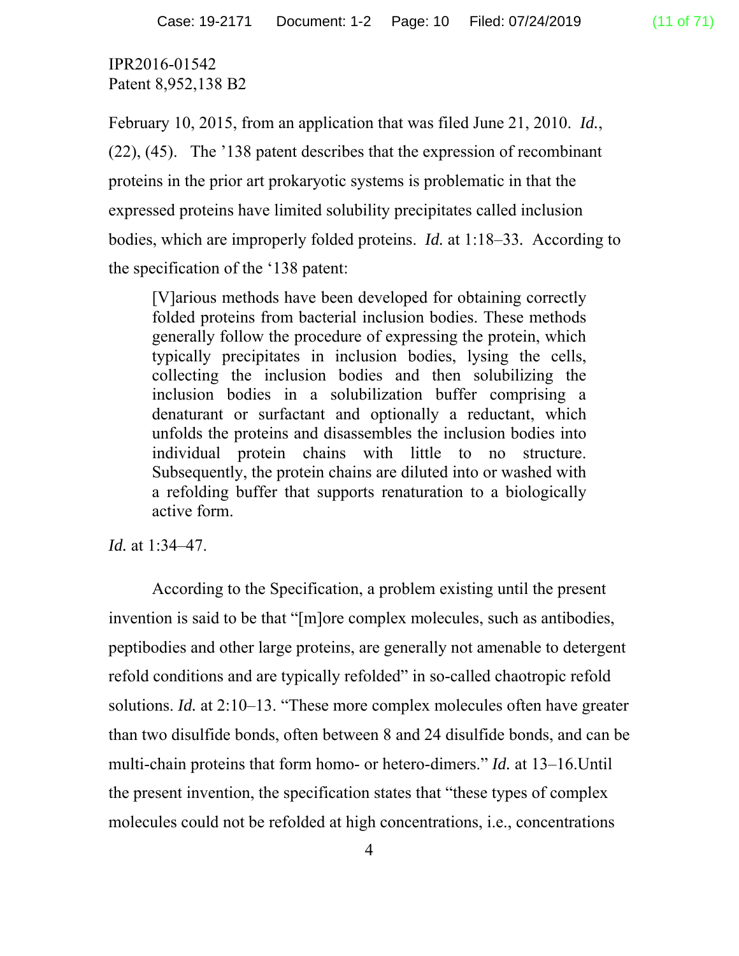February 10, 2015, from an application that was filed June 21, 2010. *Id.*, (22), (45). The '138 patent describes that the expression of recombinant proteins in the prior art prokaryotic systems is problematic in that the expressed proteins have limited solubility precipitates called inclusion bodies, which are improperly folded proteins. *Id.* at 1:18–33*.* According to the specification of the '138 patent:

[V]arious methods have been developed for obtaining correctly folded proteins from bacterial inclusion bodies. These methods generally follow the procedure of expressing the protein, which typically precipitates in inclusion bodies, lysing the cells, collecting the inclusion bodies and then solubilizing the inclusion bodies in a solubilization buffer comprising a denaturant or surfactant and optionally a reductant, which unfolds the proteins and disassembles the inclusion bodies into individual protein chains with little to no structure. Subsequently, the protein chains are diluted into or washed with a refolding buffer that supports renaturation to a biologically active form.

*Id.* at 1:34–47.

According to the Specification, a problem existing until the present invention is said to be that "[m]ore complex molecules, such as antibodies, peptibodies and other large proteins, are generally not amenable to detergent refold conditions and are typically refolded" in so-called chaotropic refold solutions. *Id.* at 2:10–13. "These more complex molecules often have greater than two disulfide bonds, often between 8 and 24 disulfide bonds, and can be multi-chain proteins that form homo- or hetero-dimers." *Id.* at 13–16.Until the present invention, the specification states that "these types of complex molecules could not be refolded at high concentrations, i.e., concentrations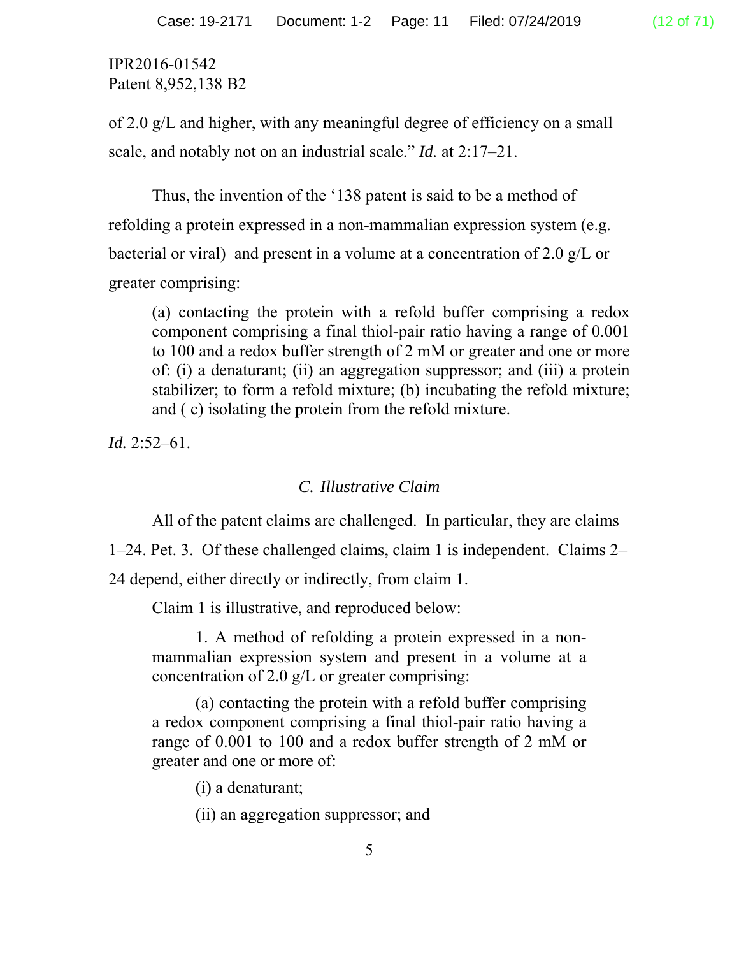of 2.0 g/L and higher, with any meaningful degree of efficiency on a small scale, and notably not on an industrial scale." *Id.* at 2:17–21.

Thus, the invention of the '138 patent is said to be a method of refolding a protein expressed in a non-mammalian expression system (e.g. bacterial or viral) and present in a volume at a concentration of 2.0 g/L or greater comprising:

(a) contacting the protein with a refold buffer comprising a redox component comprising a final thiol-pair ratio having a range of 0.001 to 100 and a redox buffer strength of 2 mM or greater and one or more of: (i) a denaturant; (ii) an aggregation suppressor; and (iii) a protein stabilizer; to form a refold mixture; (b) incubating the refold mixture; and ( c) isolating the protein from the refold mixture.

*Id.* 2:52–61.

#### *C. Illustrative Claim*

All of the patent claims are challenged. In particular, they are claims

1–24. Pet. 3. Of these challenged claims, claim 1 is independent. Claims 2–

24 depend, either directly or indirectly, from claim 1.

Claim 1 is illustrative, and reproduced below:

1. A method of refolding a protein expressed in a nonmammalian expression system and present in a volume at a concentration of 2.0 g/L or greater comprising:

(a) contacting the protein with a refold buffer comprising a redox component comprising a final thiol-pair ratio having a range of 0.001 to 100 and a redox buffer strength of 2 mM or greater and one or more of:

(i) a denaturant;

(ii) an aggregation suppressor; and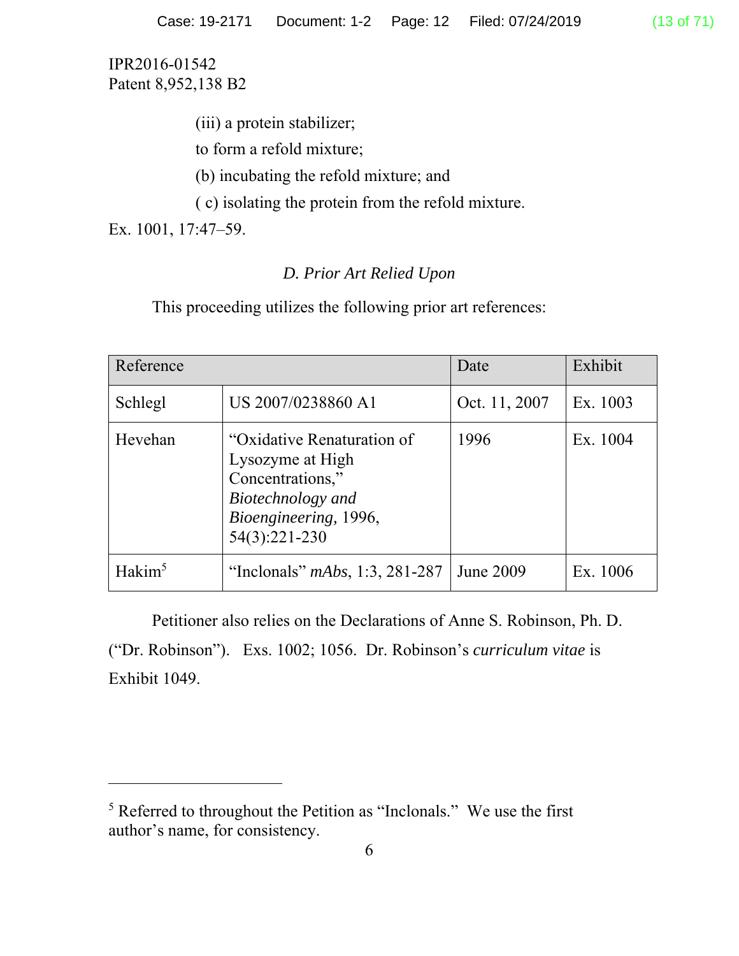(iii) a protein stabilizer;

to form a refold mixture;

(b) incubating the refold mixture; and

( c) isolating the protein from the refold mixture.

Ex. 1001, 17:47–59.

 $\overline{a}$ 

# *D. Prior Art Relied Upon*

This proceeding utilizes the following prior art references:

| Reference          |                                                                                                                                   | Date          | Exhibit  |
|--------------------|-----------------------------------------------------------------------------------------------------------------------------------|---------------|----------|
| Schlegl            | US 2007/0238860 A1                                                                                                                | Oct. 11, 2007 | Ex. 1003 |
| Hevehan            | "Oxidative Renaturation of<br>Lysozyme at High<br>Concentrations,"<br>Biotechnology and<br>Bioengineering, 1996,<br>54(3):221-230 | 1996          | Ex. 1004 |
| Hakim <sup>5</sup> | "Inclonals" $mAbs$ , 1:3, 281-287                                                                                                 | June 2009     | Ex. 1006 |

Petitioner also relies on the Declarations of Anne S. Robinson, Ph. D. ("Dr. Robinson"). Exs. 1002; 1056. Dr. Robinson's *curriculum vitae* is Exhibit 1049.

<sup>&</sup>lt;sup>5</sup> Referred to throughout the Petition as "Inclonals." We use the first author's name, for consistency.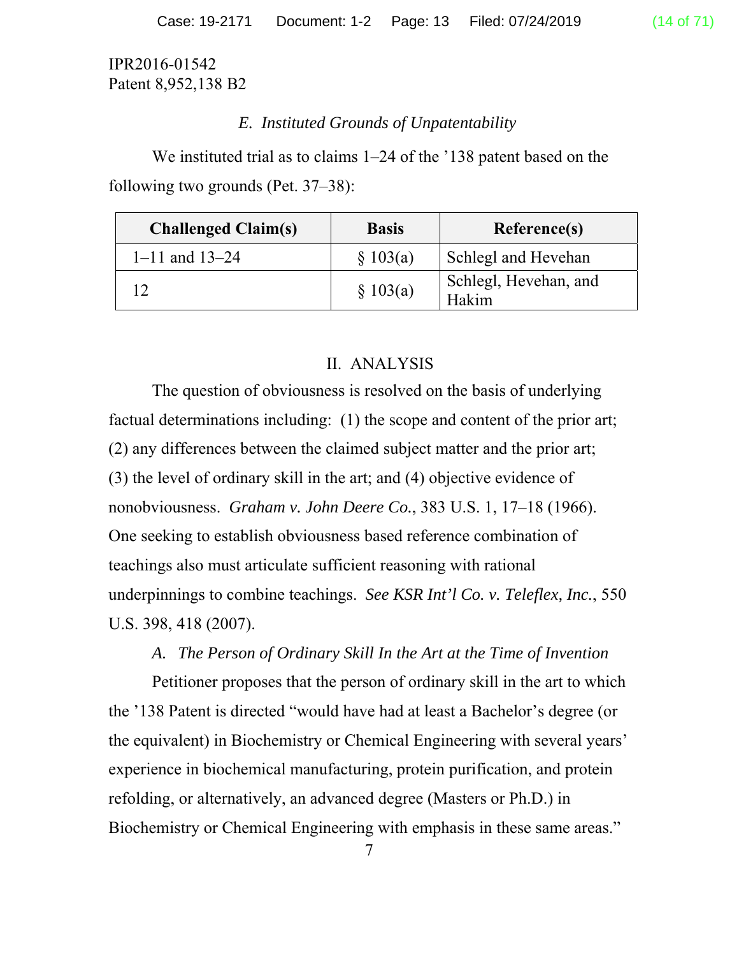## *E. Instituted Grounds of Unpatentability*

We instituted trial as to claims 1–24 of the '138 patent based on the following two grounds (Pet. 37–38):

| <b>Challenged Claim(s)</b> | <b>Basis</b> | Reference(s)                   |
|----------------------------|--------------|--------------------------------|
| $1 - 11$ and $13 - 24$     | \$103(a)     | Schlegl and Hevehan            |
|                            | \$103(a)     | Schlegl, Hevehan, and<br>Hakim |

# II. ANALYSIS

The question of obviousness is resolved on the basis of underlying factual determinations including: (1) the scope and content of the prior art; (2) any differences between the claimed subject matter and the prior art; (3) the level of ordinary skill in the art; and (4) objective evidence of nonobviousness. *Graham v. John Deere Co.*, 383 U.S. 1, 17–18 (1966). One seeking to establish obviousness based reference combination of teachings also must articulate sufficient reasoning with rational underpinnings to combine teachings. *See KSR Int'l Co. v. Teleflex, Inc.*, 550 U.S. 398, 418 (2007).

# *A. The Person of Ordinary Skill In the Art at the Time of Invention*

Petitioner proposes that the person of ordinary skill in the art to which the '138 Patent is directed "would have had at least a Bachelor's degree (or the equivalent) in Biochemistry or Chemical Engineering with several years' experience in biochemical manufacturing, protein purification, and protein refolding, or alternatively, an advanced degree (Masters or Ph.D.) in Biochemistry or Chemical Engineering with emphasis in these same areas."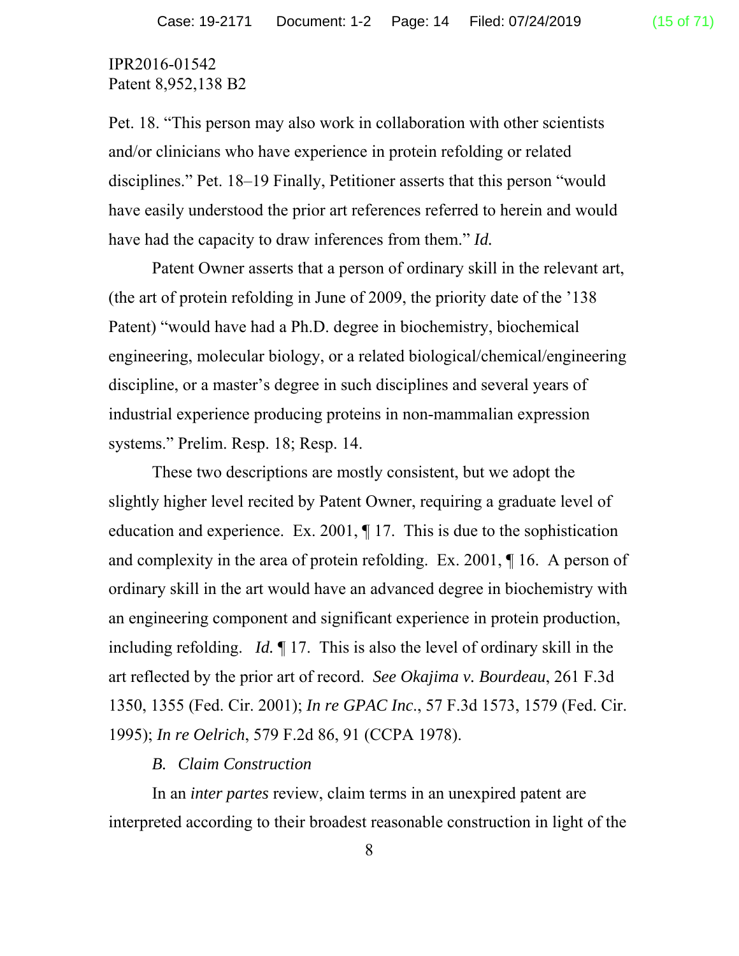Pet. 18. "This person may also work in collaboration with other scientists and/or clinicians who have experience in protein refolding or related disciplines." Pet. 18–19 Finally, Petitioner asserts that this person "would have easily understood the prior art references referred to herein and would have had the capacity to draw inferences from them." *Id.*

Patent Owner asserts that a person of ordinary skill in the relevant art, (the art of protein refolding in June of 2009, the priority date of the '138 Patent) "would have had a Ph.D. degree in biochemistry, biochemical engineering, molecular biology, or a related biological/chemical/engineering discipline, or a master's degree in such disciplines and several years of industrial experience producing proteins in non-mammalian expression systems." Prelim. Resp. 18; Resp. 14.

These two descriptions are mostly consistent, but we adopt the slightly higher level recited by Patent Owner, requiring a graduate level of education and experience. Ex. 2001, ¶ 17. This is due to the sophistication and complexity in the area of protein refolding. Ex. 2001, ¶ 16. A person of ordinary skill in the art would have an advanced degree in biochemistry with an engineering component and significant experience in protein production, including refolding. *Id.* ¶ 17. This is also the level of ordinary skill in the art reflected by the prior art of record. *See Okajima v. Bourdeau*, 261 F.3d 1350, 1355 (Fed. Cir. 2001); *In re GPAC Inc*., 57 F.3d 1573, 1579 (Fed. Cir. 1995); *In re Oelrich*, 579 F.2d 86, 91 (CCPA 1978).

## *B. Claim Construction*

In an *inter partes* review, claim terms in an unexpired patent are interpreted according to their broadest reasonable construction in light of the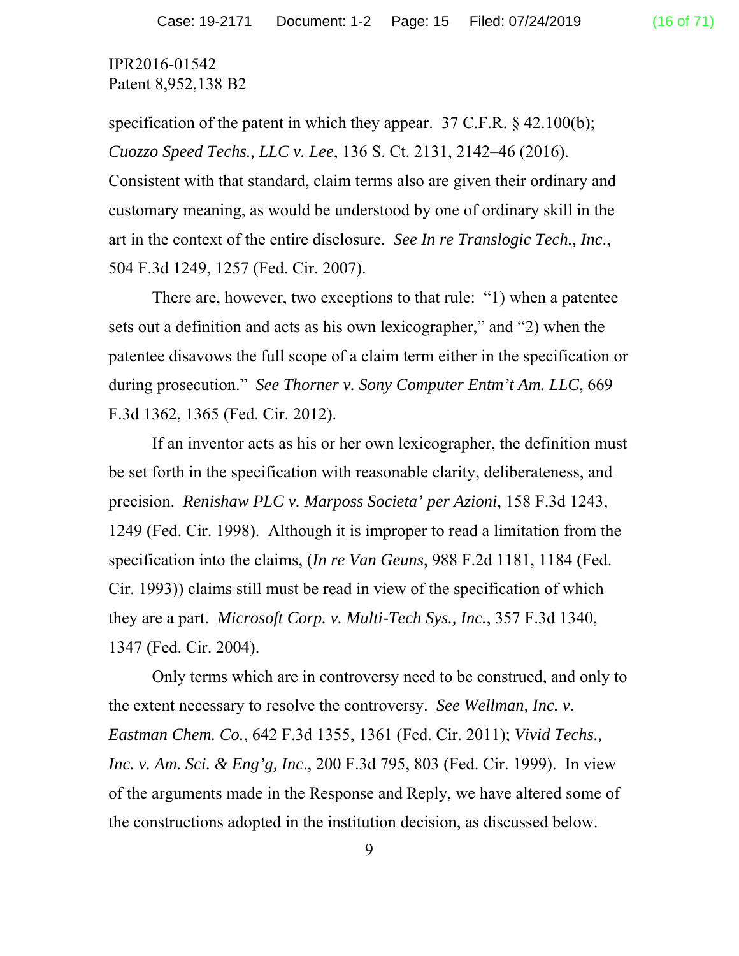specification of the patent in which they appear.  $37$  C.F.R. § 42.100(b); *Cuozzo Speed Techs., LLC v. Lee*, 136 S. Ct. 2131, 2142–46 (2016). Consistent with that standard, claim terms also are given their ordinary and customary meaning, as would be understood by one of ordinary skill in the art in the context of the entire disclosure. *See In re Translogic Tech., Inc*., 504 F.3d 1249, 1257 (Fed. Cir. 2007).

There are, however, two exceptions to that rule: "1) when a patentee sets out a definition and acts as his own lexicographer," and "2) when the patentee disavows the full scope of a claim term either in the specification or during prosecution." *See Thorner v. Sony Computer Entm't Am. LLC*, 669 F.3d 1362, 1365 (Fed. Cir. 2012).

If an inventor acts as his or her own lexicographer, the definition must be set forth in the specification with reasonable clarity, deliberateness, and precision. *Renishaw PLC v. Marposs Societa' per Azioni*, 158 F.3d 1243, 1249 (Fed. Cir. 1998). Although it is improper to read a limitation from the specification into the claims, (*In re Van Geuns*, 988 F.2d 1181, 1184 (Fed. Cir. 1993)) claims still must be read in view of the specification of which they are a part. *Microsoft Corp. v. Multi-Tech Sys., Inc.*, 357 F.3d 1340, 1347 (Fed. Cir. 2004).

Only terms which are in controversy need to be construed, and only to the extent necessary to resolve the controversy. *See Wellman, Inc. v. Eastman Chem. Co.*, 642 F.3d 1355, 1361 (Fed. Cir. 2011); *Vivid Techs., Inc. v. Am. Sci. & Eng'g, Inc*., 200 F.3d 795, 803 (Fed. Cir. 1999). In view of the arguments made in the Response and Reply, we have altered some of the constructions adopted in the institution decision, as discussed below.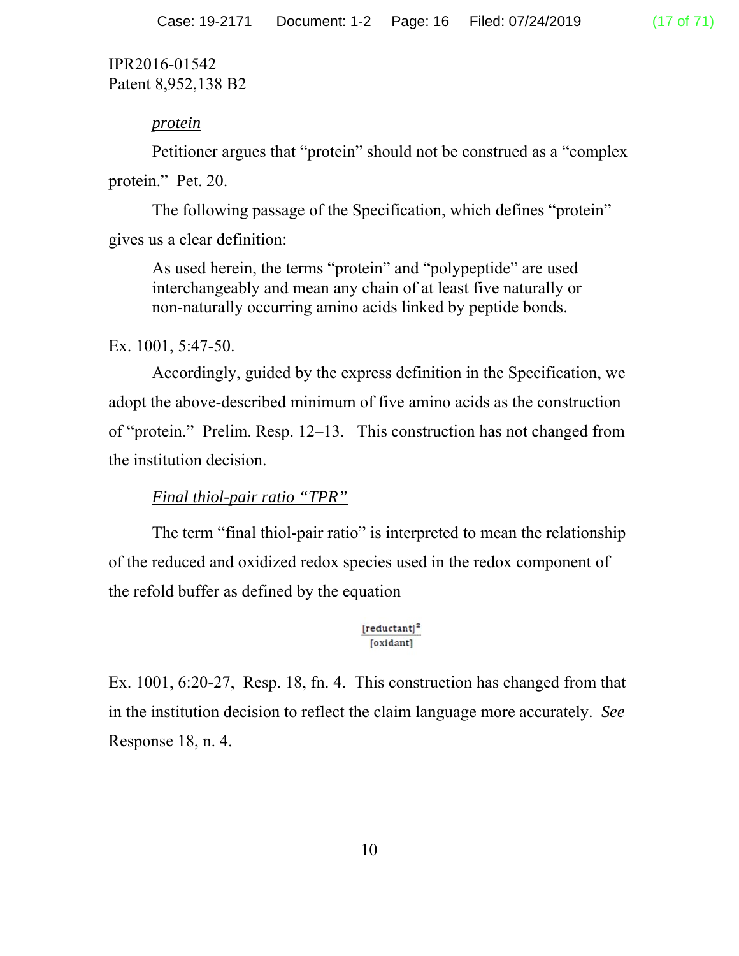### *protein*

Petitioner argues that "protein" should not be construed as a "complex protein." Pet. 20.

 The following passage of the Specification, which defines "protein" gives us a clear definition:

As used herein, the terms "protein" and "polypeptide" are used interchangeably and mean any chain of at least five naturally or non-naturally occurring amino acids linked by peptide bonds.

Ex. 1001, 5:47-50.

Accordingly, guided by the express definition in the Specification, we adopt the above-described minimum of five amino acids as the construction of "protein." Prelim. Resp. 12–13. This construction has not changed from the institution decision.

# *Final thiol-pair ratio "TPR"*

The term "final thiol-pair ratio" is interpreted to mean the relationship of the reduced and oxidized redox species used in the redox component of the refold buffer as defined by the equation

#### $[reductant]<sup>2</sup>$ [oxidant]

Ex. 1001, 6:20-27, Resp. 18, fn. 4. This construction has changed from that in the institution decision to reflect the claim language more accurately. *See*  Response 18, n. 4.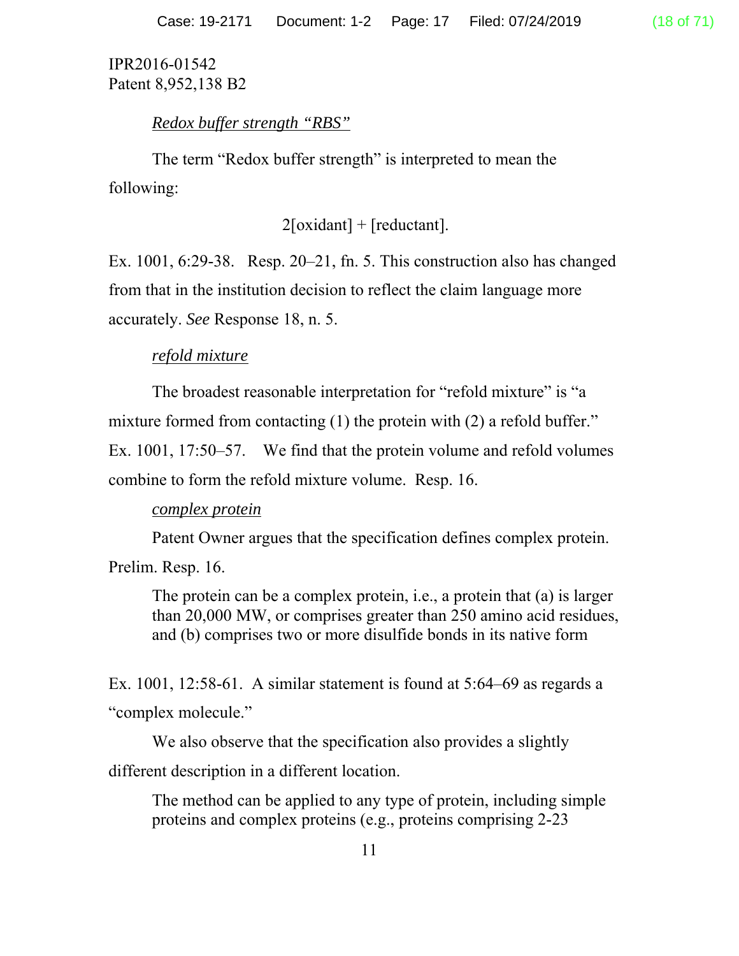*Redox buffer strength "RBS"* 

The term "Redox buffer strength" is interpreted to mean the following:

 $2[oxidant] + [reduction].$ 

Ex. 1001, 6:29-38. Resp. 20–21, fn. 5. This construction also has changed from that in the institution decision to reflect the claim language more accurately. *See* Response 18, n. 5.

# *refold mixture*

The broadest reasonable interpretation for "refold mixture" is "a mixture formed from contacting (1) the protein with (2) a refold buffer." Ex. 1001, 17:50–57. We find that the protein volume and refold volumes combine to form the refold mixture volume. Resp. 16.

# *complex protein*

Patent Owner argues that the specification defines complex protein.

Prelim. Resp. 16.

The protein can be a complex protein, i.e., a protein that (a) is larger than 20,000 MW, or comprises greater than 250 amino acid residues, and (b) comprises two or more disulfide bonds in its native form

Ex. 1001, 12:58-61. A similar statement is found at 5:64–69 as regards a "complex molecule."

We also observe that the specification also provides a slightly different description in a different location.

The method can be applied to any type of protein, including simple proteins and complex proteins (e.g., proteins comprising 2-23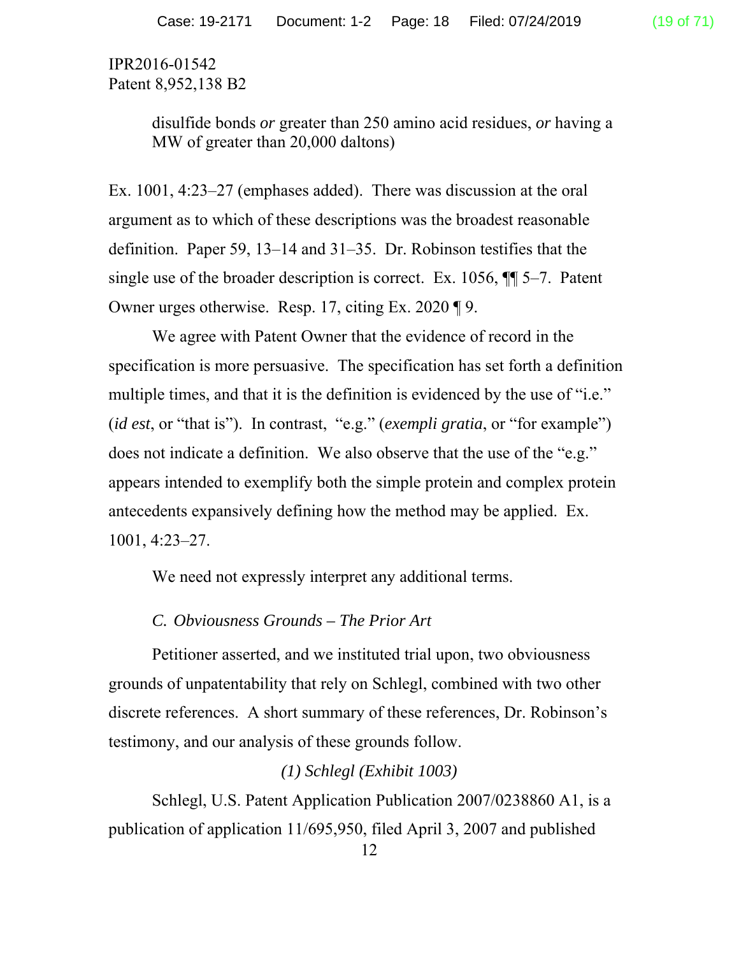> disulfide bonds *or* greater than 250 amino acid residues, *or* having a MW of greater than 20,000 daltons)

Ex. 1001, 4:23–27 (emphases added). There was discussion at the oral argument as to which of these descriptions was the broadest reasonable definition. Paper 59, 13–14 and 31–35. Dr. Robinson testifies that the single use of the broader description is correct. Ex. 1056, ¶¶ 5–7. Patent Owner urges otherwise. Resp. 17, citing Ex. 2020 ¶ 9.

We agree with Patent Owner that the evidence of record in the specification is more persuasive. The specification has set forth a definition multiple times, and that it is the definition is evidenced by the use of "i.e." (*id est*, or "that is"). In contrast, "e.g." (*exempli gratia*, or "for example") does not indicate a definition. We also observe that the use of the "e.g." appears intended to exemplify both the simple protein and complex protein antecedents expansively defining how the method may be applied. Ex. 1001, 4:23–27.

We need not expressly interpret any additional terms.

#### *C. Obviousness Grounds – The Prior Art*

 Petitioner asserted, and we instituted trial upon, two obviousness grounds of unpatentability that rely on Schlegl, combined with two other discrete references. A short summary of these references, Dr. Robinson's testimony, and our analysis of these grounds follow.

## *(1) Schlegl (Exhibit 1003)*

 Schlegl, U.S. Patent Application Publication 2007/0238860 A1, is a publication of application 11/695,950, filed April 3, 2007 and published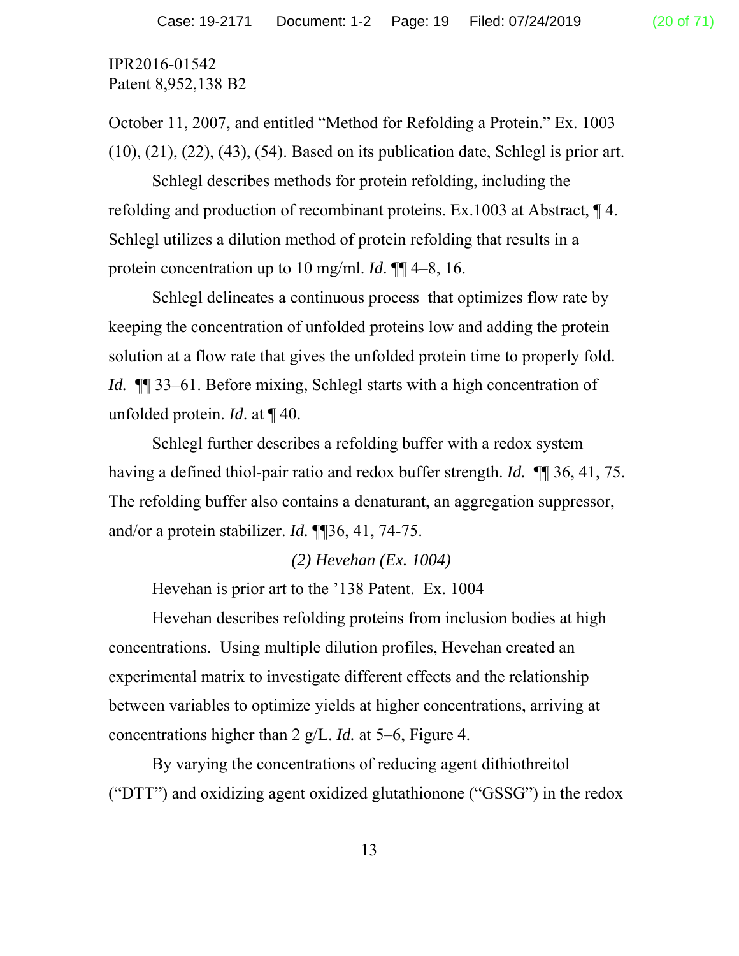October 11, 2007, and entitled "Method for Refolding a Protein." Ex. 1003 (10), (21), (22), (43), (54). Based on its publication date, Schlegl is prior art.

Schlegl describes methods for protein refolding, including the refolding and production of recombinant proteins. Ex.1003 at Abstract, ¶ 4. Schlegl utilizes a dilution method of protein refolding that results in a protein concentration up to 10 mg/ml. *Id*. ¶¶ 4–8, 16.

Schlegl delineates a continuous process that optimizes flow rate by keeping the concentration of unfolded proteins low and adding the protein solution at a flow rate that gives the unfolded protein time to properly fold. *Id.* ¶¶ 33–61. Before mixing, Schlegl starts with a high concentration of unfolded protein. *Id*. at ¶ 40.

Schlegl further describes a refolding buffer with a redox system having a defined thiol-pair ratio and redox buffer strength. *Id.* ¶¶ 36, 41, 75. The refolding buffer also contains a denaturant, an aggregation suppressor, and/or a protein stabilizer. *Id.* ¶¶36, 41, 74-75.

#### *(2) Hevehan (Ex. 1004)*

Hevehan is prior art to the '138 Patent. Ex. 1004

 Hevehan describes refolding proteins from inclusion bodies at high concentrations. Using multiple dilution profiles, Hevehan created an experimental matrix to investigate different effects and the relationship between variables to optimize yields at higher concentrations, arriving at concentrations higher than 2 g/L. *Id.* at 5–6, Figure 4.

By varying the concentrations of reducing agent dithiothreitol ("DTT") and oxidizing agent oxidized glutathionone ("GSSG") in the redox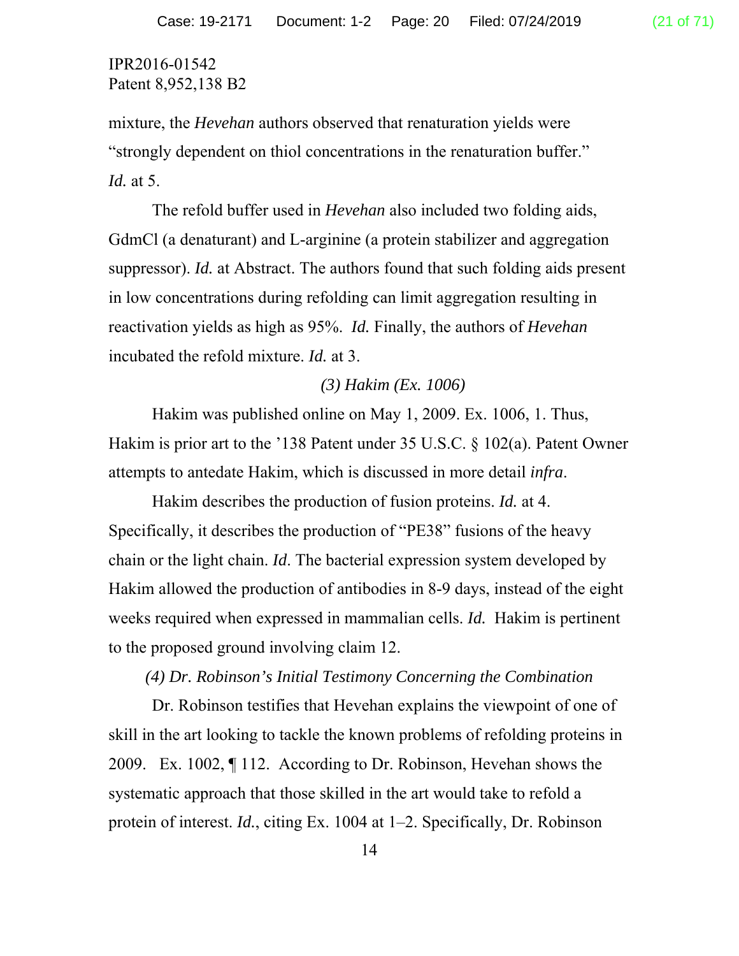mixture, the *Hevehan* authors observed that renaturation yields were "strongly dependent on thiol concentrations in the renaturation buffer." *Id.* at 5.

The refold buffer used in *Hevehan* also included two folding aids, GdmCl (a denaturant) and L-arginine (a protein stabilizer and aggregation suppressor). *Id.* at Abstract. The authors found that such folding aids present in low concentrations during refolding can limit aggregation resulting in reactivation yields as high as 95%. *Id.* Finally, the authors of *Hevehan*  incubated the refold mixture. *Id.* at 3.

## *(3) Hakim (Ex. 1006)*

Hakim was published online on May 1, 2009. Ex. 1006, 1. Thus, Hakim is prior art to the '138 Patent under 35 U.S.C. § 102(a). Patent Owner attempts to antedate Hakim, which is discussed in more detail *infra*.

Hakim describes the production of fusion proteins. *Id.* at 4. Specifically, it describes the production of "PE38" fusions of the heavy chain or the light chain. *Id*. The bacterial expression system developed by Hakim allowed the production of antibodies in 8-9 days, instead of the eight weeks required when expressed in mammalian cells. *Id.* Hakim is pertinent to the proposed ground involving claim 12.

#### *(4) Dr. Robinson's Initial Testimony Concerning the Combination*

Dr. Robinson testifies that Hevehan explains the viewpoint of one of skill in the art looking to tackle the known problems of refolding proteins in 2009. Ex. 1002, ¶ 112. According to Dr. Robinson, Hevehan shows the systematic approach that those skilled in the art would take to refold a protein of interest. *Id.*, citing Ex. 1004 at 1–2. Specifically, Dr. Robinson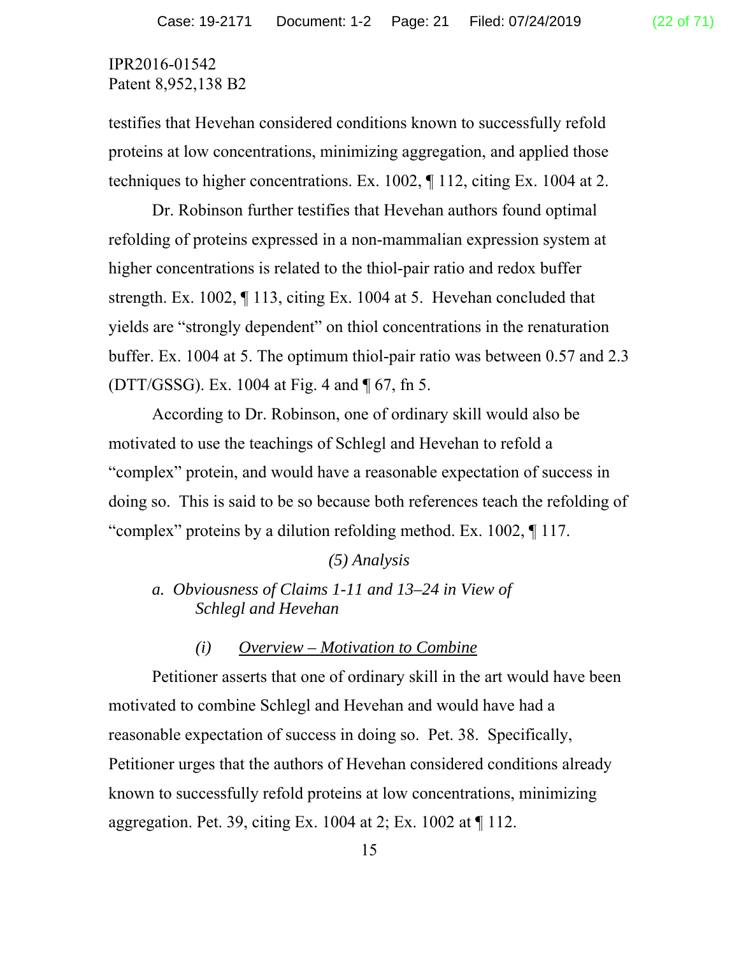testifies that Hevehan considered conditions known to successfully refold proteins at low concentrations, minimizing aggregation, and applied those techniques to higher concentrations. Ex. 1002, ¶ 112, citing Ex. 1004 at 2.

Dr. Robinson further testifies that Hevehan authors found optimal refolding of proteins expressed in a non-mammalian expression system at higher concentrations is related to the thiol-pair ratio and redox buffer strength. Ex. 1002, ¶ 113, citing Ex. 1004 at 5. Hevehan concluded that yields are "strongly dependent" on thiol concentrations in the renaturation buffer. Ex. 1004 at 5. The optimum thiol-pair ratio was between 0.57 and 2.3 (DTT/GSSG). Ex. 1004 at Fig. 4 and ¶ 67, fn 5.

According to Dr. Robinson, one of ordinary skill would also be motivated to use the teachings of Schlegl and Hevehan to refold a "complex" protein, and would have a reasonable expectation of success in doing so. This is said to be so because both references teach the refolding of "complex" proteins by a dilution refolding method. Ex. 1002, ¶ 117.

#### *(5) Analysis*

*a. Obviousness of Claims 1-11 and 13–24 in View of Schlegl and Hevehan* 

#### *(i) Overview – Motivation to Combine*

 Petitioner asserts that one of ordinary skill in the art would have been motivated to combine Schlegl and Hevehan and would have had a reasonable expectation of success in doing so. Pet. 38. Specifically, Petitioner urges that the authors of Hevehan considered conditions already known to successfully refold proteins at low concentrations, minimizing aggregation. Pet. 39, citing Ex. 1004 at 2; Ex. 1002 at  $\P$  112.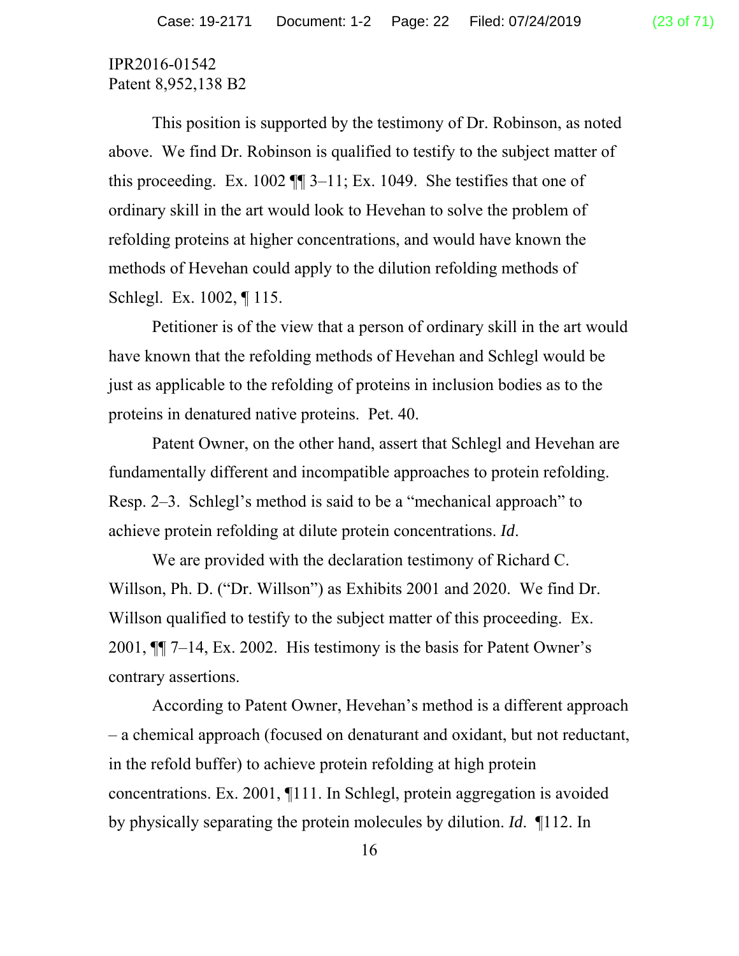This position is supported by the testimony of Dr. Robinson, as noted above. We find Dr. Robinson is qualified to testify to the subject matter of this proceeding. Ex. 1002  $\P$  3–11; Ex. 1049. She testifies that one of ordinary skill in the art would look to Hevehan to solve the problem of refolding proteins at higher concentrations, and would have known the methods of Hevehan could apply to the dilution refolding methods of Schlegl. Ex. 1002, ¶ 115.

Petitioner is of the view that a person of ordinary skill in the art would have known that the refolding methods of Hevehan and Schlegl would be just as applicable to the refolding of proteins in inclusion bodies as to the proteins in denatured native proteins. Pet. 40.

Patent Owner, on the other hand, assert that Schlegl and Hevehan are fundamentally different and incompatible approaches to protein refolding. Resp. 2–3. Schlegl's method is said to be a "mechanical approach" to achieve protein refolding at dilute protein concentrations. *Id*.

 We are provided with the declaration testimony of Richard C. Willson, Ph. D. ("Dr. Willson") as Exhibits 2001 and 2020. We find Dr. Willson qualified to testify to the subject matter of this proceeding. Ex. 2001, ¶¶ 7–14, Ex. 2002. His testimony is the basis for Patent Owner's contrary assertions.

According to Patent Owner, Hevehan's method is a different approach – a chemical approach (focused on denaturant and oxidant, but not reductant, in the refold buffer) to achieve protein refolding at high protein concentrations. Ex. 2001, ¶111. In Schlegl, protein aggregation is avoided by physically separating the protein molecules by dilution. *Id*. ¶112. In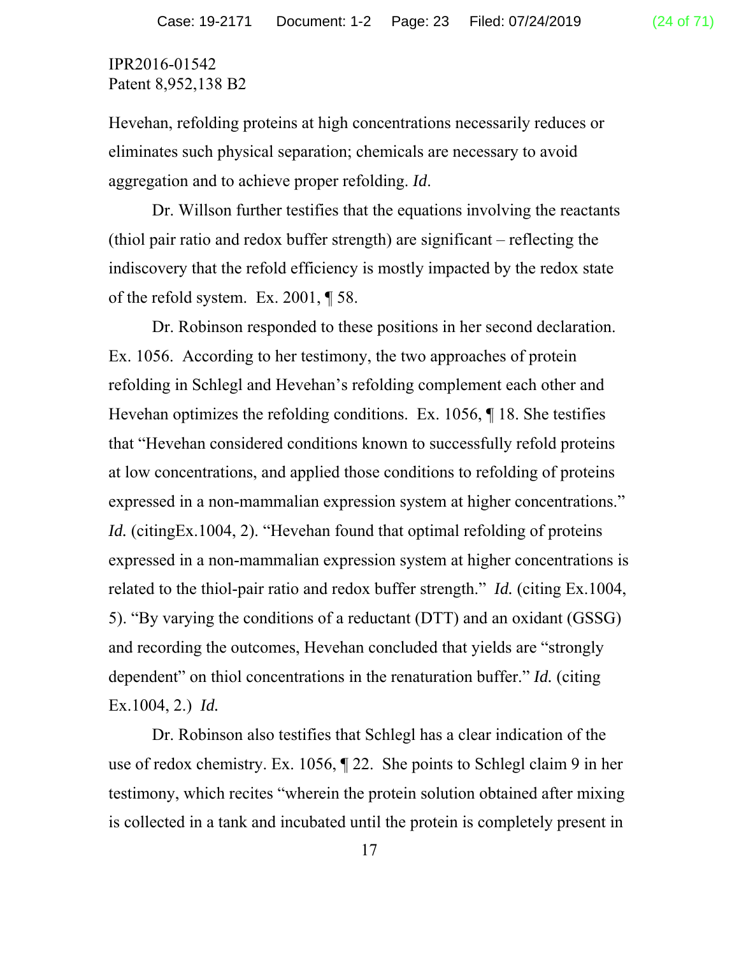Hevehan, refolding proteins at high concentrations necessarily reduces or eliminates such physical separation; chemicals are necessary to avoid aggregation and to achieve proper refolding. *Id*.

Dr. Willson further testifies that the equations involving the reactants (thiol pair ratio and redox buffer strength) are significant – reflecting the indiscovery that the refold efficiency is mostly impacted by the redox state of the refold system. Ex. 2001, ¶ 58.

Dr. Robinson responded to these positions in her second declaration. Ex. 1056. According to her testimony, the two approaches of protein refolding in Schlegl and Hevehan's refolding complement each other and Hevehan optimizes the refolding conditions. Ex. 1056, ¶ 18. She testifies that "Hevehan considered conditions known to successfully refold proteins at low concentrations, and applied those conditions to refolding of proteins expressed in a non-mammalian expression system at higher concentrations." *Id.* (citingEx.1004, 2). "Hevehan found that optimal refolding of proteins expressed in a non-mammalian expression system at higher concentrations is related to the thiol-pair ratio and redox buffer strength." *Id.* (citing Ex.1004, 5). "By varying the conditions of a reductant (DTT) and an oxidant (GSSG) and recording the outcomes, Hevehan concluded that yields are "strongly dependent" on thiol concentrations in the renaturation buffer." *Id.* (citing Ex.1004, 2.) *Id.*

Dr. Robinson also testifies that Schlegl has a clear indication of the use of redox chemistry. Ex. 1056, ¶ 22. She points to Schlegl claim 9 in her testimony, which recites "wherein the protein solution obtained after mixing is collected in a tank and incubated until the protein is completely present in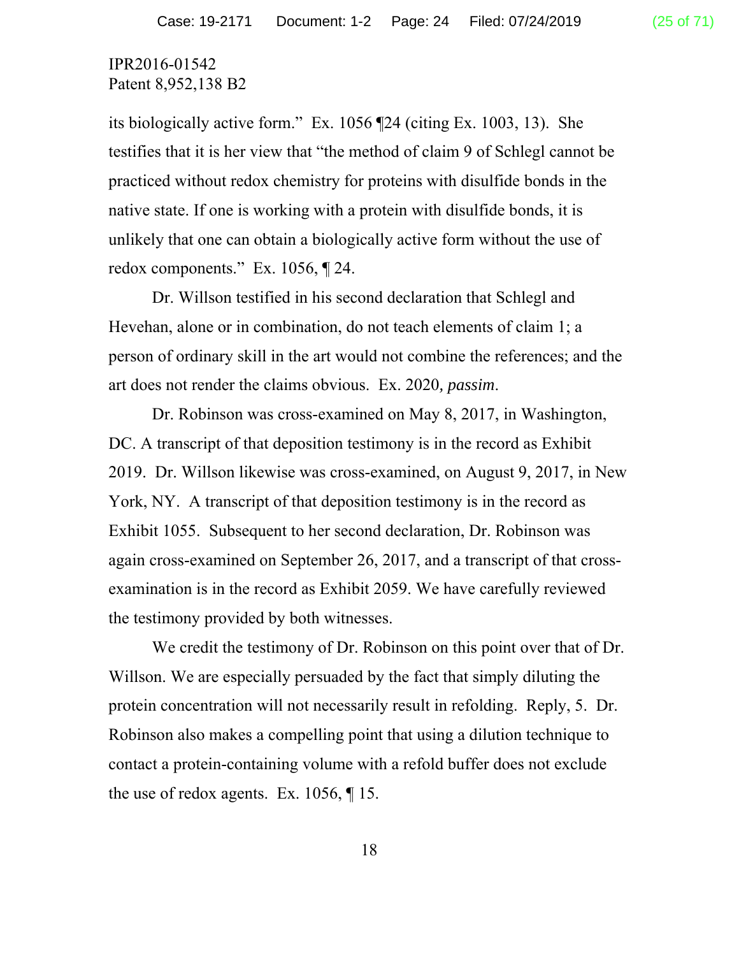its biologically active form." Ex. 1056 ¶24 (citing Ex. 1003, 13). She testifies that it is her view that "the method of claim 9 of Schlegl cannot be practiced without redox chemistry for proteins with disulfide bonds in the native state. If one is working with a protein with disulfide bonds, it is unlikely that one can obtain a biologically active form without the use of redox components." Ex. 1056, ¶ 24.

Dr. Willson testified in his second declaration that Schlegl and Hevehan, alone or in combination, do not teach elements of claim 1; a person of ordinary skill in the art would not combine the references; and the art does not render the claims obvious. Ex. 2020*, passim*.

Dr. Robinson was cross-examined on May 8, 2017, in Washington, DC. A transcript of that deposition testimony is in the record as Exhibit 2019. Dr. Willson likewise was cross-examined, on August 9, 2017, in New York, NY. A transcript of that deposition testimony is in the record as Exhibit 1055. Subsequent to her second declaration, Dr. Robinson was again cross-examined on September 26, 2017, and a transcript of that crossexamination is in the record as Exhibit 2059. We have carefully reviewed the testimony provided by both witnesses.

We credit the testimony of Dr. Robinson on this point over that of Dr. Willson. We are especially persuaded by the fact that simply diluting the protein concentration will not necessarily result in refolding. Reply, 5. Dr. Robinson also makes a compelling point that using a dilution technique to contact a protein-containing volume with a refold buffer does not exclude the use of redox agents. Ex. 1056, ¶ 15.

18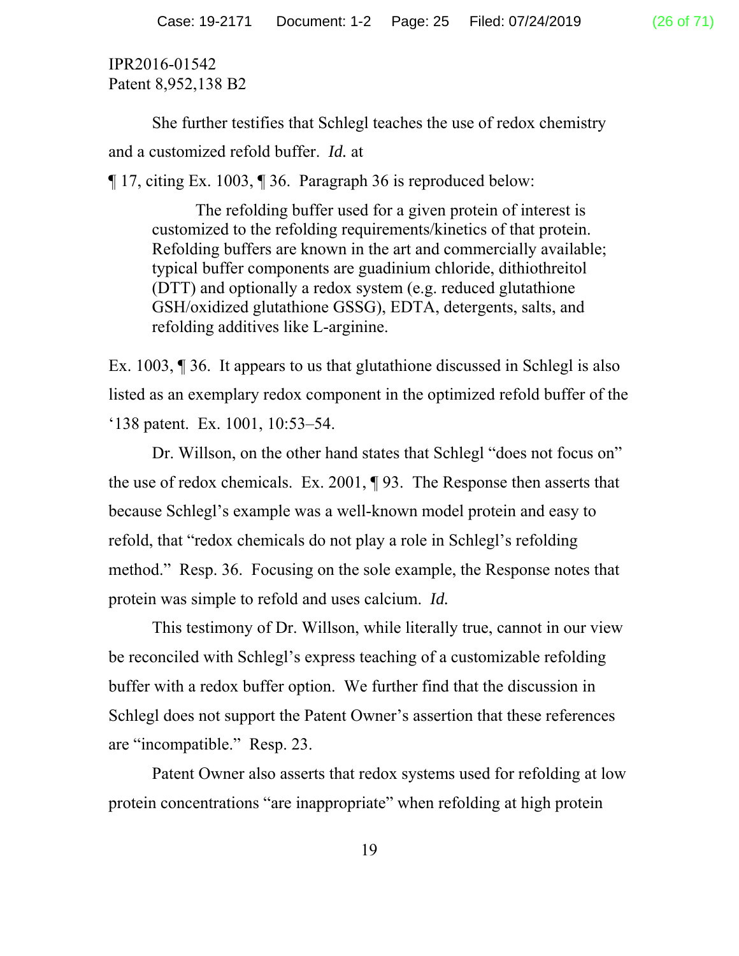She further testifies that Schlegl teaches the use of redox chemistry and a customized refold buffer. *Id.* at

¶ 17, citing Ex. 1003, ¶ 36. Paragraph 36 is reproduced below:

 The refolding buffer used for a given protein of interest is customized to the refolding requirements/kinetics of that protein. Refolding buffers are known in the art and commercially available; typical buffer components are guadinium chloride, dithiothreitol (DTT) and optionally a redox system (e.g. reduced glutathione GSH/oxidized glutathione GSSG), EDTA, detergents, salts, and refolding additives like L-arginine.

Ex. 1003, ¶ 36. It appears to us that glutathione discussed in Schlegl is also listed as an exemplary redox component in the optimized refold buffer of the '138 patent. Ex. 1001, 10:53–54.

Dr. Willson, on the other hand states that Schlegl "does not focus on" the use of redox chemicals. Ex. 2001, ¶ 93. The Response then asserts that because Schlegl's example was a well-known model protein and easy to refold, that "redox chemicals do not play a role in Schlegl's refolding method." Resp. 36. Focusing on the sole example, the Response notes that protein was simple to refold and uses calcium. *Id.* 

This testimony of Dr. Willson, while literally true, cannot in our view be reconciled with Schlegl's express teaching of a customizable refolding buffer with a redox buffer option. We further find that the discussion in Schlegl does not support the Patent Owner's assertion that these references are "incompatible." Resp. 23.

Patent Owner also asserts that redox systems used for refolding at low protein concentrations "are inappropriate" when refolding at high protein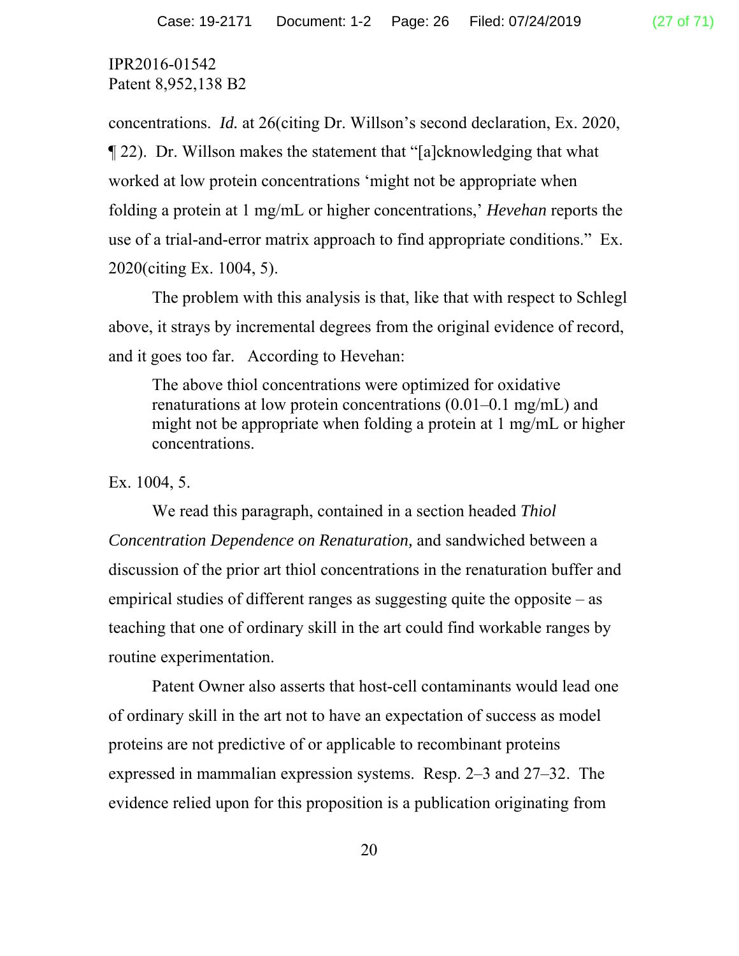concentrations. *Id.* at 26(citing Dr. Willson's second declaration, Ex. 2020, ¶ 22). Dr. Willson makes the statement that "[a]cknowledging that what worked at low protein concentrations 'might not be appropriate when folding a protein at 1 mg/mL or higher concentrations,' *Hevehan* reports the use of a trial-and-error matrix approach to find appropriate conditions." Ex. 2020(citing Ex. 1004, 5).

The problem with this analysis is that, like that with respect to Schlegl above, it strays by incremental degrees from the original evidence of record, and it goes too far. According to Hevehan:

The above thiol concentrations were optimized for oxidative renaturations at low protein concentrations (0.01–0.1 mg/mL) and might not be appropriate when folding a protein at 1 mg/mL or higher concentrations.

#### Ex. 1004, 5.

 We read this paragraph, contained in a section headed *Thiol Concentration Dependence on Renaturation,* and sandwiched between a discussion of the prior art thiol concentrations in the renaturation buffer and empirical studies of different ranges as suggesting quite the opposite – as teaching that one of ordinary skill in the art could find workable ranges by routine experimentation.

 Patent Owner also asserts that host-cell contaminants would lead one of ordinary skill in the art not to have an expectation of success as model proteins are not predictive of or applicable to recombinant proteins expressed in mammalian expression systems. Resp. 2–3 and 27–32. The evidence relied upon for this proposition is a publication originating from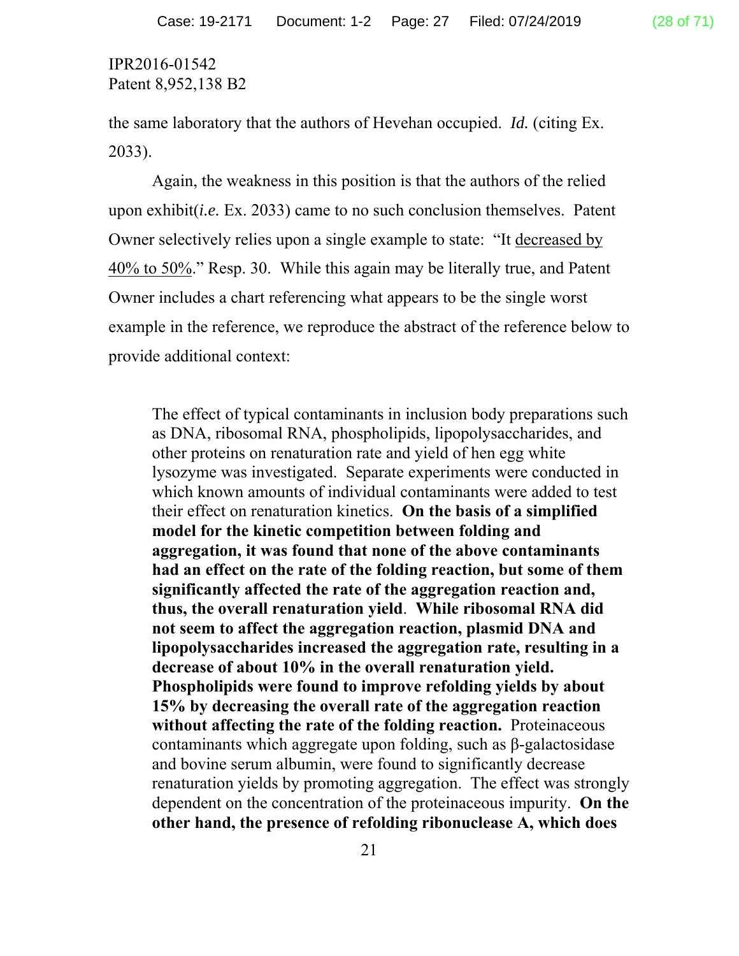the same laboratory that the authors of Hevehan occupied. *Id.* (citing Ex. 2033).

 Again, the weakness in this position is that the authors of the relied upon exhibit(*i.e.* Ex. 2033) came to no such conclusion themselves. Patent Owner selectively relies upon a single example to state: "It decreased by 40% to 50%." Resp. 30. While this again may be literally true, and Patent Owner includes a chart referencing what appears to be the single worst example in the reference, we reproduce the abstract of the reference below to provide additional context:

The effect of typical contaminants in inclusion body preparations such as DNA, ribosomal RNA, phospholipids, lipopolysaccharides, and other proteins on renaturation rate and yield of hen egg white lysozyme was investigated. Separate experiments were conducted in which known amounts of individual contaminants were added to test their effect on renaturation kinetics. **On the basis of a simplified model for the kinetic competition between folding and aggregation, it was found that none of the above contaminants had an effect on the rate of the folding reaction, but some of them significantly affected the rate of the aggregation reaction and, thus, the overall renaturation yield**. **While ribosomal RNA did not seem to affect the aggregation reaction, plasmid DNA and lipopolysaccharides increased the aggregation rate, resulting in a decrease of about 10% in the overall renaturation yield. Phospholipids were found to improve refolding yields by about 15% by decreasing the overall rate of the aggregation reaction without affecting the rate of the folding reaction.** Proteinaceous contaminants which aggregate upon folding, such as β-galactosidase and bovine serum albumin, were found to significantly decrease renaturation yields by promoting aggregation. The effect was strongly dependent on the concentration of the proteinaceous impurity. **On the other hand, the presence of refolding ribonuclease A, which does**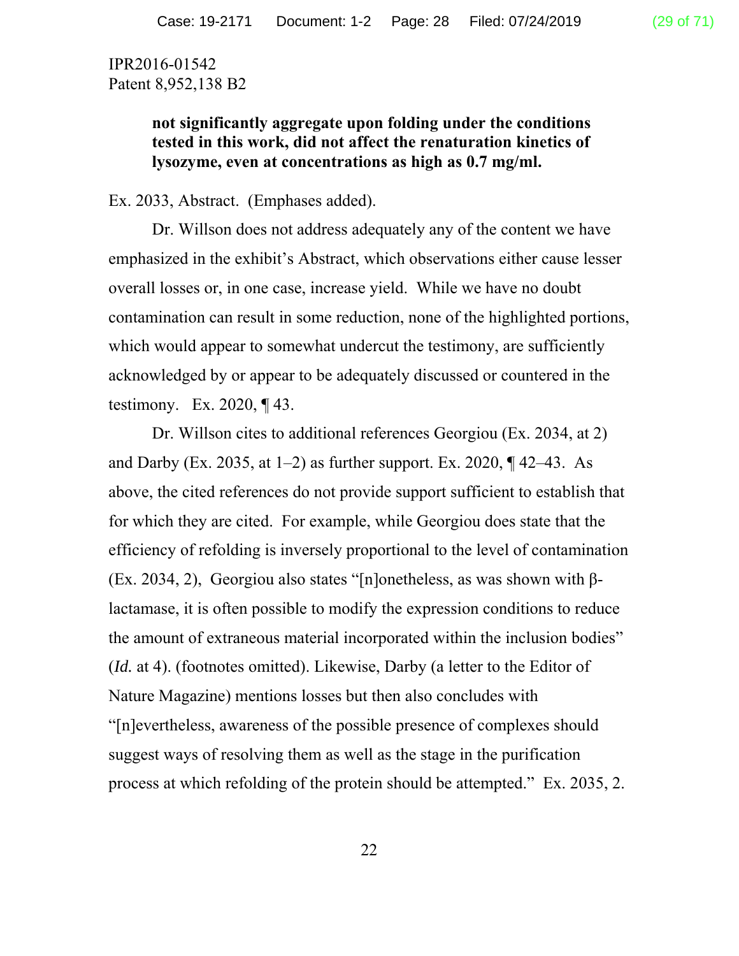**not significantly aggregate upon folding under the conditions tested in this work, did not affect the renaturation kinetics of lysozyme, even at concentrations as high as 0.7 mg/ml.** 

Ex. 2033, Abstract. (Emphases added).

Dr. Willson does not address adequately any of the content we have emphasized in the exhibit's Abstract, which observations either cause lesser overall losses or, in one case, increase yield. While we have no doubt contamination can result in some reduction, none of the highlighted portions, which would appear to somewhat undercut the testimony, are sufficiently acknowledged by or appear to be adequately discussed or countered in the testimony. Ex. 2020, ¶ 43.

Dr. Willson cites to additional references Georgiou (Ex. 2034, at 2) and Darby (Ex. 2035, at  $1-2$ ) as further support. Ex. 2020,  $\P$  42–43. As above, the cited references do not provide support sufficient to establish that for which they are cited. For example, while Georgiou does state that the efficiency of refolding is inversely proportional to the level of contamination (Ex. 2034, 2), Georgiou also states "[n]onetheless, as was shown with βlactamase, it is often possible to modify the expression conditions to reduce the amount of extraneous material incorporated within the inclusion bodies" (*Id.* at 4). (footnotes omitted). Likewise, Darby (a letter to the Editor of Nature Magazine) mentions losses but then also concludes with "[n]evertheless, awareness of the possible presence of complexes should suggest ways of resolving them as well as the stage in the purification process at which refolding of the protein should be attempted." Ex. 2035, 2.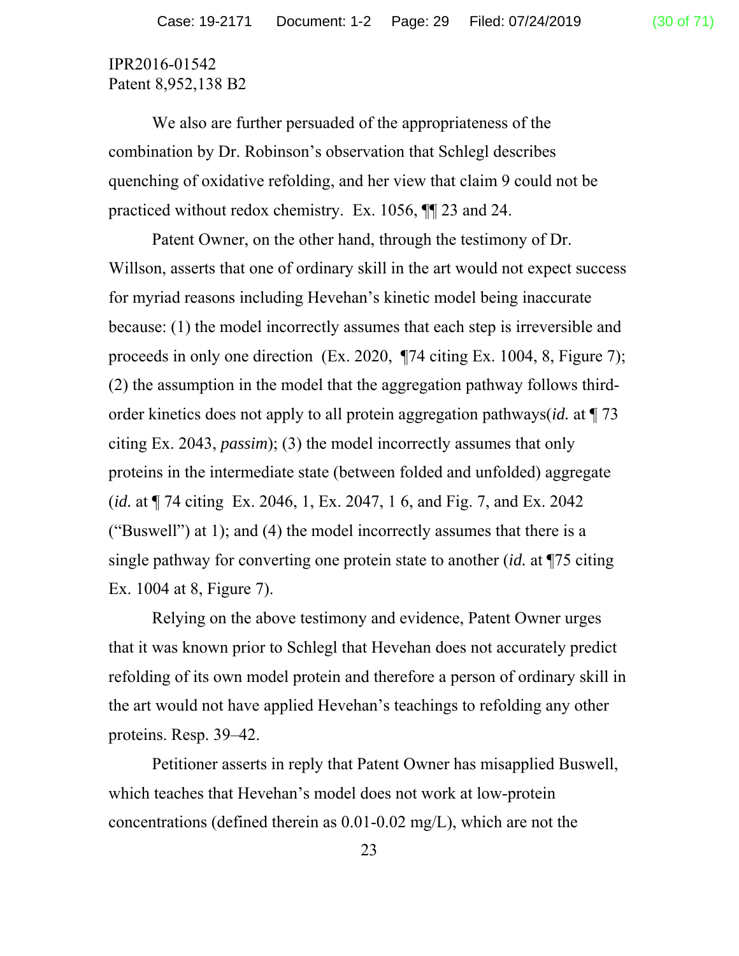We also are further persuaded of the appropriateness of the combination by Dr. Robinson's observation that Schlegl describes quenching of oxidative refolding, and her view that claim 9 could not be practiced without redox chemistry. Ex. 1056, ¶¶ 23 and 24.

Patent Owner, on the other hand, through the testimony of Dr. Willson, asserts that one of ordinary skill in the art would not expect success for myriad reasons including Hevehan's kinetic model being inaccurate because: (1) the model incorrectly assumes that each step is irreversible and proceeds in only one direction (Ex. 2020, ¶74 citing Ex. 1004, 8, Figure 7); (2) the assumption in the model that the aggregation pathway follows thirdorder kinetics does not apply to all protein aggregation pathways(*id.* at ¶ 73 citing Ex. 2043, *passim*); (3) the model incorrectly assumes that only proteins in the intermediate state (between folded and unfolded) aggregate (*id.* at ¶ 74 citing Ex. 2046, 1, Ex. 2047, 1 6, and Fig. 7, and Ex. 2042 ("Buswell") at 1); and (4) the model incorrectly assumes that there is a single pathway for converting one protein state to another (*id.* at ¶75 citing Ex. 1004 at 8, Figure 7).

Relying on the above testimony and evidence, Patent Owner urges that it was known prior to Schlegl that Hevehan does not accurately predict refolding of its own model protein and therefore a person of ordinary skill in the art would not have applied Hevehan's teachings to refolding any other proteins. Resp. 39–42.

Petitioner asserts in reply that Patent Owner has misapplied Buswell, which teaches that Hevehan's model does not work at low-protein concentrations (defined therein as 0.01-0.02 mg/L), which are not the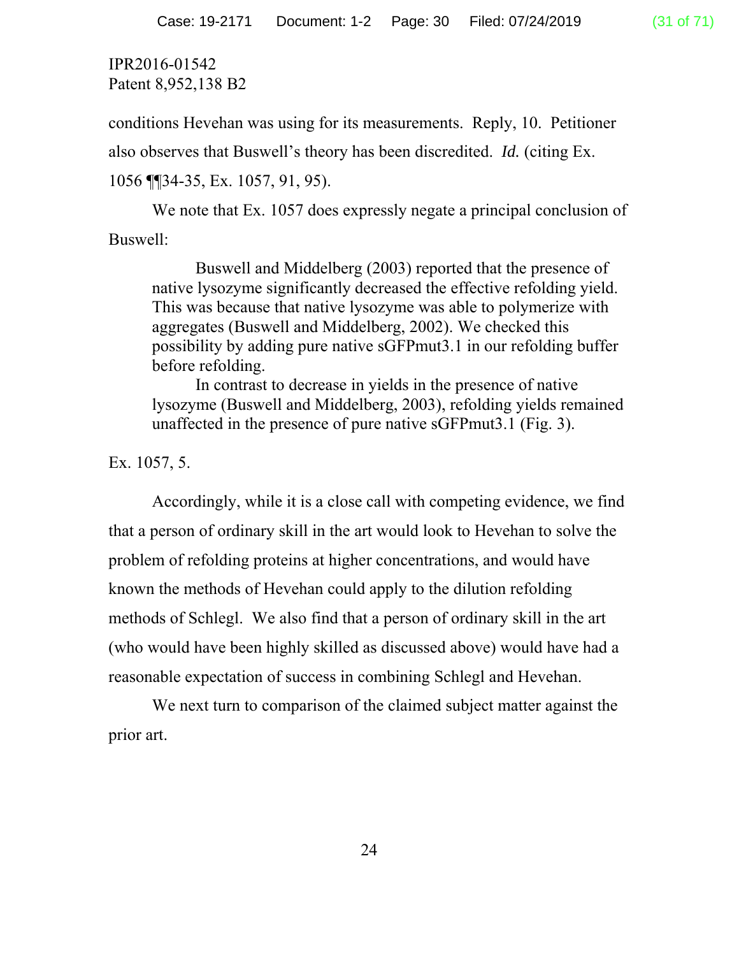conditions Hevehan was using for its measurements. Reply, 10. Petitioner

also observes that Buswell's theory has been discredited. *Id.* (citing Ex.

```
1056 ¶¶34-35, Ex. 1057, 91, 95).
```
We note that Ex. 1057 does expressly negate a principal conclusion of Buswell:

Buswell and Middelberg (2003) reported that the presence of native lysozyme significantly decreased the effective refolding yield. This was because that native lysozyme was able to polymerize with aggregates (Buswell and Middelberg, 2002). We checked this possibility by adding pure native sGFPmut3.1 in our refolding buffer before refolding.

In contrast to decrease in yields in the presence of native lysozyme (Buswell and Middelberg, 2003), refolding yields remained unaffected in the presence of pure native sGFPmut3.1 (Fig. 3).

Ex. 1057, 5.

Accordingly, while it is a close call with competing evidence, we find that a person of ordinary skill in the art would look to Hevehan to solve the problem of refolding proteins at higher concentrations, and would have known the methods of Hevehan could apply to the dilution refolding methods of Schlegl. We also find that a person of ordinary skill in the art (who would have been highly skilled as discussed above) would have had a reasonable expectation of success in combining Schlegl and Hevehan.

We next turn to comparison of the claimed subject matter against the prior art.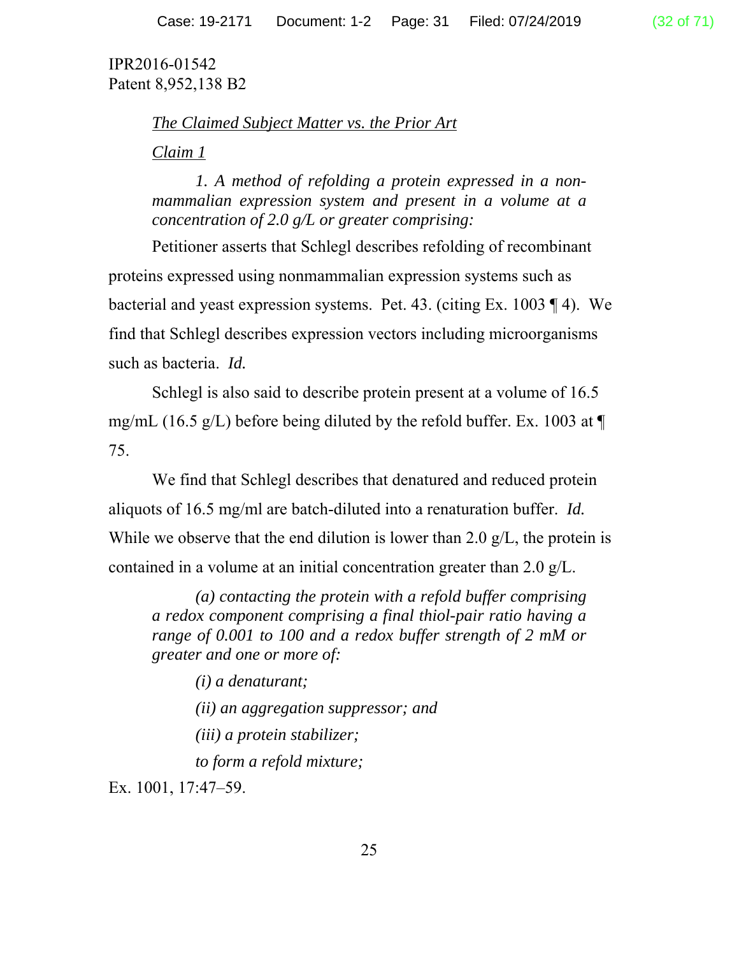# *The Claimed Subject Matter vs. the Prior Art*

## *Claim 1*

*1. A method of refolding a protein expressed in a nonmammalian expression system and present in a volume at a concentration of 2.0 g/L or greater comprising:* 

Petitioner asserts that Schlegl describes refolding of recombinant proteins expressed using nonmammalian expression systems such as bacterial and yeast expression systems. Pet. 43. (citing Ex. 1003 ¶ 4). We find that Schlegl describes expression vectors including microorganisms such as bacteria. *Id.* 

Schlegl is also said to describe protein present at a volume of 16.5 mg/mL (16.5 g/L) before being diluted by the refold buffer. Ex. 1003 at  $\P$ 75.

We find that Schlegl describes that denatured and reduced protein aliquots of 16.5 mg/ml are batch-diluted into a renaturation buffer. *Id.*  While we observe that the end dilution is lower than 2.0  $g/L$ , the protein is contained in a volume at an initial concentration greater than 2.0 g/L.

*(a) contacting the protein with a refold buffer comprising a redox component comprising a final thiol-pair ratio having a range of 0.001 to 100 and a redox buffer strength of 2 mM or greater and one or more of:* 

*(i) a denaturant;* 

*(ii) an aggregation suppressor; and* 

*(iii) a protein stabilizer;* 

*to form a refold mixture;* 

Ex. 1001, 17:47–59.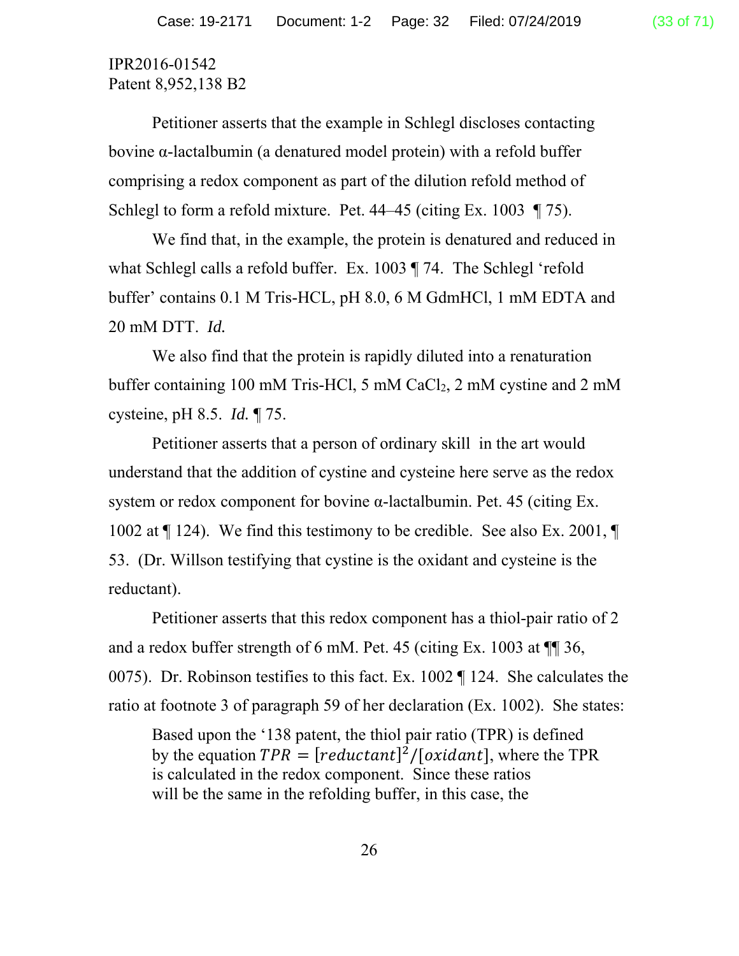Petitioner asserts that the example in Schlegl discloses contacting bovine α-lactalbumin (a denatured model protein) with a refold buffer comprising a redox component as part of the dilution refold method of Schlegl to form a refold mixture. Pet. 44–45 (citing Ex. 1003 ¶ 75).

We find that, in the example, the protein is denatured and reduced in what Schlegl calls a refold buffer. Ex. 1003 ¶ 74. The Schlegl 'refold buffer' contains 0.1 M Tris-HCL, pH 8.0, 6 M GdmHCl, 1 mM EDTA and 20 mM DTT. *Id.*

We also find that the protein is rapidly diluted into a renaturation buffer containing 100 mM Tris-HCl, 5 mM CaCl<sub>2</sub>, 2 mM cystine and 2 mM cysteine, pH 8.5. *Id.* ¶ 75.

Petitioner asserts that a person of ordinary skill in the art would understand that the addition of cystine and cysteine here serve as the redox system or redox component for bovine α-lactalbumin. Pet. 45 (citing Ex. 1002 at ¶ 124). We find this testimony to be credible. See also Ex. 2001, ¶ 53. (Dr. Willson testifying that cystine is the oxidant and cysteine is the reductant).

Petitioner asserts that this redox component has a thiol-pair ratio of 2 and a redox buffer strength of 6 mM. Pet. 45 (citing Ex. 1003 at ¶¶ 36, 0075). Dr. Robinson testifies to this fact. Ex. 1002 ¶ 124. She calculates the ratio at footnote 3 of paragraph 59 of her declaration (Ex. 1002). She states:

Based upon the '138 patent, the thiol pair ratio (TPR) is defined by the equation  $TPR = [reduction]^2/[oxidant]$ , where the TPR is calculated in the redox component. Since these ratios will be the same in the refolding buffer, in this case, the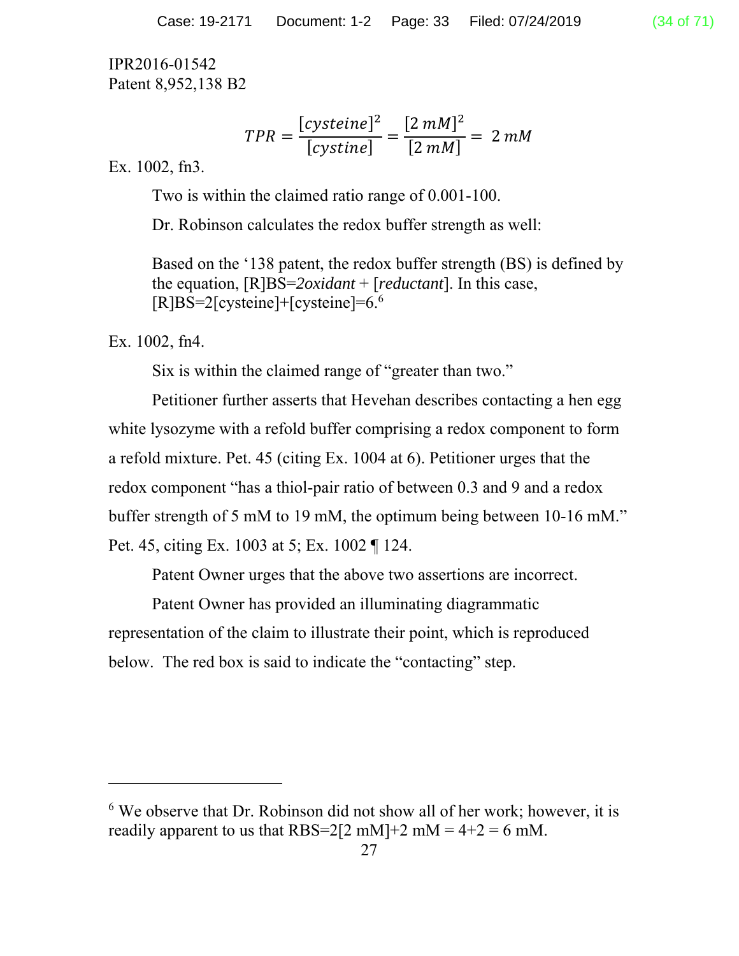$$
TPR = \frac{[cysteine]^2}{[cystine]} = \frac{[2 \, mM]^2}{[2 \, mM]} = 2 \, mM
$$

Ex. 1002, fn3.

Two is within the claimed ratio range of 0.001-100.

Dr. Robinson calculates the redox buffer strength as well:

Based on the '138 patent, the redox buffer strength (BS) is defined by the equation, [R]BS=*2oxidant* + [*reductant*]. In this case, [R]BS=2[cysteine]+[cysteine]=6.6

Ex. 1002, fn4.

-

Six is within the claimed range of "greater than two."

Petitioner further asserts that Hevehan describes contacting a hen egg white lysozyme with a refold buffer comprising a redox component to form a refold mixture. Pet. 45 (citing Ex. 1004 at 6). Petitioner urges that the redox component "has a thiol-pair ratio of between 0.3 and 9 and a redox buffer strength of 5 mM to 19 mM, the optimum being between 10-16 mM." Pet. 45, citing Ex. 1003 at 5; Ex. 1002 ¶ 124.

Patent Owner urges that the above two assertions are incorrect.

Patent Owner has provided an illuminating diagrammatic representation of the claim to illustrate their point, which is reproduced below. The red box is said to indicate the "contacting" step.

<sup>&</sup>lt;sup>6</sup> We observe that Dr. Robinson did not show all of her work; however, it is readily apparent to us that RBS=2[2 mM]+2 mM =  $4+2 = 6$  mM.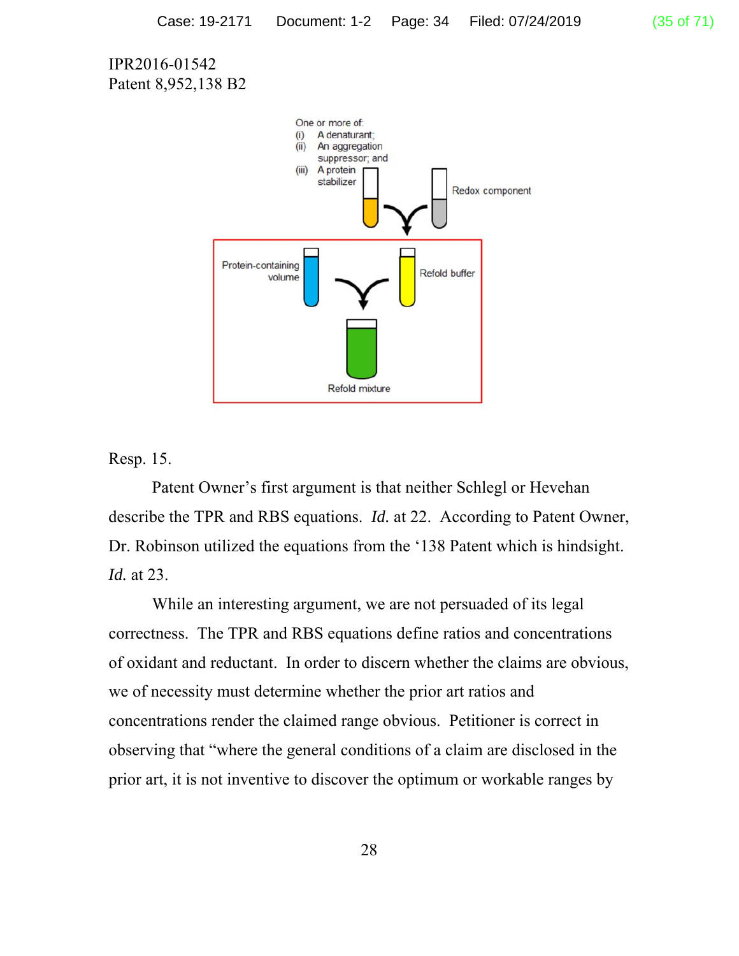

Resp. 15.

 Patent Owner's first argument is that neither Schlegl or Hevehan describe the TPR and RBS equations. *Id.* at 22. According to Patent Owner, Dr. Robinson utilized the equations from the '138 Patent which is hindsight. *Id.* at 23.

While an interesting argument, we are not persuaded of its legal correctness. The TPR and RBS equations define ratios and concentrations of oxidant and reductant. In order to discern whether the claims are obvious, we of necessity must determine whether the prior art ratios and concentrations render the claimed range obvious. Petitioner is correct in observing that "where the general conditions of a claim are disclosed in the prior art, it is not inventive to discover the optimum or workable ranges by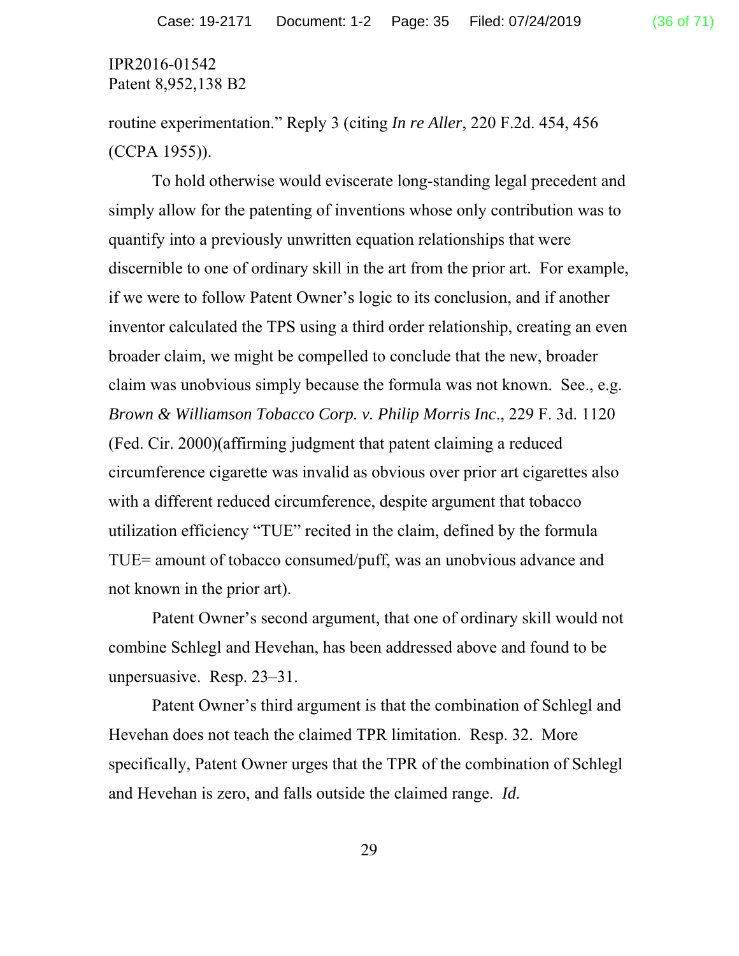routine experimentation." Reply 3 (citing *In re Aller*, 220 F.2d. 454, 456 (CCPA 1955)).

To hold otherwise would eviscerate long-standing legal precedent and simply allow for the patenting of inventions whose only contribution was to quantify into a previously unwritten equation relationships that were discernible to one of ordinary skill in the art from the prior art. For example, if we were to follow Patent Owner's logic to its conclusion, and if another inventor calculated the TPS using a third order relationship, creating an even broader claim, we might be compelled to conclude that the new, broader claim was unobvious simply because the formula was not known. See., e.g. *Brown & Williamson Tobacco Corp. v. Philip Morris Inc*., 229 F. 3d. 1120 (Fed. Cir. 2000)(affirming judgment that patent claiming a reduced circumference cigarette was invalid as obvious over prior art cigarettes also with a different reduced circumference, despite argument that tobacco utilization efficiency "TUE" recited in the claim, defined by the formula TUE= amount of tobacco consumed/puff, was an unobvious advance and not known in the prior art).

Patent Owner's second argument, that one of ordinary skill would not combine Schlegl and Hevehan, has been addressed above and found to be unpersuasive. Resp. 23–31.

Patent Owner's third argument is that the combination of Schlegl and Hevehan does not teach the claimed TPR limitation. Resp. 32. More specifically, Patent Owner urges that the TPR of the combination of Schlegl and Hevehan is zero, and falls outside the claimed range. *Id.*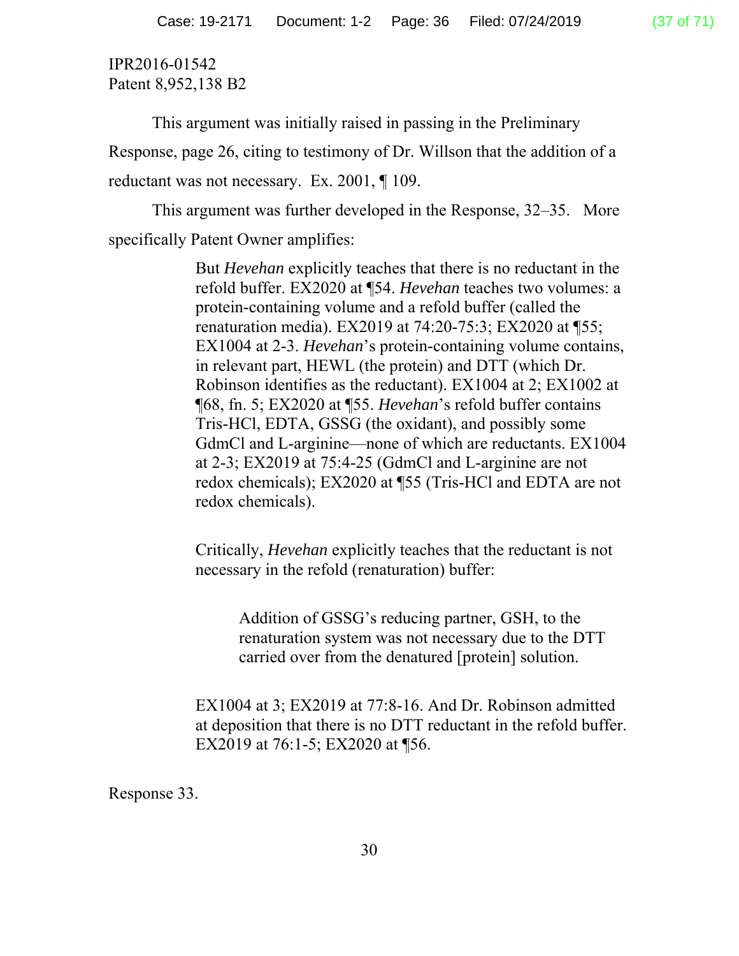This argument was initially raised in passing in the Preliminary Response, page 26, citing to testimony of Dr. Willson that the addition of a reductant was not necessary. Ex. 2001, ¶ 109.

This argument was further developed in the Response, 32–35. More specifically Patent Owner amplifies:

> But *Hevehan* explicitly teaches that there is no reductant in the refold buffer. EX2020 at ¶54. *Hevehan* teaches two volumes: a protein-containing volume and a refold buffer (called the renaturation media). EX2019 at 74:20-75:3; EX2020 at ¶55; EX1004 at 2-3. *Hevehan*'s protein-containing volume contains, in relevant part, HEWL (the protein) and DTT (which Dr. Robinson identifies as the reductant). EX1004 at 2; EX1002 at ¶68, fn. 5; EX2020 at ¶55. *Hevehan*'s refold buffer contains Tris-HCl, EDTA, GSSG (the oxidant), and possibly some GdmCl and L-arginine—none of which are reductants. EX1004 at 2-3; EX2019 at 75:4-25 (GdmCl and L-arginine are not redox chemicals); EX2020 at ¶55 (Tris-HCl and EDTA are not redox chemicals).

Critically, *Hevehan* explicitly teaches that the reductant is not necessary in the refold (renaturation) buffer:

Addition of GSSG's reducing partner, GSH, to the renaturation system was not necessary due to the DTT carried over from the denatured [protein] solution.

EX1004 at 3; EX2019 at 77:8-16. And Dr. Robinson admitted at deposition that there is no DTT reductant in the refold buffer. EX2019 at 76:1-5; EX2020 at ¶56.

Response 33.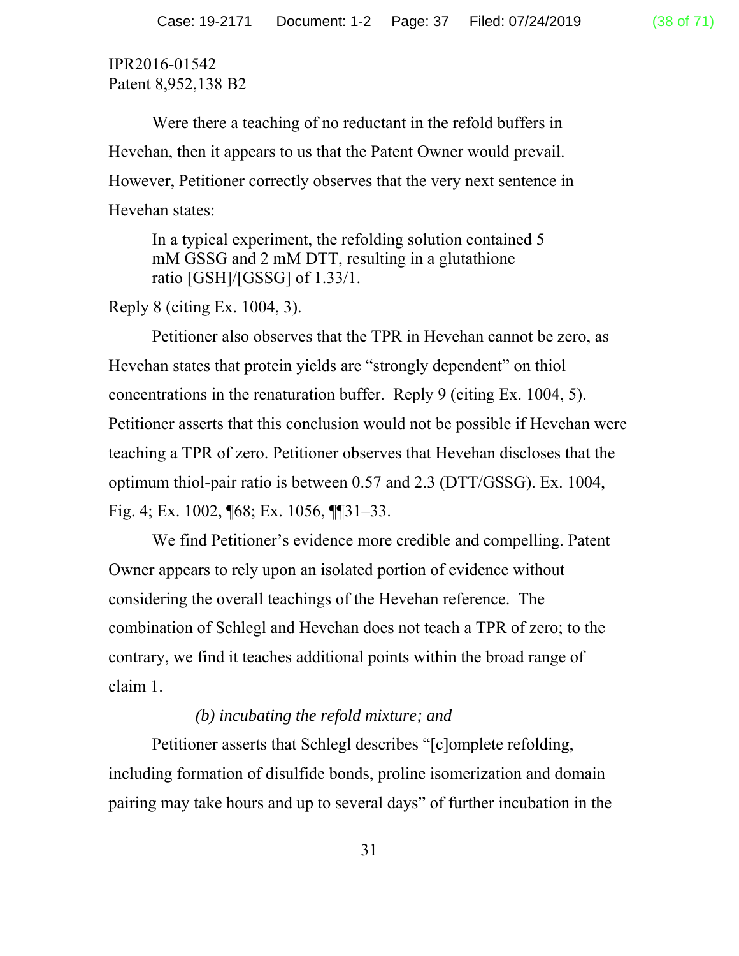Were there a teaching of no reductant in the refold buffers in Hevehan, then it appears to us that the Patent Owner would prevail. However, Petitioner correctly observes that the very next sentence in Hevehan states:

In a typical experiment, the refolding solution contained 5 mM GSSG and 2 mM DTT, resulting in a glutathione ratio [GSH]/[GSSG] of 1.33/1.

Reply 8 (citing Ex. 1004, 3).

Petitioner also observes that the TPR in Hevehan cannot be zero, as Hevehan states that protein yields are "strongly dependent" on thiol concentrations in the renaturation buffer. Reply 9 (citing Ex. 1004, 5). Petitioner asserts that this conclusion would not be possible if Hevehan were teaching a TPR of zero. Petitioner observes that Hevehan discloses that the optimum thiol-pair ratio is between 0.57 and 2.3 (DTT/GSSG). Ex. 1004, Fig. 4; Ex. 1002, ¶68; Ex. 1056, ¶¶31–33.

We find Petitioner's evidence more credible and compelling. Patent Owner appears to rely upon an isolated portion of evidence without considering the overall teachings of the Hevehan reference. The combination of Schlegl and Hevehan does not teach a TPR of zero; to the contrary, we find it teaches additional points within the broad range of claim 1.

#### *(b) incubating the refold mixture; and*

Petitioner asserts that Schlegl describes "[c]omplete refolding, including formation of disulfide bonds, proline isomerization and domain pairing may take hours and up to several days" of further incubation in the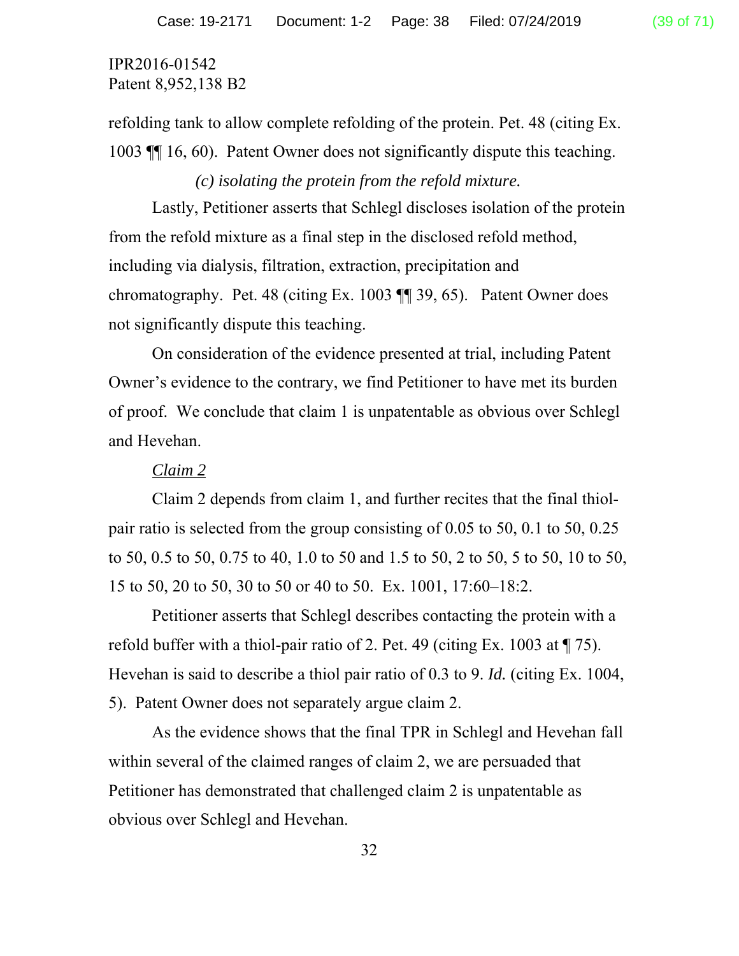# IPR2016-01542

Patent 8,952,138 B2

refolding tank to allow complete refolding of the protein. Pet. 48 (citing Ex. 1003 ¶¶ 16, 60). Patent Owner does not significantly dispute this teaching.

*(c) isolating the protein from the refold mixture.* 

Lastly, Petitioner asserts that Schlegl discloses isolation of the protein from the refold mixture as a final step in the disclosed refold method, including via dialysis, filtration, extraction, precipitation and chromatography. Pet. 48 (citing Ex. 1003 ¶¶ 39, 65). Patent Owner does not significantly dispute this teaching.

On consideration of the evidence presented at trial, including Patent Owner's evidence to the contrary, we find Petitioner to have met its burden of proof. We conclude that claim 1 is unpatentable as obvious over Schlegl and Hevehan.

#### *Claim 2*

Claim 2 depends from claim 1, and further recites that the final thiolpair ratio is selected from the group consisting of 0.05 to 50, 0.1 to 50, 0.25 to 50, 0.5 to 50, 0.75 to 40, 1.0 to 50 and 1.5 to 50, 2 to 50, 5 to 50, 10 to 50, 15 to 50, 20 to 50, 30 to 50 or 40 to 50. Ex. 1001, 17:60–18:2.

Petitioner asserts that Schlegl describes contacting the protein with a refold buffer with a thiol-pair ratio of 2. Pet. 49 (citing Ex. 1003 at ¶ 75). Hevehan is said to describe a thiol pair ratio of 0.3 to 9. *Id.* (citing Ex. 1004, 5). Patent Owner does not separately argue claim 2.

As the evidence shows that the final TPR in Schlegl and Hevehan fall within several of the claimed ranges of claim 2, we are persuaded that Petitioner has demonstrated that challenged claim 2 is unpatentable as obvious over Schlegl and Hevehan.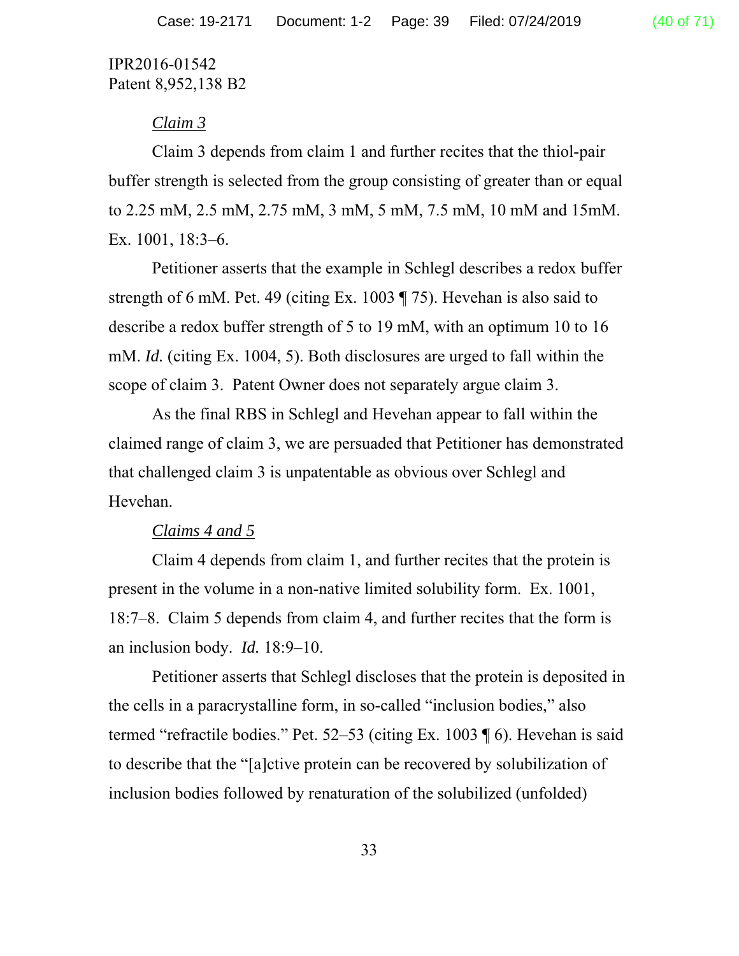## *Claim 3*

Claim 3 depends from claim 1 and further recites that the thiol-pair buffer strength is selected from the group consisting of greater than or equal to 2.25 mM, 2.5 mM, 2.75 mM, 3 mM, 5 mM, 7.5 mM, 10 mM and 15mM. Ex. 1001, 18:3–6.

Petitioner asserts that the example in Schlegl describes a redox buffer strength of 6 mM. Pet. 49 (citing Ex. 1003 ¶ 75). Hevehan is also said to describe a redox buffer strength of 5 to 19 mM, with an optimum 10 to 16 mM. *Id.* (citing Ex. 1004, 5). Both disclosures are urged to fall within the scope of claim 3. Patent Owner does not separately argue claim 3.

As the final RBS in Schlegl and Hevehan appear to fall within the claimed range of claim 3, we are persuaded that Petitioner has demonstrated that challenged claim 3 is unpatentable as obvious over Schlegl and Hevehan.

#### *Claims 4 and 5*

Claim 4 depends from claim 1, and further recites that the protein is present in the volume in a non-native limited solubility form. Ex. 1001, 18:7–8. Claim 5 depends from claim 4, and further recites that the form is an inclusion body. *Id.* 18:9–10.

Petitioner asserts that Schlegl discloses that the protein is deposited in the cells in a paracrystalline form, in so-called "inclusion bodies," also termed "refractile bodies." Pet. 52–53 (citing Ex. 1003 ¶ 6). Hevehan is said to describe that the "[a]ctive protein can be recovered by solubilization of inclusion bodies followed by renaturation of the solubilized (unfolded)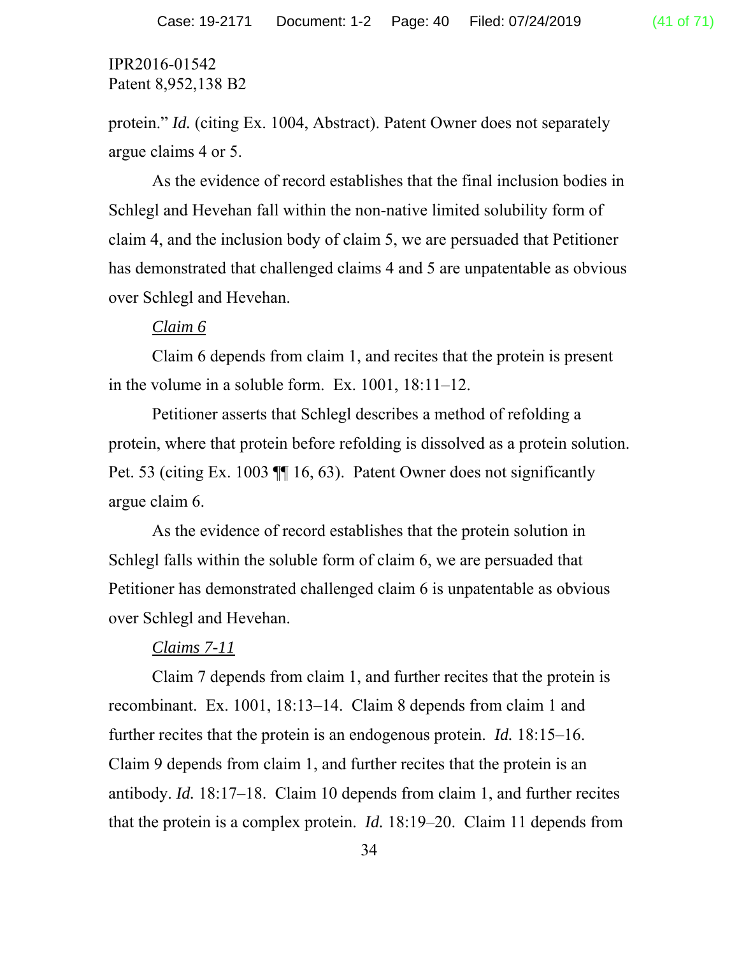protein." *Id.* (citing Ex. 1004, Abstract). Patent Owner does not separately argue claims 4 or 5.

As the evidence of record establishes that the final inclusion bodies in Schlegl and Hevehan fall within the non-native limited solubility form of claim 4, and the inclusion body of claim 5, we are persuaded that Petitioner has demonstrated that challenged claims 4 and 5 are unpatentable as obvious over Schlegl and Hevehan.

#### *Claim 6*

Claim 6 depends from claim 1, and recites that the protein is present in the volume in a soluble form. Ex. 1001, 18:11–12.

Petitioner asserts that Schlegl describes a method of refolding a protein, where that protein before refolding is dissolved as a protein solution. Pet. 53 (citing Ex. 1003 ¶¶ 16, 63). Patent Owner does not significantly argue claim 6.

As the evidence of record establishes that the protein solution in Schlegl falls within the soluble form of claim 6, we are persuaded that Petitioner has demonstrated challenged claim 6 is unpatentable as obvious over Schlegl and Hevehan.

#### *Claims 7-11*

Claim 7 depends from claim 1, and further recites that the protein is recombinant. Ex. 1001, 18:13–14. Claim 8 depends from claim 1 and further recites that the protein is an endogenous protein. *Id.* 18:15–16. Claim 9 depends from claim 1, and further recites that the protein is an antibody. *Id.* 18:17–18. Claim 10 depends from claim 1, and further recites that the protein is a complex protein. *Id.* 18:19–20. Claim 11 depends from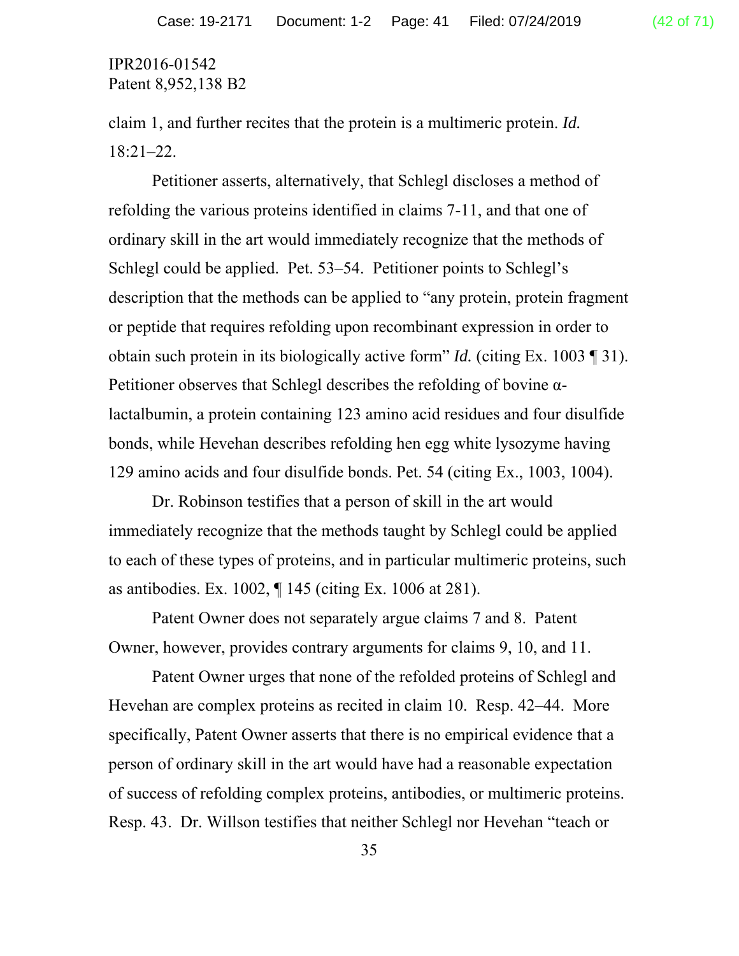claim 1, and further recites that the protein is a multimeric protein. *Id.*  18:21–22.

Petitioner asserts, alternatively, that Schlegl discloses a method of refolding the various proteins identified in claims 7-11, and that one of ordinary skill in the art would immediately recognize that the methods of Schlegl could be applied. Pet. 53–54. Petitioner points to Schlegl's description that the methods can be applied to "any protein, protein fragment or peptide that requires refolding upon recombinant expression in order to obtain such protein in its biologically active form" *Id.* (citing Ex. 1003 ¶ 31). Petitioner observes that Schlegl describes the refolding of bovine αlactalbumin, a protein containing 123 amino acid residues and four disulfide bonds, while Hevehan describes refolding hen egg white lysozyme having 129 amino acids and four disulfide bonds. Pet. 54 (citing Ex., 1003, 1004).

Dr. Robinson testifies that a person of skill in the art would immediately recognize that the methods taught by Schlegl could be applied to each of these types of proteins, and in particular multimeric proteins, such as antibodies. Ex. 1002, ¶ 145 (citing Ex. 1006 at 281).

Patent Owner does not separately argue claims 7 and 8. Patent Owner, however, provides contrary arguments for claims 9, 10, and 11.

Patent Owner urges that none of the refolded proteins of Schlegl and Hevehan are complex proteins as recited in claim 10. Resp. 42–44. More specifically, Patent Owner asserts that there is no empirical evidence that a person of ordinary skill in the art would have had a reasonable expectation of success of refolding complex proteins, antibodies, or multimeric proteins. Resp. 43. Dr. Willson testifies that neither Schlegl nor Hevehan "teach or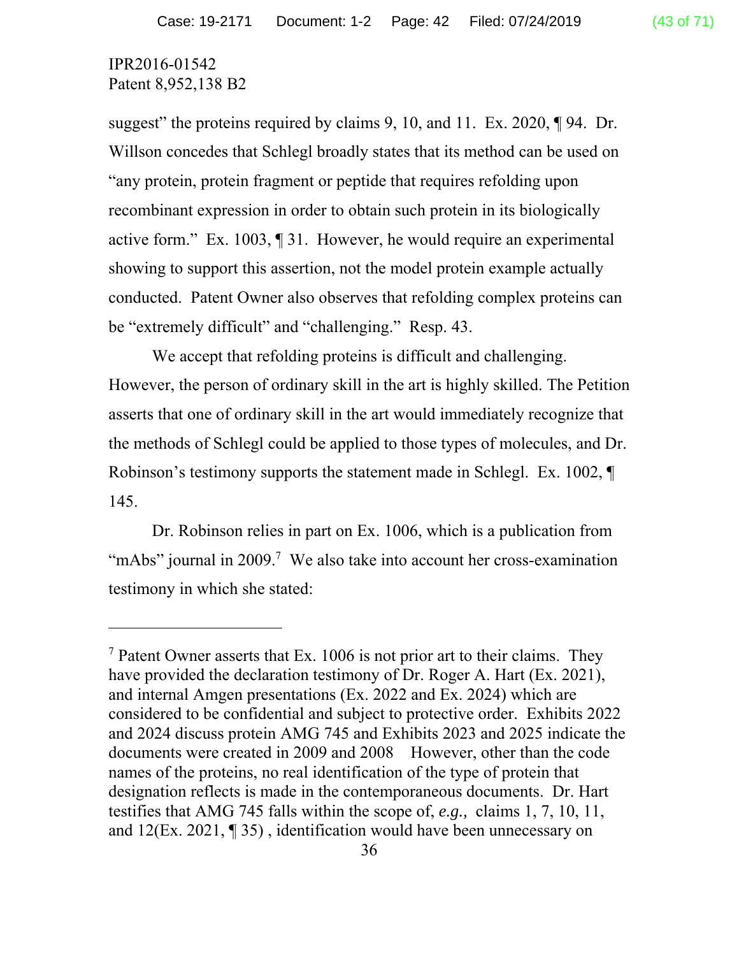-

suggest" the proteins required by claims 9, 10, and 11. Ex. 2020, ¶94. Dr. Willson concedes that Schlegl broadly states that its method can be used on "any protein, protein fragment or peptide that requires refolding upon recombinant expression in order to obtain such protein in its biologically active form." Ex. 1003, ¶ 31. However, he would require an experimental showing to support this assertion, not the model protein example actually conducted. Patent Owner also observes that refolding complex proteins can be "extremely difficult" and "challenging." Resp. 43.

We accept that refolding proteins is difficult and challenging. However, the person of ordinary skill in the art is highly skilled. The Petition asserts that one of ordinary skill in the art would immediately recognize that the methods of Schlegl could be applied to those types of molecules, and Dr. Robinson's testimony supports the statement made in Schlegl. Ex. 1002, ¶ 145.

Dr. Robinson relies in part on Ex. 1006, which is a publication from "mAbs" journal in 2009.<sup>7</sup> We also take into account her cross-examination testimony in which she stated:

<sup>&</sup>lt;sup>7</sup> Patent Owner asserts that Ex. 1006 is not prior art to their claims. They have provided the declaration testimony of Dr. Roger A. Hart (Ex. 2021), and internal Amgen presentations (Ex. 2022 and Ex. 2024) which are considered to be confidential and subject to protective order. Exhibits 2022 and 2024 discuss protein AMG 745 and Exhibits 2023 and 2025 indicate the documents were created in 2009 and 2008 However, other than the code names of the proteins, no real identification of the type of protein that designation reflects is made in the contemporaneous documents. Dr. Hart testifies that AMG 745 falls within the scope of, *e.g.,* claims 1, 7, 10, 11, and 12(Ex. 2021, ¶ 35) , identification would have been unnecessary on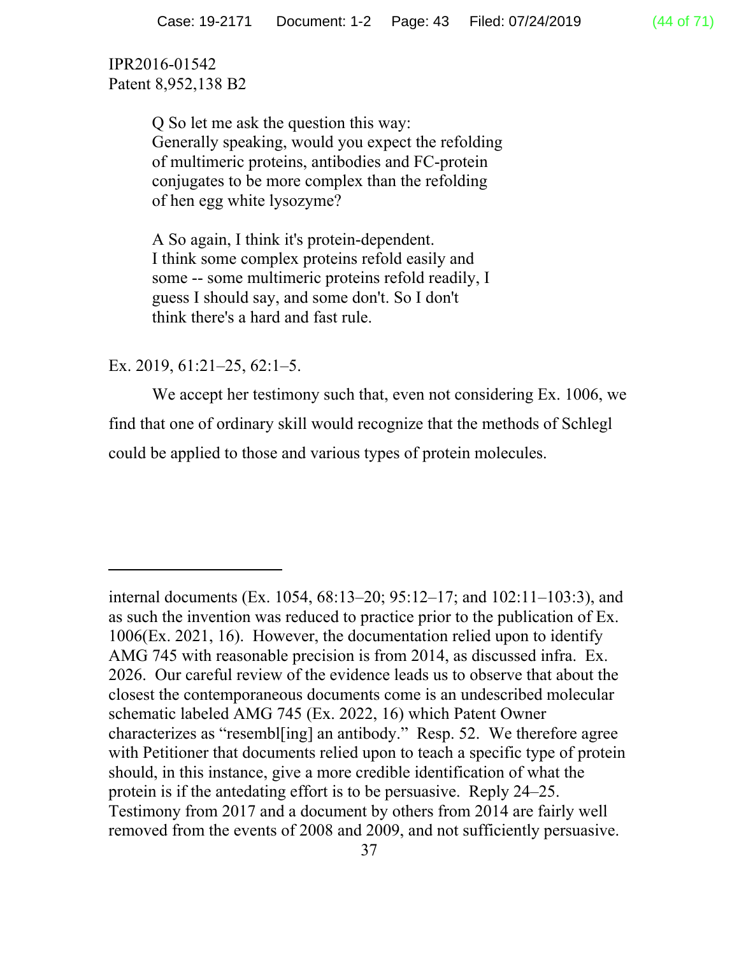> Q So let me ask the question this way: Generally speaking, would you expect the refolding of multimeric proteins, antibodies and FC-protein conjugates to be more complex than the refolding of hen egg white lysozyme?

A So again, I think it's protein-dependent. I think some complex proteins refold easily and some -- some multimeric proteins refold readily, I guess I should say, and some don't. So I don't think there's a hard and fast rule.

# Ex. 2019, 61:21–25, 62:1–5.

 $\overline{a}$ 

 We accept her testimony such that, even not considering Ex. 1006, we find that one of ordinary skill would recognize that the methods of Schlegl could be applied to those and various types of protein molecules.

internal documents (Ex. 1054, 68:13–20; 95:12–17; and 102:11–103:3), and as such the invention was reduced to practice prior to the publication of Ex. 1006(Ex. 2021, 16). However, the documentation relied upon to identify AMG 745 with reasonable precision is from 2014, as discussed infra. Ex. 2026. Our careful review of the evidence leads us to observe that about the closest the contemporaneous documents come is an undescribed molecular schematic labeled AMG 745 (Ex. 2022, 16) which Patent Owner characterizes as "resembl[ing] an antibody." Resp. 52. We therefore agree with Petitioner that documents relied upon to teach a specific type of protein should, in this instance, give a more credible identification of what the protein is if the antedating effort is to be persuasive. Reply 24–25. Testimony from 2017 and a document by others from 2014 are fairly well removed from the events of 2008 and 2009, and not sufficiently persuasive.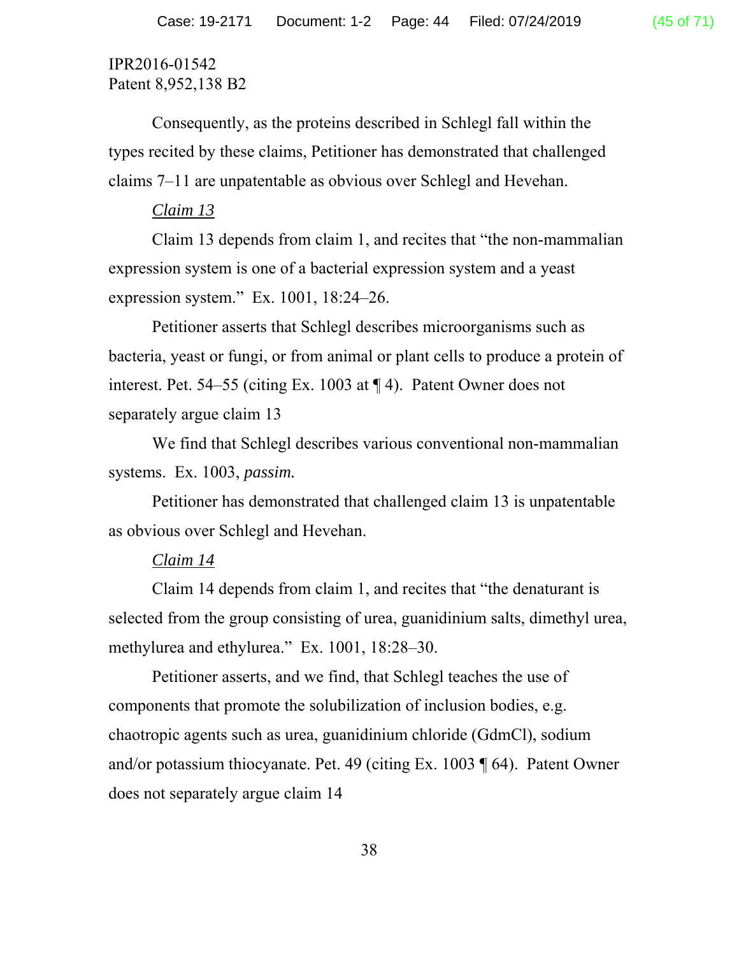Consequently, as the proteins described in Schlegl fall within the types recited by these claims, Petitioner has demonstrated that challenged claims 7–11 are unpatentable as obvious over Schlegl and Hevehan.

## *Claim 13*

Claim 13 depends from claim 1, and recites that "the non-mammalian expression system is one of a bacterial expression system and a yeast expression system." Ex. 1001, 18:24–26.

Petitioner asserts that Schlegl describes microorganisms such as bacteria, yeast or fungi, or from animal or plant cells to produce a protein of interest. Pet. 54–55 (citing Ex. 1003 at ¶ 4). Patent Owner does not separately argue claim 13

We find that Schlegl describes various conventional non-mammalian systems. Ex. 1003, *passim.* 

Petitioner has demonstrated that challenged claim 13 is unpatentable as obvious over Schlegl and Hevehan.

#### *Claim 14*

Claim 14 depends from claim 1, and recites that "the denaturant is selected from the group consisting of urea, guanidinium salts, dimethyl urea, methylurea and ethylurea." Ex. 1001, 18:28–30.

Petitioner asserts, and we find, that Schlegl teaches the use of components that promote the solubilization of inclusion bodies, e.g. chaotropic agents such as urea, guanidinium chloride (GdmCl), sodium and/or potassium thiocyanate. Pet. 49 (citing Ex. 1003 ¶ 64). Patent Owner does not separately argue claim 14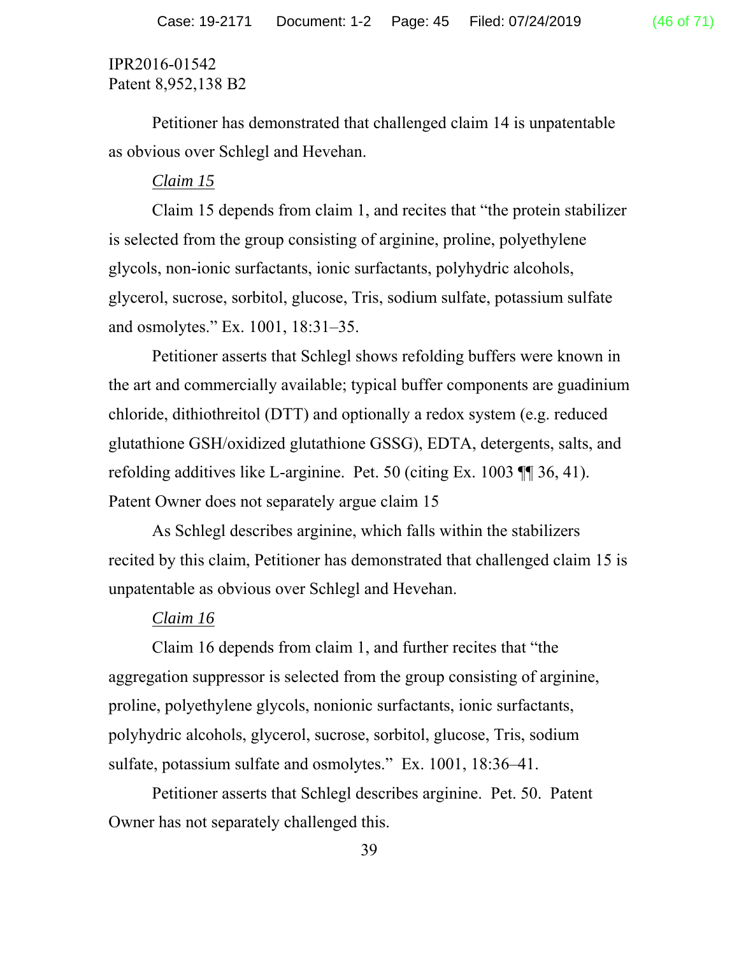Petitioner has demonstrated that challenged claim 14 is unpatentable as obvious over Schlegl and Hevehan.

# *Claim 15*

Claim 15 depends from claim 1, and recites that "the protein stabilizer is selected from the group consisting of arginine, proline, polyethylene glycols, non-ionic surfactants, ionic surfactants, polyhydric alcohols, glycerol, sucrose, sorbitol, glucose, Tris, sodium sulfate, potassium sulfate and osmolytes." Ex. 1001, 18:31–35.

Petitioner asserts that Schlegl shows refolding buffers were known in the art and commercially available; typical buffer components are guadinium chloride, dithiothreitol (DTT) and optionally a redox system (e.g. reduced glutathione GSH/oxidized glutathione GSSG), EDTA, detergents, salts, and refolding additives like L-arginine. Pet. 50 (citing Ex. 1003 ¶¶ 36, 41). Patent Owner does not separately argue claim 15

As Schlegl describes arginine, which falls within the stabilizers recited by this claim, Petitioner has demonstrated that challenged claim 15 is unpatentable as obvious over Schlegl and Hevehan.

# *Claim 16*

Claim 16 depends from claim 1, and further recites that "the aggregation suppressor is selected from the group consisting of arginine, proline, polyethylene glycols, nonionic surfactants, ionic surfactants, polyhydric alcohols, glycerol, sucrose, sorbitol, glucose, Tris, sodium sulfate, potassium sulfate and osmolytes." Ex. 1001, 18:36–41.

Petitioner asserts that Schlegl describes arginine. Pet. 50. Patent Owner has not separately challenged this.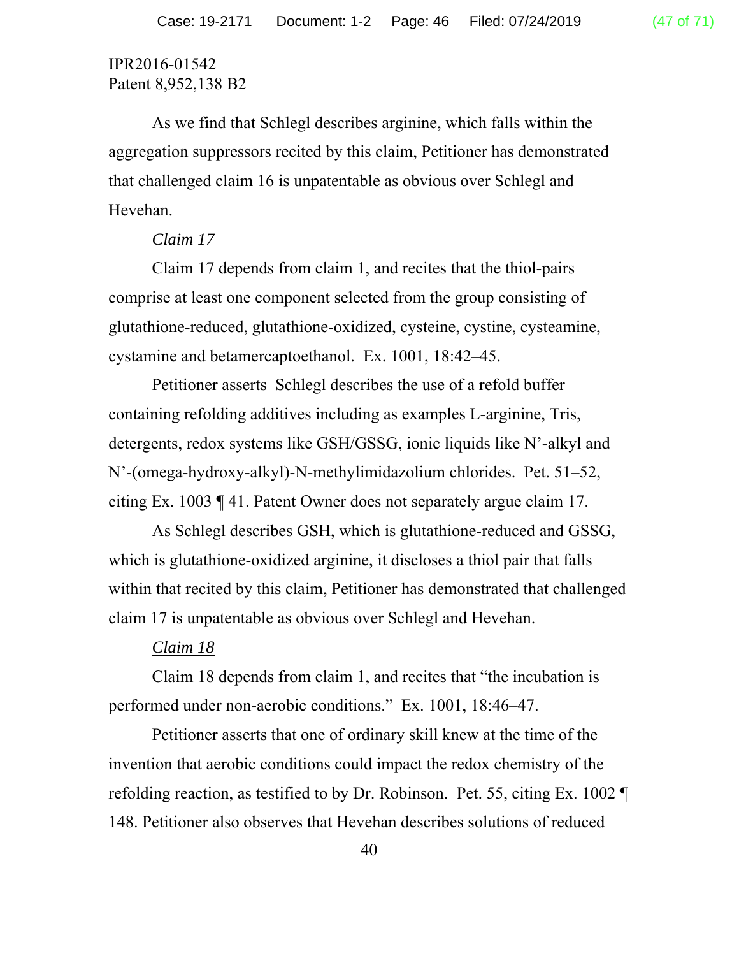As we find that Schlegl describes arginine, which falls within the aggregation suppressors recited by this claim, Petitioner has demonstrated that challenged claim 16 is unpatentable as obvious over Schlegl and Hevehan.

## *Claim 17*

Claim 17 depends from claim 1, and recites that the thiol-pairs comprise at least one component selected from the group consisting of glutathione-reduced, glutathione-oxidized, cysteine, cystine, cysteamine, cystamine and betamercaptoethanol. Ex. 1001, 18:42–45.

Petitioner asserts Schlegl describes the use of a refold buffer containing refolding additives including as examples L-arginine, Tris, detergents, redox systems like GSH/GSSG, ionic liquids like N'-alkyl and N'-(omega-hydroxy-alkyl)-N-methylimidazolium chlorides. Pet. 51–52, citing Ex. 1003 ¶ 41. Patent Owner does not separately argue claim 17.

As Schlegl describes GSH, which is glutathione-reduced and GSSG, which is glutathione-oxidized arginine, it discloses a thiol pair that falls within that recited by this claim, Petitioner has demonstrated that challenged claim 17 is unpatentable as obvious over Schlegl and Hevehan.

## *Claim 18*

Claim 18 depends from claim 1, and recites that "the incubation is performed under non-aerobic conditions." Ex. 1001, 18:46–47.

Petitioner asserts that one of ordinary skill knew at the time of the invention that aerobic conditions could impact the redox chemistry of the refolding reaction, as testified to by Dr. Robinson. Pet. 55, citing Ex. 1002 ¶ 148. Petitioner also observes that Hevehan describes solutions of reduced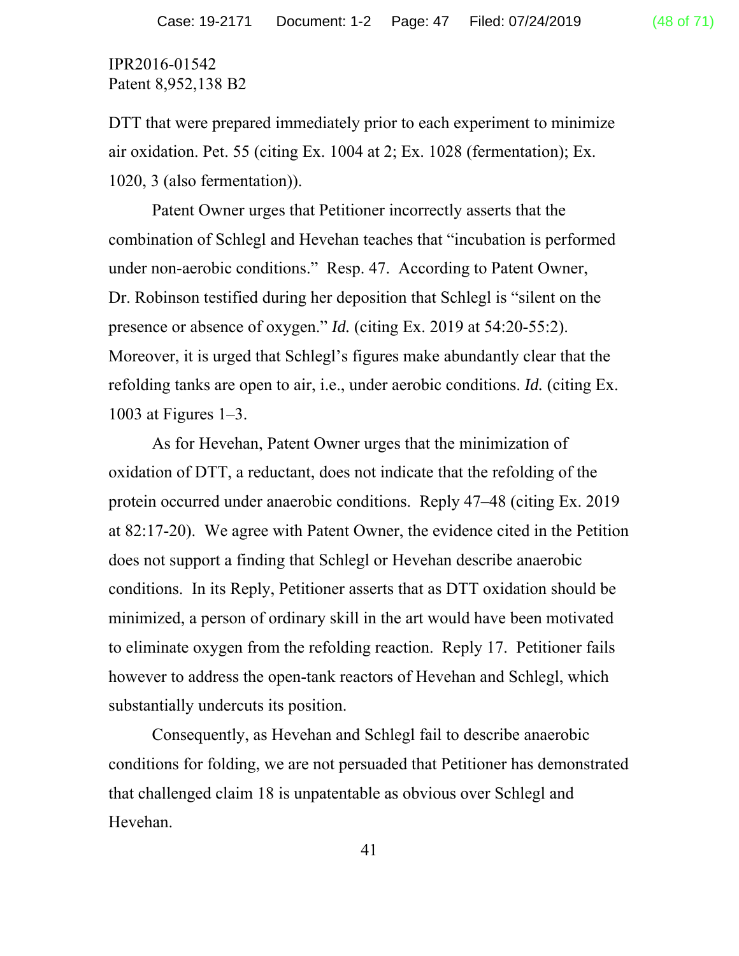DTT that were prepared immediately prior to each experiment to minimize air oxidation. Pet. 55 (citing Ex. 1004 at 2; Ex. 1028 (fermentation); Ex. 1020, 3 (also fermentation)).

Patent Owner urges that Petitioner incorrectly asserts that the combination of Schlegl and Hevehan teaches that "incubation is performed under non-aerobic conditions." Resp. 47. According to Patent Owner, Dr. Robinson testified during her deposition that Schlegl is "silent on the presence or absence of oxygen." *Id.* (citing Ex. 2019 at 54:20-55:2). Moreover, it is urged that Schlegl's figures make abundantly clear that the refolding tanks are open to air, i.e., under aerobic conditions. *Id.* (citing Ex. 1003 at Figures 1–3.

 As for Hevehan, Patent Owner urges that the minimization of oxidation of DTT, a reductant, does not indicate that the refolding of the protein occurred under anaerobic conditions. Reply 47–48 (citing Ex. 2019 at 82:17-20). We agree with Patent Owner, the evidence cited in the Petition does not support a finding that Schlegl or Hevehan describe anaerobic conditions. In its Reply, Petitioner asserts that as DTT oxidation should be minimized, a person of ordinary skill in the art would have been motivated to eliminate oxygen from the refolding reaction. Reply 17. Petitioner fails however to address the open-tank reactors of Hevehan and Schlegl, which substantially undercuts its position.

Consequently, as Hevehan and Schlegl fail to describe anaerobic conditions for folding, we are not persuaded that Petitioner has demonstrated that challenged claim 18 is unpatentable as obvious over Schlegl and Hevehan.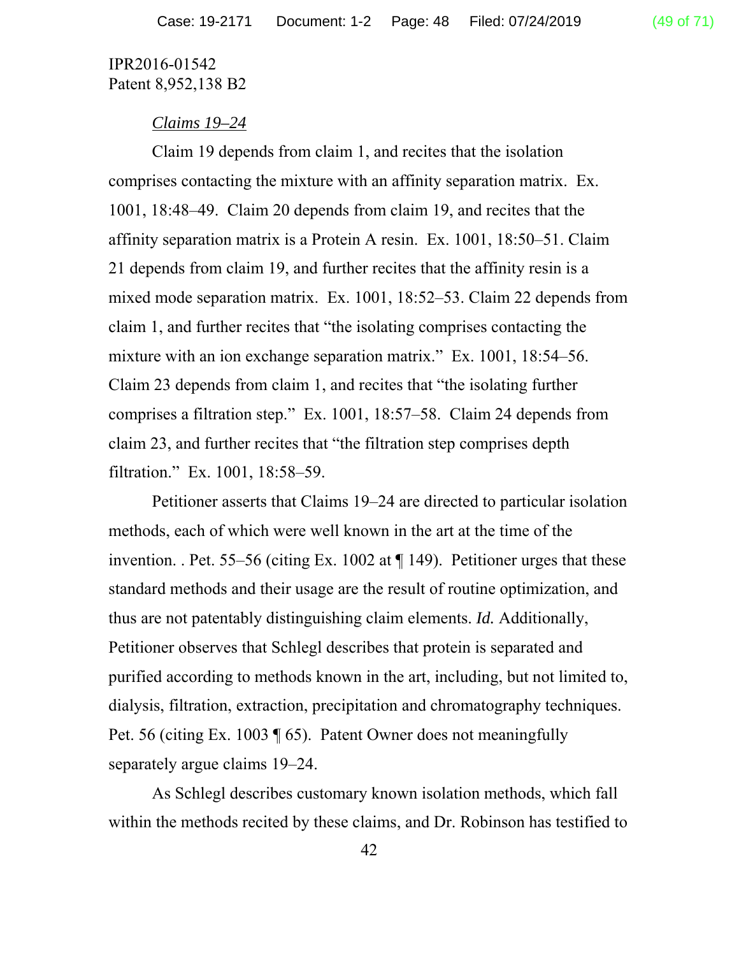## *Claims 19–24*

Claim 19 depends from claim 1, and recites that the isolation comprises contacting the mixture with an affinity separation matrix. Ex. 1001, 18:48–49. Claim 20 depends from claim 19, and recites that the affinity separation matrix is a Protein A resin. Ex. 1001, 18:50–51. Claim 21 depends from claim 19, and further recites that the affinity resin is a mixed mode separation matrix. Ex. 1001, 18:52–53. Claim 22 depends from claim 1, and further recites that "the isolating comprises contacting the mixture with an ion exchange separation matrix." Ex. 1001, 18:54–56. Claim 23 depends from claim 1, and recites that "the isolating further comprises a filtration step." Ex. 1001, 18:57–58. Claim 24 depends from claim 23, and further recites that "the filtration step comprises depth filtration." Ex. 1001, 18:58–59.

Petitioner asserts that Claims 19–24 are directed to particular isolation methods, each of which were well known in the art at the time of the invention. . Pet. 55–56 (citing Ex. 1002 at  $\P$  149). Petitioner urges that these standard methods and their usage are the result of routine optimization, and thus are not patentably distinguishing claim elements. *Id.* Additionally, Petitioner observes that Schlegl describes that protein is separated and purified according to methods known in the art, including, but not limited to, dialysis, filtration, extraction, precipitation and chromatography techniques. Pet. 56 (citing Ex. 1003 ¶ 65). Patent Owner does not meaningfully separately argue claims 19–24.

As Schlegl describes customary known isolation methods, which fall within the methods recited by these claims, and Dr. Robinson has testified to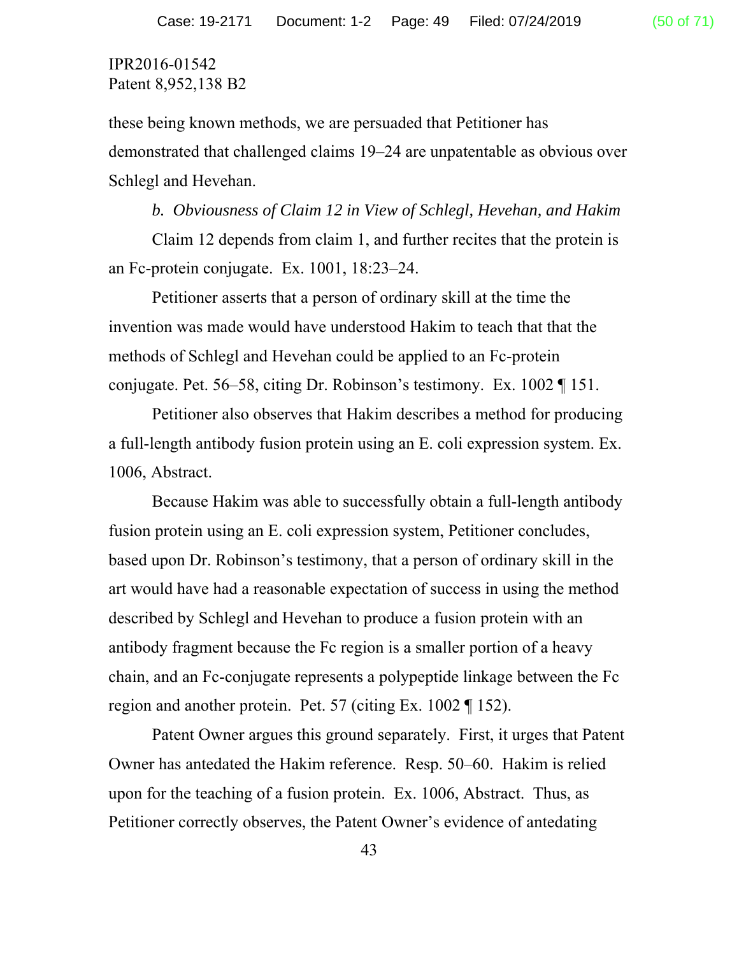these being known methods, we are persuaded that Petitioner has demonstrated that challenged claims 19–24 are unpatentable as obvious over Schlegl and Hevehan.

*b. Obviousness of Claim 12 in View of Schlegl, Hevehan, and Hakim*  Claim 12 depends from claim 1, and further recites that the protein is an Fc-protein conjugate. Ex. 1001, 18:23–24.

Petitioner asserts that a person of ordinary skill at the time the invention was made would have understood Hakim to teach that that the methods of Schlegl and Hevehan could be applied to an Fc-protein conjugate. Pet. 56–58, citing Dr. Robinson's testimony. Ex. 1002 ¶ 151.

Petitioner also observes that Hakim describes a method for producing a full-length antibody fusion protein using an E. coli expression system. Ex. 1006, Abstract.

Because Hakim was able to successfully obtain a full-length antibody fusion protein using an E. coli expression system, Petitioner concludes, based upon Dr. Robinson's testimony, that a person of ordinary skill in the art would have had a reasonable expectation of success in using the method described by Schlegl and Hevehan to produce a fusion protein with an antibody fragment because the Fc region is a smaller portion of a heavy chain, and an Fc-conjugate represents a polypeptide linkage between the Fc region and another protein. Pet. 57 (citing Ex. 1002 ¶ 152).

Patent Owner argues this ground separately. First, it urges that Patent Owner has antedated the Hakim reference. Resp. 50–60. Hakim is relied upon for the teaching of a fusion protein. Ex. 1006, Abstract. Thus, as Petitioner correctly observes, the Patent Owner's evidence of antedating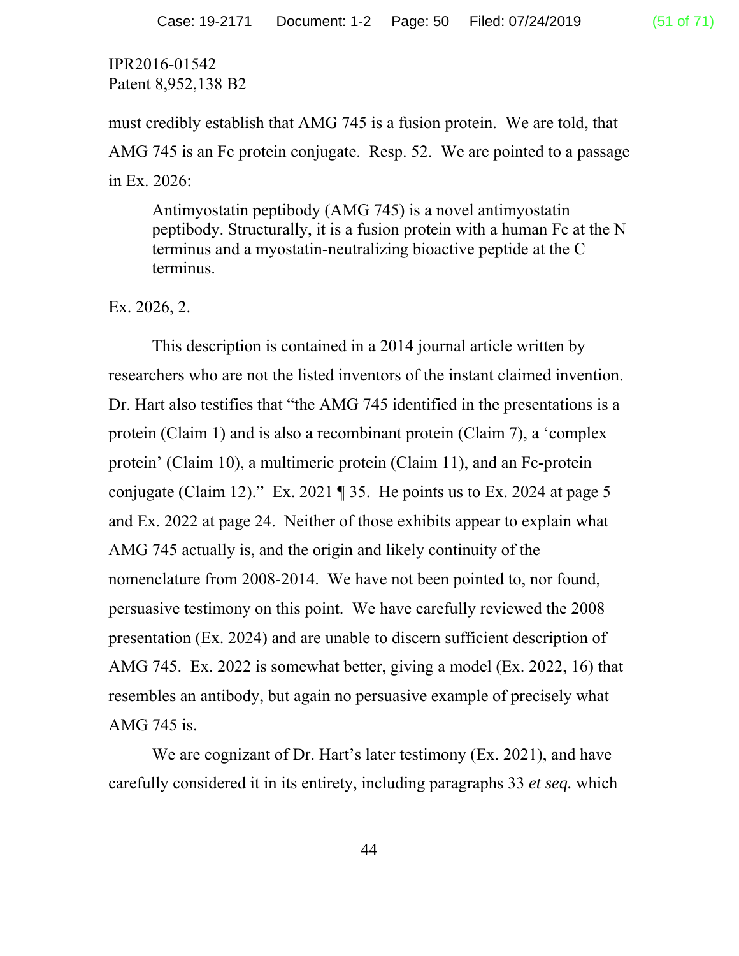must credibly establish that AMG 745 is a fusion protein. We are told, that AMG 745 is an Fc protein conjugate. Resp. 52. We are pointed to a passage in Ex. 2026:

Antimyostatin peptibody (AMG 745) is a novel antimyostatin peptibody. Structurally, it is a fusion protein with a human Fc at the N terminus and a myostatin-neutralizing bioactive peptide at the C terminus.

Ex. 2026, 2.

This description is contained in a 2014 journal article written by researchers who are not the listed inventors of the instant claimed invention. Dr. Hart also testifies that "the AMG 745 identified in the presentations is a protein (Claim 1) and is also a recombinant protein (Claim 7), a 'complex protein' (Claim 10), a multimeric protein (Claim 11), and an Fc-protein conjugate (Claim 12)." Ex. 2021  $\parallel$  35. He points us to Ex. 2024 at page 5 and Ex. 2022 at page 24. Neither of those exhibits appear to explain what AMG 745 actually is, and the origin and likely continuity of the nomenclature from 2008-2014. We have not been pointed to, nor found, persuasive testimony on this point. We have carefully reviewed the 2008 presentation (Ex. 2024) and are unable to discern sufficient description of AMG 745. Ex. 2022 is somewhat better, giving a model (Ex. 2022, 16) that resembles an antibody, but again no persuasive example of precisely what AMG 745 is.

We are cognizant of Dr. Hart's later testimony (Ex. 2021), and have carefully considered it in its entirety, including paragraphs 33 *et seq.* which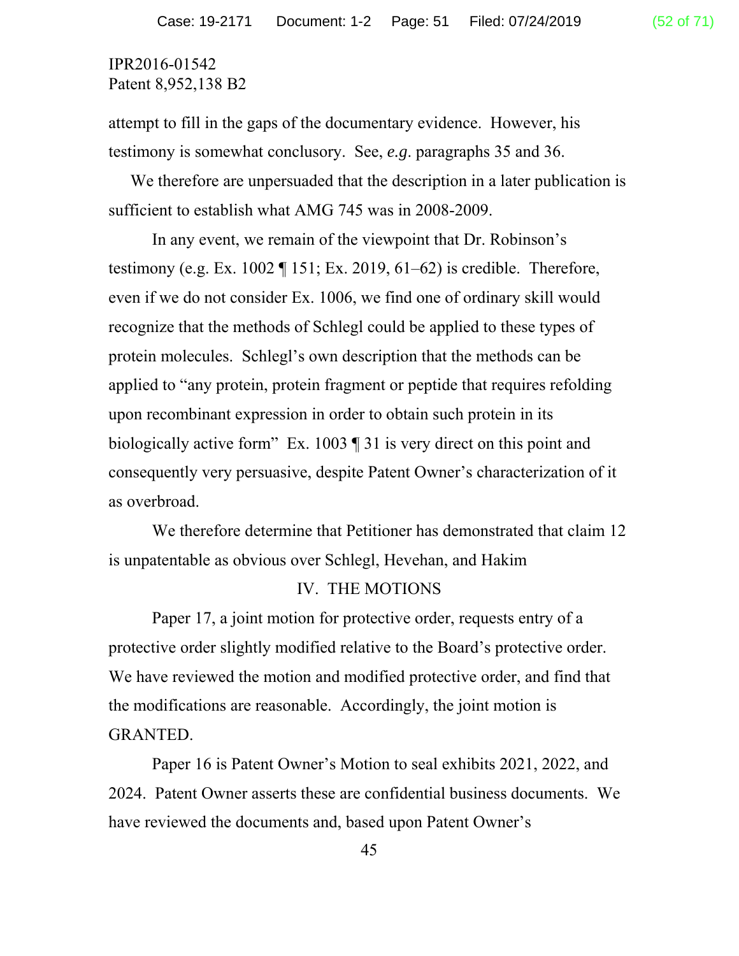attempt to fill in the gaps of the documentary evidence. However, his testimony is somewhat conclusory. See, *e.g*. paragraphs 35 and 36.

We therefore are unpersuaded that the description in a later publication is sufficient to establish what AMG 745 was in 2008-2009.

 In any event, we remain of the viewpoint that Dr. Robinson's testimony (e.g. Ex. 1002  $\P$  151; Ex. 2019, 61–62) is credible. Therefore, even if we do not consider Ex. 1006, we find one of ordinary skill would recognize that the methods of Schlegl could be applied to these types of protein molecules. Schlegl's own description that the methods can be applied to "any protein, protein fragment or peptide that requires refolding upon recombinant expression in order to obtain such protein in its biologically active form" Ex. 1003 ¶ 31 is very direct on this point and consequently very persuasive, despite Patent Owner's characterization of it as overbroad.

 We therefore determine that Petitioner has demonstrated that claim 12 is unpatentable as obvious over Schlegl, Hevehan, and Hakim

#### IV. THE MOTIONS

 Paper 17, a joint motion for protective order, requests entry of a protective order slightly modified relative to the Board's protective order. We have reviewed the motion and modified protective order, and find that the modifications are reasonable. Accordingly, the joint motion is GRANTED.

 Paper 16 is Patent Owner's Motion to seal exhibits 2021, 2022, and 2024. Patent Owner asserts these are confidential business documents. We have reviewed the documents and, based upon Patent Owner's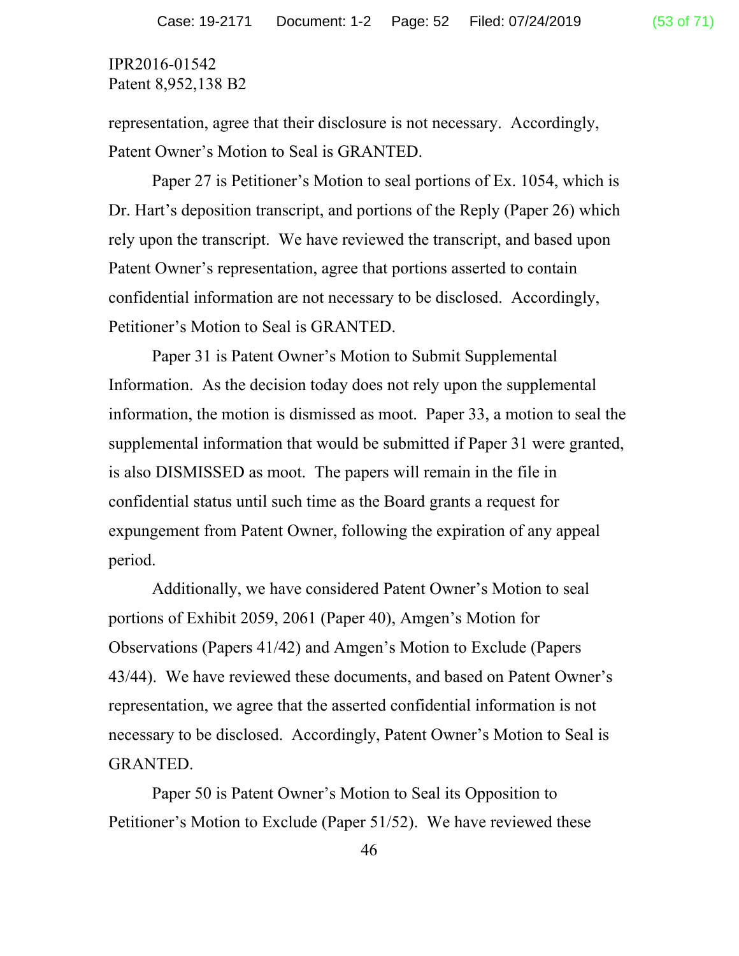representation, agree that their disclosure is not necessary. Accordingly, Patent Owner's Motion to Seal is GRANTED.

 Paper 27 is Petitioner's Motion to seal portions of Ex. 1054, which is Dr. Hart's deposition transcript, and portions of the Reply (Paper 26) which rely upon the transcript. We have reviewed the transcript, and based upon Patent Owner's representation, agree that portions asserted to contain confidential information are not necessary to be disclosed. Accordingly, Petitioner's Motion to Seal is GRANTED.

 Paper 31 is Patent Owner's Motion to Submit Supplemental Information. As the decision today does not rely upon the supplemental information, the motion is dismissed as moot. Paper 33, a motion to seal the supplemental information that would be submitted if Paper 31 were granted, is also DISMISSED as moot. The papers will remain in the file in confidential status until such time as the Board grants a request for expungement from Patent Owner, following the expiration of any appeal period.

 Additionally, we have considered Patent Owner's Motion to seal portions of Exhibit 2059, 2061 (Paper 40), Amgen's Motion for Observations (Papers 41/42) and Amgen's Motion to Exclude (Papers 43/44). We have reviewed these documents, and based on Patent Owner's representation, we agree that the asserted confidential information is not necessary to be disclosed. Accordingly, Patent Owner's Motion to Seal is GRANTED.

 Paper 50 is Patent Owner's Motion to Seal its Opposition to Petitioner's Motion to Exclude (Paper 51/52). We have reviewed these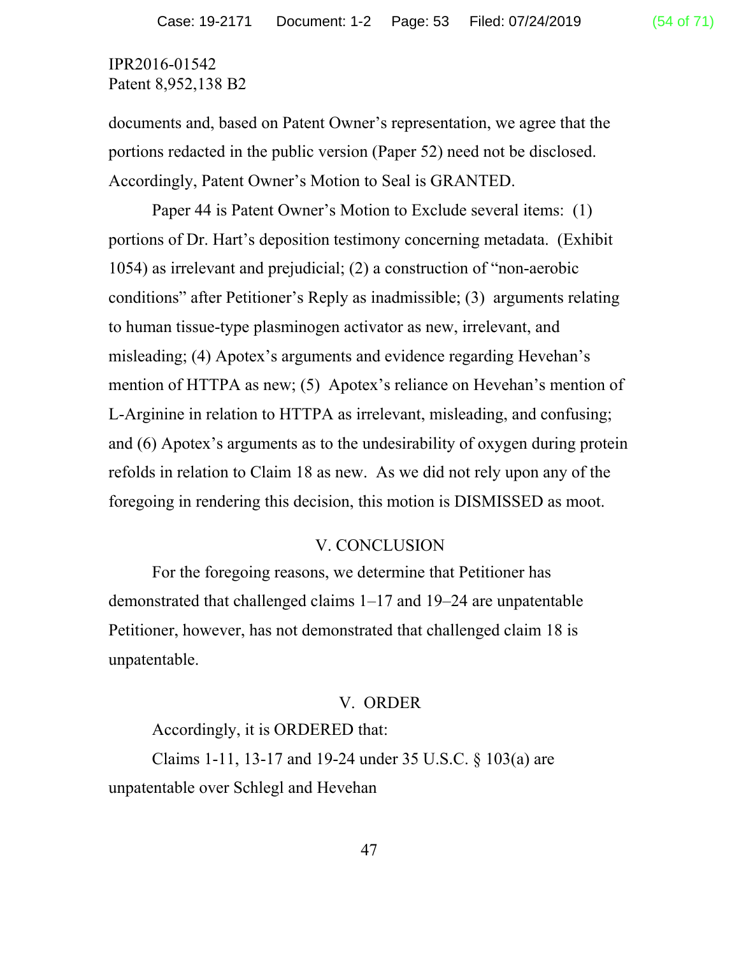documents and, based on Patent Owner's representation, we agree that the portions redacted in the public version (Paper 52) need not be disclosed. Accordingly, Patent Owner's Motion to Seal is GRANTED.

Paper 44 is Patent Owner's Motion to Exclude several items: (1) portions of Dr. Hart's deposition testimony concerning metadata. (Exhibit 1054) as irrelevant and prejudicial; (2) a construction of "non-aerobic conditions" after Petitioner's Reply as inadmissible; (3) arguments relating to human tissue-type plasminogen activator as new, irrelevant, and misleading; (4) Apotex's arguments and evidence regarding Hevehan's mention of HTTPA as new; (5) Apotex's reliance on Hevehan's mention of L-Arginine in relation to HTTPA as irrelevant, misleading, and confusing; and (6) Apotex's arguments as to the undesirability of oxygen during protein refolds in relation to Claim 18 as new. As we did not rely upon any of the foregoing in rendering this decision, this motion is DISMISSED as moot.

#### V. CONCLUSION

For the foregoing reasons, we determine that Petitioner has demonstrated that challenged claims 1–17 and 19–24 are unpatentable Petitioner, however, has not demonstrated that challenged claim 18 is unpatentable.

#### V. ORDER

Accordingly, it is ORDERED that:

Claims 1-11, 13-17 and 19-24 under 35 U.S.C. § 103(a) are unpatentable over Schlegl and Hevehan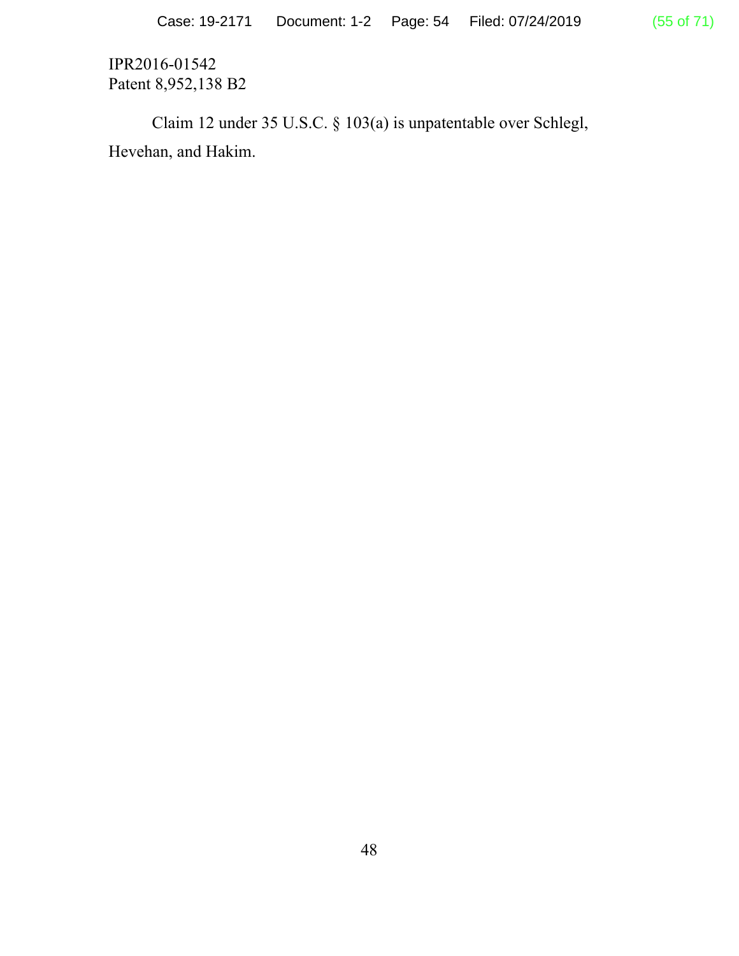Claim 12 under 35 U.S.C. § 103(a) is unpatentable over Schlegl, Hevehan, and Hakim.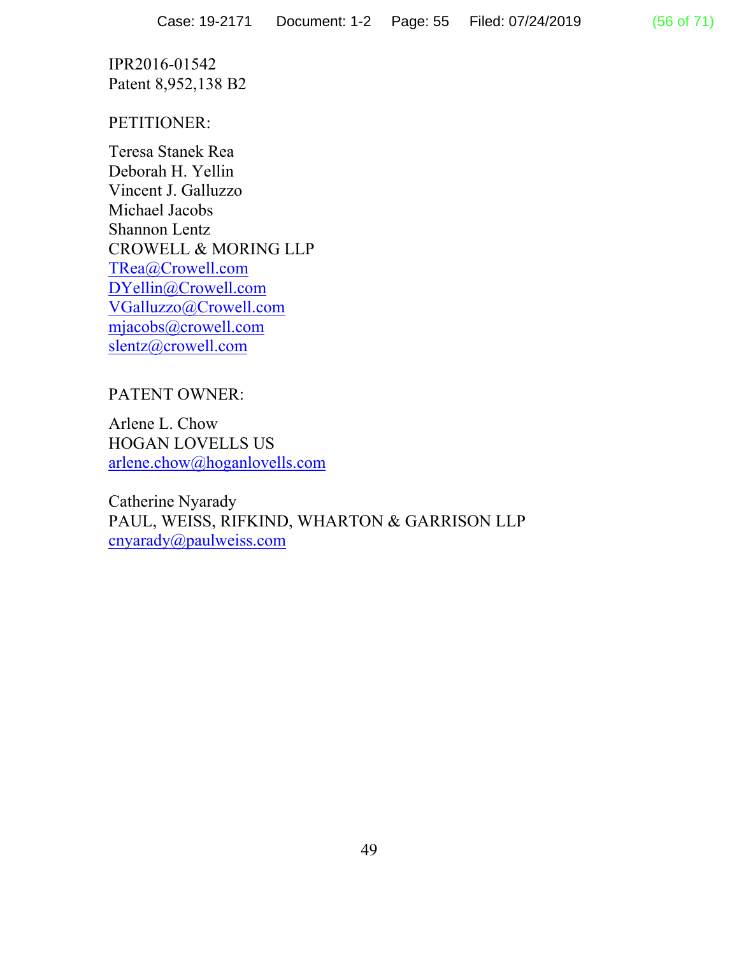## PETITIONER:

Teresa Stanek Rea Deborah H. Yellin Vincent J. Galluzzo Michael Jacobs Shannon Lentz CROWELL & MORING LLP TRea@Crowell.com DYellin@Crowell.com VGalluzzo@Crowell.com mjacobs@crowell.com slentz@crowell.com

# PATENT OWNER:

Arlene L. Chow HOGAN LOVELLS US arlene.chow@hoganlovells.com

Catherine Nyarady PAUL, WEISS, RIFKIND, WHARTON & GARRISON LLP cnyarady@paulweiss.com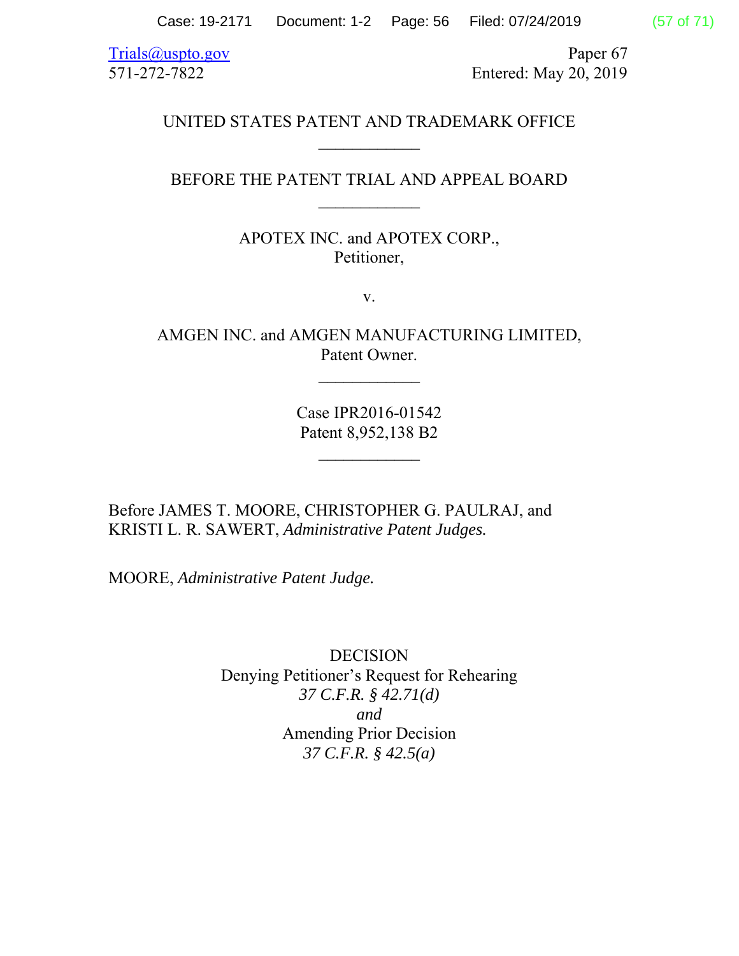Case: 19-2171 Document: 1-2 Page: 56 Filed: 07/24/2019 (57 of 71)

Trials@uspto.gov Paper 67 571-272-7822 Entered: May 20, 2019

## UNITED STATES PATENT AND TRADEMARK OFFICE

## BEFORE THE PATENT TRIAL AND APPEAL BOARD  $\frac{1}{2}$

APOTEX INC. and APOTEX CORP., Petitioner,

v.

AMGEN INC. and AMGEN MANUFACTURING LIMITED, Patent Owner.

 $\mathcal{L}_\text{max}$ 

Case IPR2016-01542 Patent 8,952,138 B2

 $\frac{1}{2}$ 

Before JAMES T. MOORE, CHRISTOPHER G. PAULRAJ, and KRISTI L. R. SAWERT, *Administrative Patent Judges.*

MOORE, *Administrative Patent Judge.*

DECISION Denying Petitioner's Request for Rehearing *37 C.F.R. § 42.71(d) and*  Amending Prior Decision *37 C.F.R. § 42.5(a)*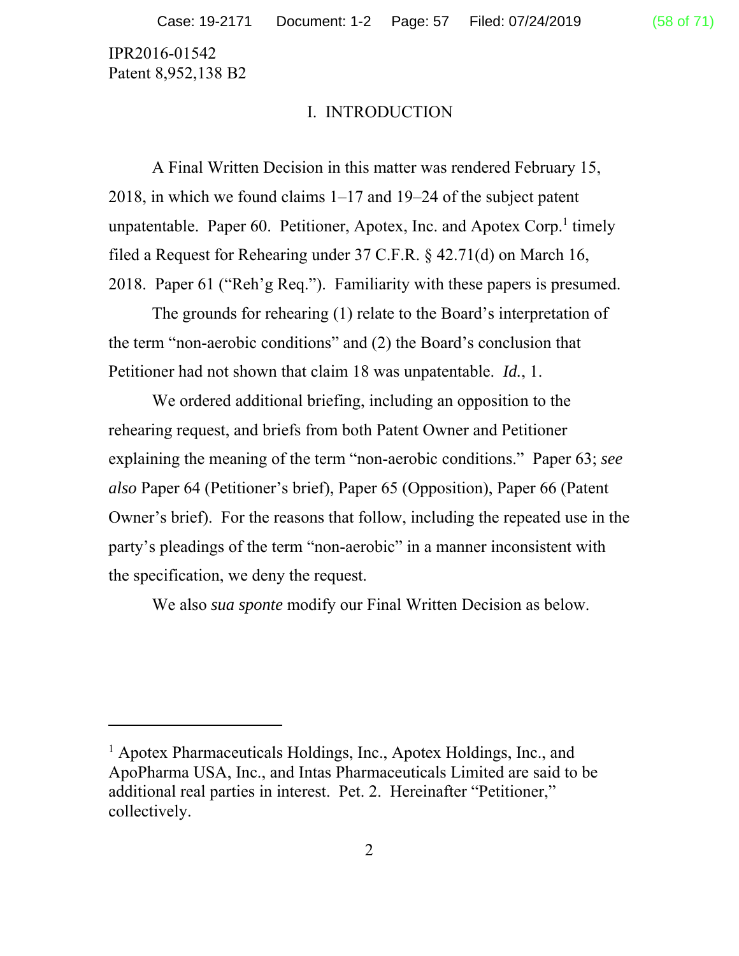-

#### I. INTRODUCTION

A Final Written Decision in this matter was rendered February 15, 2018, in which we found claims 1–17 and 19–24 of the subject patent unpatentable. Paper 60. Petitioner, Apotex, Inc. and Apotex Corp.<sup>1</sup> timely filed a Request for Rehearing under 37 C.F.R. § 42.71(d) on March 16, 2018. Paper 61 ("Reh'g Req."). Familiarity with these papers is presumed.

The grounds for rehearing (1) relate to the Board's interpretation of the term "non-aerobic conditions" and (2) the Board's conclusion that Petitioner had not shown that claim 18 was unpatentable. *Id.*, 1.

We ordered additional briefing, including an opposition to the rehearing request, and briefs from both Patent Owner and Petitioner explaining the meaning of the term "non-aerobic conditions." Paper 63; *see also* Paper 64 (Petitioner's brief), Paper 65 (Opposition), Paper 66 (Patent Owner's brief). For the reasons that follow, including the repeated use in the party's pleadings of the term "non-aerobic" in a manner inconsistent with the specification, we deny the request.

We also *sua sponte* modify our Final Written Decision as below.

<sup>&</sup>lt;sup>1</sup> Apotex Pharmaceuticals Holdings, Inc., Apotex Holdings, Inc., and ApoPharma USA, Inc., and Intas Pharmaceuticals Limited are said to be additional real parties in interest. Pet. 2. Hereinafter "Petitioner," collectively.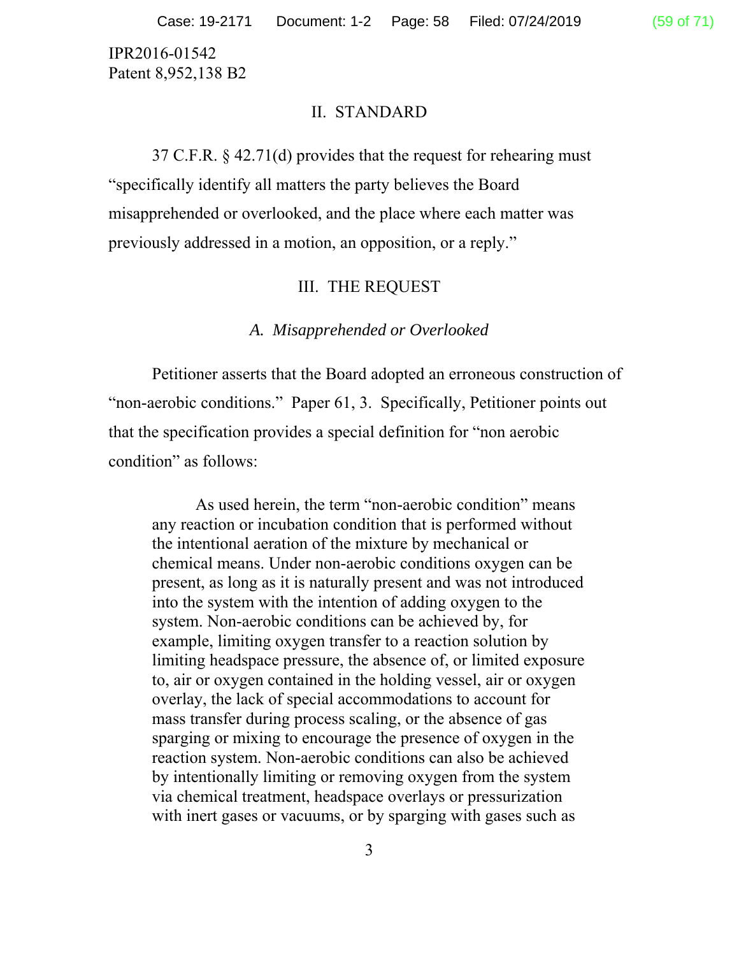#### II. STANDARD

37 C.F.R. § 42.71(d) provides that the request for rehearing must "specifically identify all matters the party believes the Board misapprehended or overlooked, and the place where each matter was previously addressed in a motion, an opposition, or a reply."

## III. THE REQUEST

#### *A. Misapprehended or Overlooked*

 Petitioner asserts that the Board adopted an erroneous construction of "non-aerobic conditions." Paper 61, 3. Specifically, Petitioner points out that the specification provides a special definition for "non aerobic condition" as follows:

As used herein, the term "non-aerobic condition" means any reaction or incubation condition that is performed without the intentional aeration of the mixture by mechanical or chemical means. Under non-aerobic conditions oxygen can be present, as long as it is naturally present and was not introduced into the system with the intention of adding oxygen to the system. Non-aerobic conditions can be achieved by, for example, limiting oxygen transfer to a reaction solution by limiting headspace pressure, the absence of, or limited exposure to, air or oxygen contained in the holding vessel, air or oxygen overlay, the lack of special accommodations to account for mass transfer during process scaling, or the absence of gas sparging or mixing to encourage the presence of oxygen in the reaction system. Non-aerobic conditions can also be achieved by intentionally limiting or removing oxygen from the system via chemical treatment, headspace overlays or pressurization with inert gases or vacuums, or by sparging with gases such as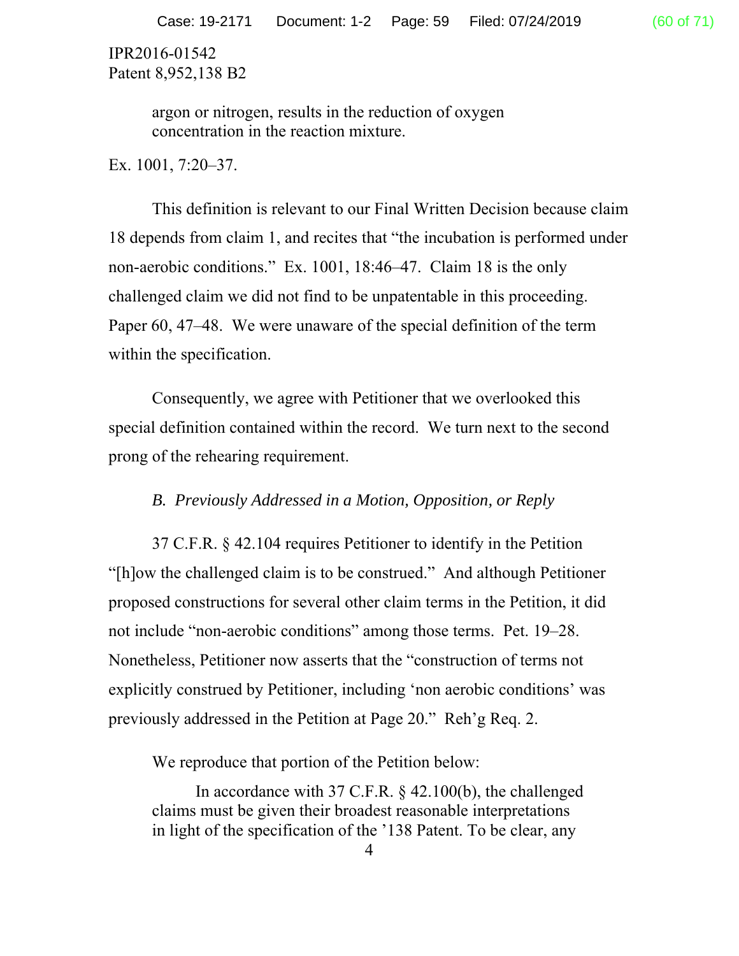> argon or nitrogen, results in the reduction of oxygen concentration in the reaction mixture.

Ex. 1001, 7:20–37.

 This definition is relevant to our Final Written Decision because claim 18 depends from claim 1, and recites that "the incubation is performed under non-aerobic conditions." Ex. 1001, 18:46–47. Claim 18 is the only challenged claim we did not find to be unpatentable in this proceeding. Paper 60, 47–48. We were unaware of the special definition of the term within the specification.

Consequently, we agree with Petitioner that we overlooked this special definition contained within the record. We turn next to the second prong of the rehearing requirement.

## *B. Previously Addressed in a Motion, Opposition, or Reply*

37 C.F.R. § 42.104 requires Petitioner to identify in the Petition "[h]ow the challenged claim is to be construed." And although Petitioner proposed constructions for several other claim terms in the Petition, it did not include "non-aerobic conditions" among those terms. Pet. 19–28. Nonetheless, Petitioner now asserts that the "construction of terms not explicitly construed by Petitioner, including 'non aerobic conditions' was previously addressed in the Petition at Page 20." Reh'g Req. 2.

We reproduce that portion of the Petition below:

In accordance with 37 C.F.R. § 42.100(b), the challenged claims must be given their broadest reasonable interpretations in light of the specification of the '138 Patent. To be clear, any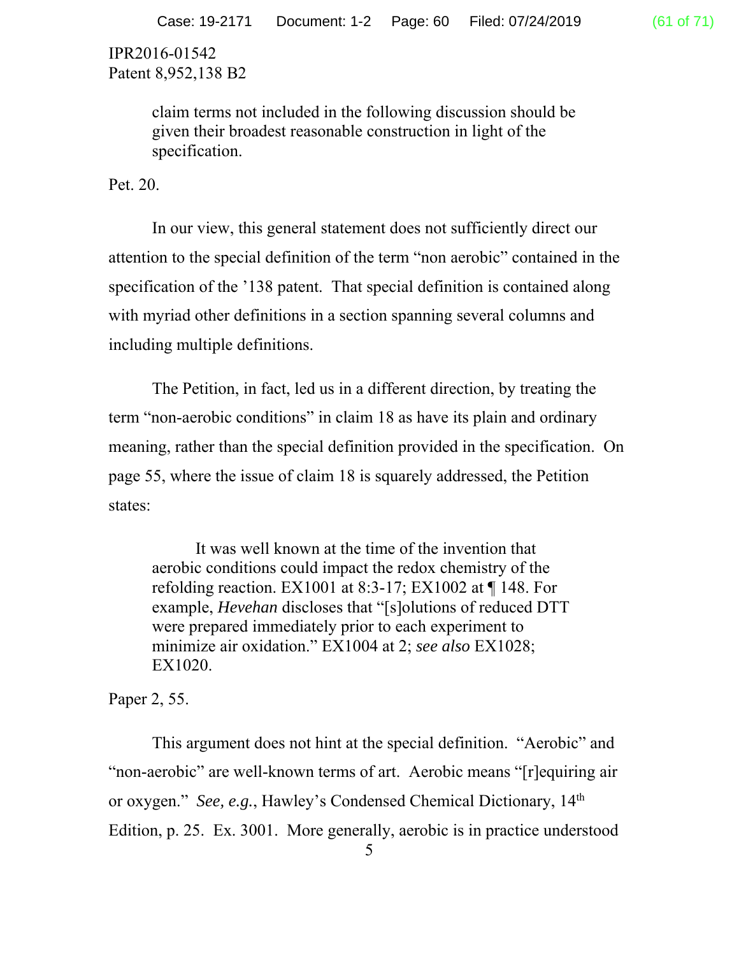> claim terms not included in the following discussion should be given their broadest reasonable construction in light of the specification.

Pet. 20.

 In our view, this general statement does not sufficiently direct our attention to the special definition of the term "non aerobic" contained in the specification of the '138 patent. That special definition is contained along with myriad other definitions in a section spanning several columns and including multiple definitions.

 The Petition, in fact, led us in a different direction, by treating the term "non-aerobic conditions" in claim 18 as have its plain and ordinary meaning, rather than the special definition provided in the specification. On page 55, where the issue of claim 18 is squarely addressed, the Petition states:

It was well known at the time of the invention that aerobic conditions could impact the redox chemistry of the refolding reaction. EX1001 at 8:3-17; EX1002 at ¶ 148. For example, *Hevehan* discloses that "[s]olutions of reduced DTT were prepared immediately prior to each experiment to minimize air oxidation." EX1004 at 2; *see also* EX1028; EX1020.

Paper 2, 55.

 This argument does not hint at the special definition. "Aerobic" and "non-aerobic" are well-known terms of art. Aerobic means "[r]equiring air or oxygen." *See, e.g.*, Hawley's Condensed Chemical Dictionary, 14th Edition, p. 25. Ex. 3001. More generally, aerobic is in practice understood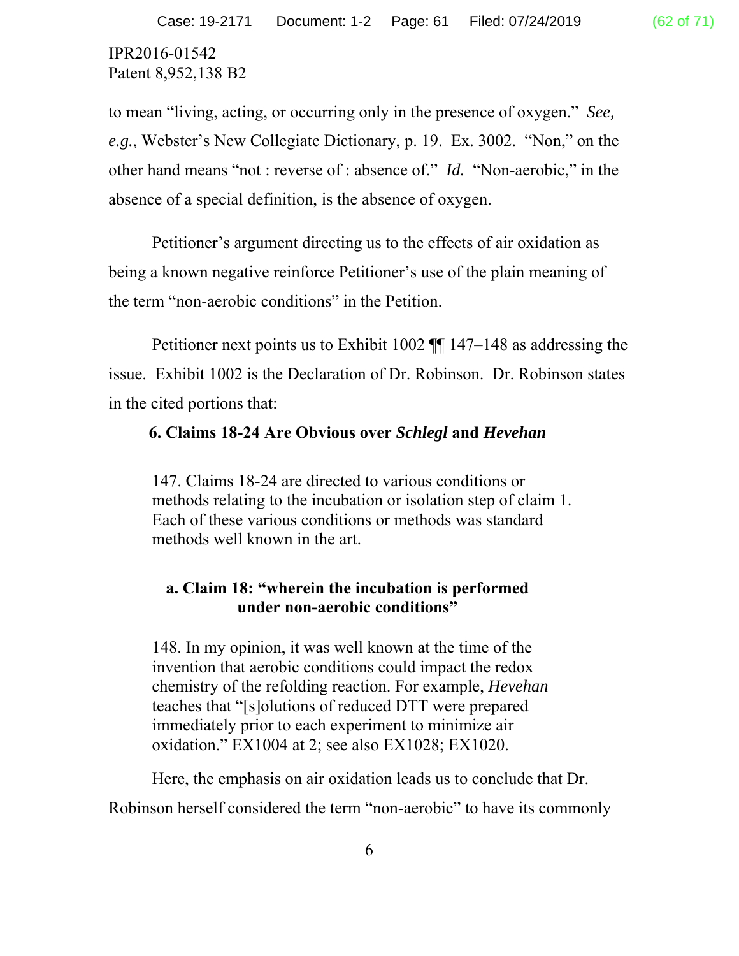to mean "living, acting, or occurring only in the presence of oxygen." *See, e.g.*, Webster's New Collegiate Dictionary, p. 19. Ex. 3002. "Non," on the other hand means "not : reverse of : absence of." *Id.* "Non-aerobic," in the absence of a special definition, is the absence of oxygen.

 Petitioner's argument directing us to the effects of air oxidation as being a known negative reinforce Petitioner's use of the plain meaning of the term "non-aerobic conditions" in the Petition.

 Petitioner next points us to Exhibit 1002 ¶¶ 147–148 as addressing the issue. Exhibit 1002 is the Declaration of Dr. Robinson. Dr. Robinson states in the cited portions that:

# **6. Claims 18-24 Are Obvious over** *Schlegl* **and** *Hevehan*

147. Claims 18-24 are directed to various conditions or methods relating to the incubation or isolation step of claim 1. Each of these various conditions or methods was standard methods well known in the art.

# **a. Claim 18: "wherein the incubation is performed under non-aerobic conditions"**

148. In my opinion, it was well known at the time of the invention that aerobic conditions could impact the redox chemistry of the refolding reaction. For example, *Hevehan*  teaches that "[s]olutions of reduced DTT were prepared immediately prior to each experiment to minimize air oxidation." EX1004 at 2; see also EX1028; EX1020.

Here, the emphasis on air oxidation leads us to conclude that Dr.

Robinson herself considered the term "non-aerobic" to have its commonly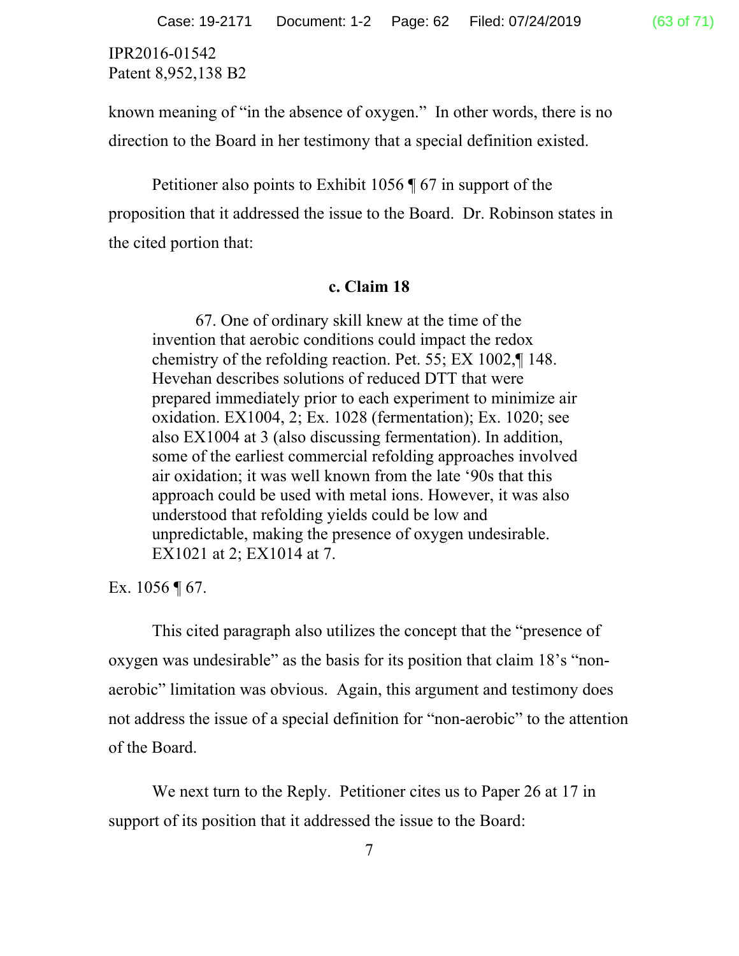known meaning of "in the absence of oxygen." In other words, there is no direction to the Board in her testimony that a special definition existed.

 Petitioner also points to Exhibit 1056 ¶ 67 in support of the proposition that it addressed the issue to the Board. Dr. Robinson states in the cited portion that:

#### **c. Claim 18**

67. One of ordinary skill knew at the time of the invention that aerobic conditions could impact the redox chemistry of the refolding reaction. Pet. 55; EX 1002,¶ 148. Hevehan describes solutions of reduced DTT that were prepared immediately prior to each experiment to minimize air oxidation. EX1004, 2; Ex. 1028 (fermentation); Ex. 1020; see also EX1004 at 3 (also discussing fermentation). In addition, some of the earliest commercial refolding approaches involved air oxidation; it was well known from the late '90s that this approach could be used with metal ions. However, it was also understood that refolding yields could be low and unpredictable, making the presence of oxygen undesirable. EX1021 at 2; EX1014 at 7.

Ex.  $1056 \text{ } \sqrt{\ } 67.$ 

This cited paragraph also utilizes the concept that the "presence of oxygen was undesirable" as the basis for its position that claim 18's "nonaerobic" limitation was obvious. Again, this argument and testimony does not address the issue of a special definition for "non-aerobic" to the attention of the Board.

We next turn to the Reply. Petitioner cites us to Paper 26 at 17 in support of its position that it addressed the issue to the Board: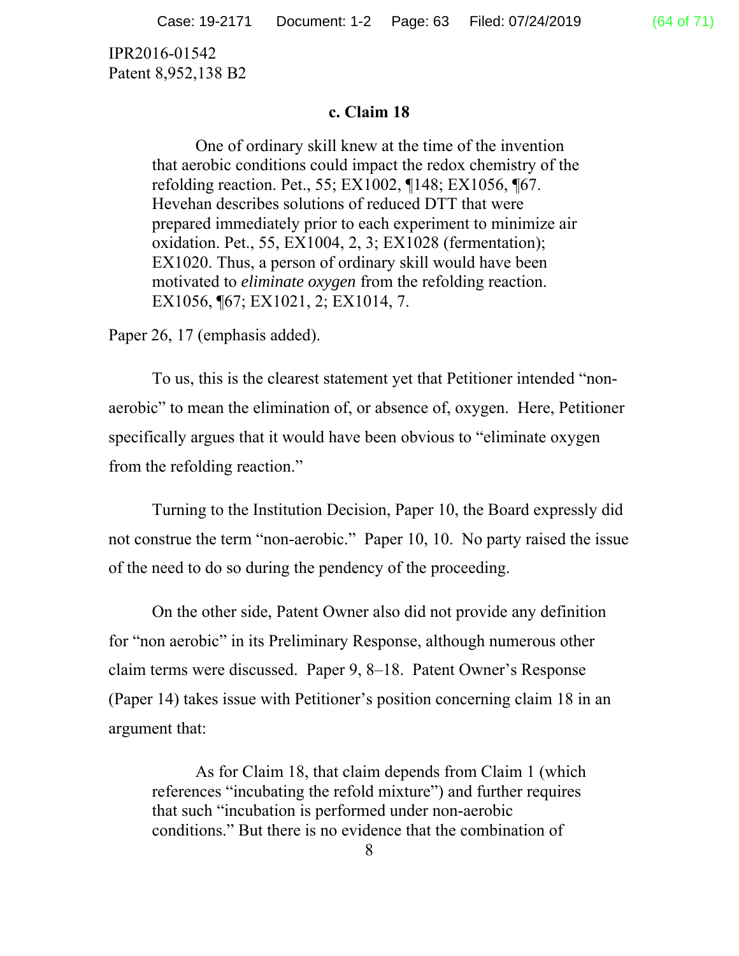#### **c. Claim 18**

One of ordinary skill knew at the time of the invention that aerobic conditions could impact the redox chemistry of the refolding reaction. Pet., 55; EX1002, ¶148; EX1056, ¶67. Hevehan describes solutions of reduced DTT that were prepared immediately prior to each experiment to minimize air oxidation. Pet., 55, EX1004, 2, 3; EX1028 (fermentation); EX1020. Thus, a person of ordinary skill would have been motivated to *eliminate oxygen* from the refolding reaction. EX1056, ¶67; EX1021, 2; EX1014, 7.

Paper 26, 17 (emphasis added).

 To us, this is the clearest statement yet that Petitioner intended "nonaerobic" to mean the elimination of, or absence of, oxygen. Here, Petitioner specifically argues that it would have been obvious to "eliminate oxygen from the refolding reaction."

 Turning to the Institution Decision, Paper 10, the Board expressly did not construe the term "non-aerobic." Paper 10, 10. No party raised the issue of the need to do so during the pendency of the proceeding.

 On the other side, Patent Owner also did not provide any definition for "non aerobic" in its Preliminary Response, although numerous other claim terms were discussed. Paper 9, 8–18. Patent Owner's Response (Paper 14) takes issue with Petitioner's position concerning claim 18 in an argument that:

As for Claim 18, that claim depends from Claim 1 (which references "incubating the refold mixture") and further requires that such "incubation is performed under non-aerobic conditions." But there is no evidence that the combination of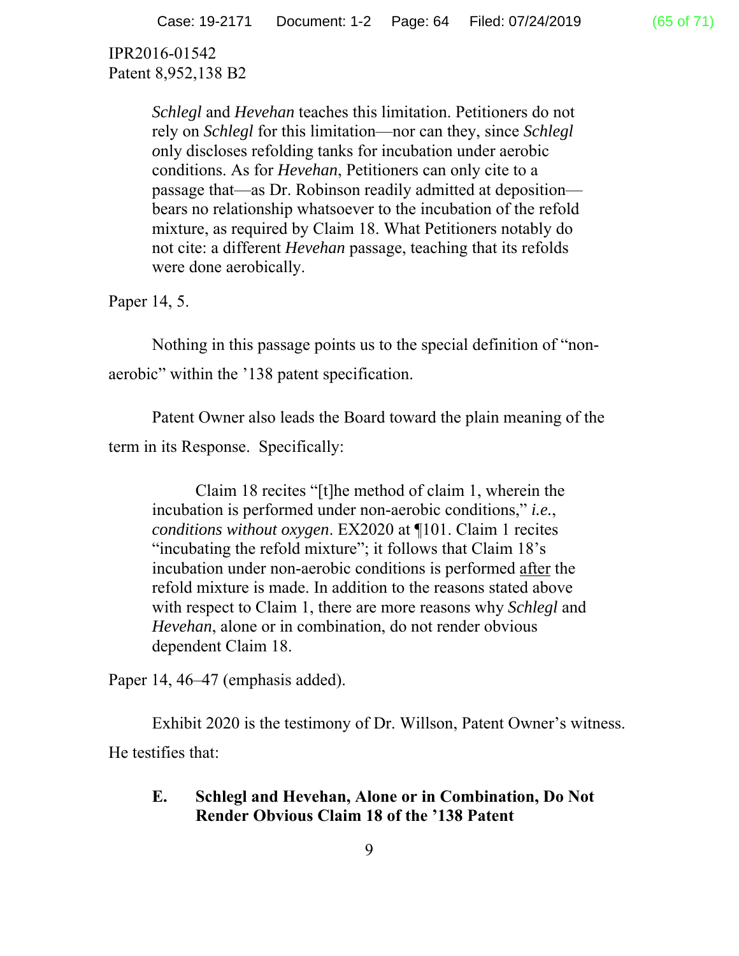> *Schlegl* and *Hevehan* teaches this limitation. Petitioners do not rely on *Schlegl* for this limitation—nor can they, since *Schlegl o*nly discloses refolding tanks for incubation under aerobic conditions. As for *Hevehan*, Petitioners can only cite to a passage that—as Dr. Robinson readily admitted at deposition bears no relationship whatsoever to the incubation of the refold mixture, as required by Claim 18. What Petitioners notably do not cite: a different *Hevehan* passage, teaching that its refolds were done aerobically.

Paper 14, 5.

Nothing in this passage points us to the special definition of "nonaerobic" within the '138 patent specification.

 Patent Owner also leads the Board toward the plain meaning of the term in its Response. Specifically:

Claim 18 recites "[t]he method of claim 1, wherein the incubation is performed under non-aerobic conditions," *i.e.*, *conditions without oxygen*. EX2020 at ¶101. Claim 1 recites "incubating the refold mixture"; it follows that Claim 18's incubation under non-aerobic conditions is performed  $\frac{\text{after}}{\text{1}}$  the refold mixture is made. In addition to the reasons stated above with respect to Claim 1, there are more reasons why *Schlegl* and *Hevehan*, alone or in combination, do not render obvious dependent Claim 18.

Paper 14, 46–47 (emphasis added).

Exhibit 2020 is the testimony of Dr. Willson, Patent Owner's witness. He testifies that:

## **E. Schlegl and Hevehan, Alone or in Combination, Do Not Render Obvious Claim 18 of the '138 Patent**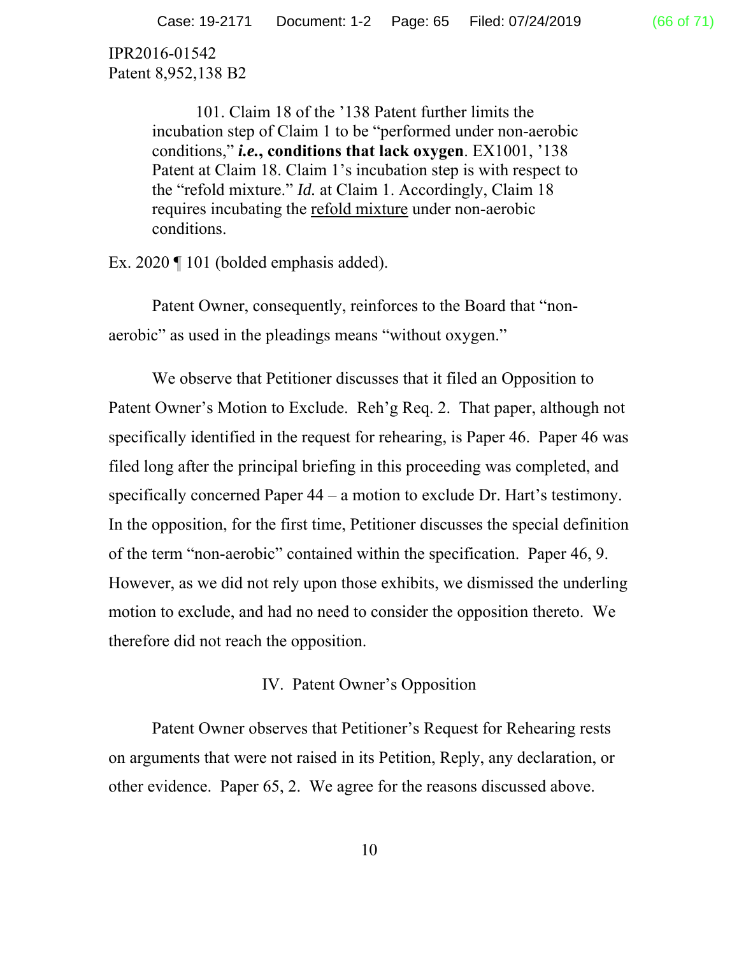> 101. Claim 18 of the '138 Patent further limits the incubation step of Claim 1 to be "performed under non-aerobic conditions," *i.e.***, conditions that lack oxygen**. EX1001, '138 Patent at Claim 18. Claim 1's incubation step is with respect to the "refold mixture." *Id.* at Claim 1. Accordingly, Claim 18 requires incubating the refold mixture under non-aerobic conditions.

Ex. 2020 ¶ 101 (bolded emphasis added).

Patent Owner, consequently, reinforces to the Board that "nonaerobic" as used in the pleadings means "without oxygen."

We observe that Petitioner discusses that it filed an Opposition to Patent Owner's Motion to Exclude. Reh'g Req. 2. That paper, although not specifically identified in the request for rehearing, is Paper 46. Paper 46 was filed long after the principal briefing in this proceeding was completed, and specifically concerned Paper 44 – a motion to exclude Dr. Hart's testimony. In the opposition, for the first time, Petitioner discusses the special definition of the term "non-aerobic" contained within the specification. Paper 46, 9. However, as we did not rely upon those exhibits, we dismissed the underling motion to exclude, and had no need to consider the opposition thereto. We therefore did not reach the opposition.

IV. Patent Owner's Opposition

 Patent Owner observes that Petitioner's Request for Rehearing rests on arguments that were not raised in its Petition, Reply, any declaration, or other evidence. Paper 65, 2. We agree for the reasons discussed above.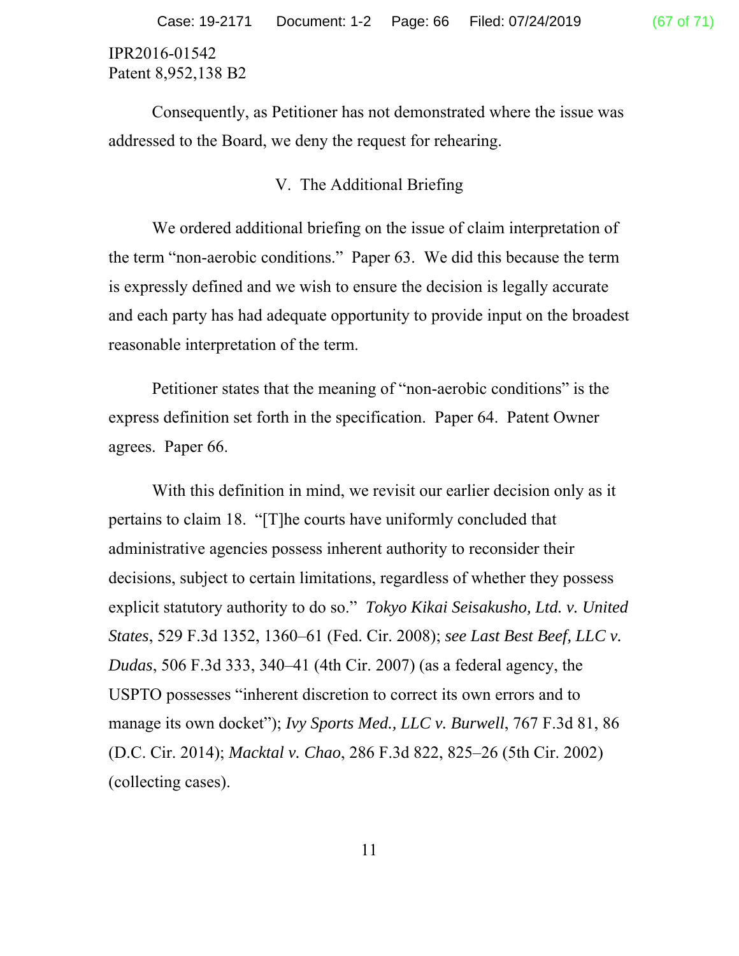Consequently, as Petitioner has not demonstrated where the issue was addressed to the Board, we deny the request for rehearing.

# V. The Additional Briefing

We ordered additional briefing on the issue of claim interpretation of the term "non-aerobic conditions." Paper 63. We did this because the term is expressly defined and we wish to ensure the decision is legally accurate and each party has had adequate opportunity to provide input on the broadest reasonable interpretation of the term.

Petitioner states that the meaning of "non-aerobic conditions" is the express definition set forth in the specification. Paper 64. Patent Owner agrees. Paper 66.

With this definition in mind, we revisit our earlier decision only as it pertains to claim 18. "[T]he courts have uniformly concluded that administrative agencies possess inherent authority to reconsider their decisions, subject to certain limitations, regardless of whether they possess explicit statutory authority to do so." *Tokyo Kikai Seisakusho, Ltd. v. United States*, 529 F.3d 1352, 1360–61 (Fed. Cir. 2008); *see Last Best Beef, LLC v. Dudas*, 506 F.3d 333, 340–41 (4th Cir. 2007) (as a federal agency, the USPTO possesses "inherent discretion to correct its own errors and to manage its own docket"); *Ivy Sports Med., LLC v. Burwell*, 767 F.3d 81, 86 (D.C. Cir. 2014); *Macktal v. Chao*, 286 F.3d 822, 825–26 (5th Cir. 2002) (collecting cases).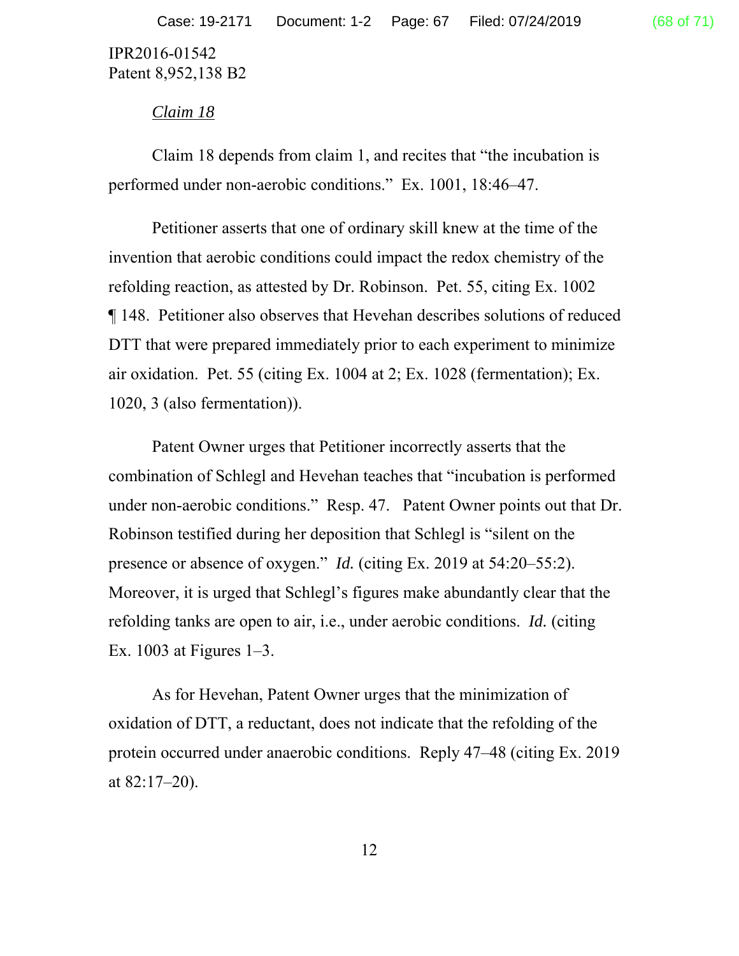#### *Claim 18*

Claim 18 depends from claim 1, and recites that "the incubation is performed under non-aerobic conditions." Ex. 1001, 18:46–47.

Petitioner asserts that one of ordinary skill knew at the time of the invention that aerobic conditions could impact the redox chemistry of the refolding reaction, as attested by Dr. Robinson. Pet. 55, citing Ex. 1002 ¶ 148. Petitioner also observes that Hevehan describes solutions of reduced DTT that were prepared immediately prior to each experiment to minimize air oxidation. Pet. 55 (citing Ex. 1004 at 2; Ex. 1028 (fermentation); Ex. 1020, 3 (also fermentation)).

Patent Owner urges that Petitioner incorrectly asserts that the combination of Schlegl and Hevehan teaches that "incubation is performed under non-aerobic conditions." Resp. 47. Patent Owner points out that Dr. Robinson testified during her deposition that Schlegl is "silent on the presence or absence of oxygen." *Id.* (citing Ex. 2019 at 54:20–55:2). Moreover, it is urged that Schlegl's figures make abundantly clear that the refolding tanks are open to air, i.e., under aerobic conditions. *Id.* (citing Ex. 1003 at Figures 1–3.

As for Hevehan, Patent Owner urges that the minimization of oxidation of DTT, a reductant, does not indicate that the refolding of the protein occurred under anaerobic conditions. Reply 47–48 (citing Ex. 2019 at 82:17–20).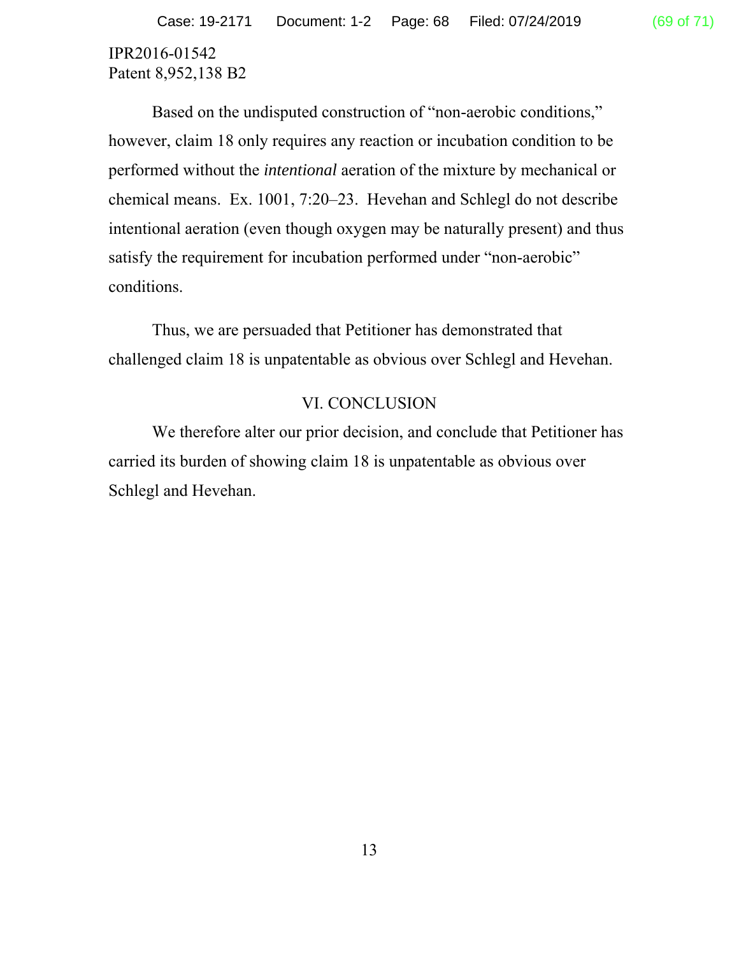Patent 8,952,138 B2

Based on the undisputed construction of "non-aerobic conditions," however, claim 18 only requires any reaction or incubation condition to be performed without the *intentional* aeration of the mixture by mechanical or chemical means. Ex. 1001, 7:20–23. Hevehan and Schlegl do not describe intentional aeration (even though oxygen may be naturally present) and thus satisfy the requirement for incubation performed under "non-aerobic" conditions.

Thus, we are persuaded that Petitioner has demonstrated that challenged claim 18 is unpatentable as obvious over Schlegl and Hevehan.

#### VI. CONCLUSION

We therefore alter our prior decision, and conclude that Petitioner has carried its burden of showing claim 18 is unpatentable as obvious over Schlegl and Hevehan.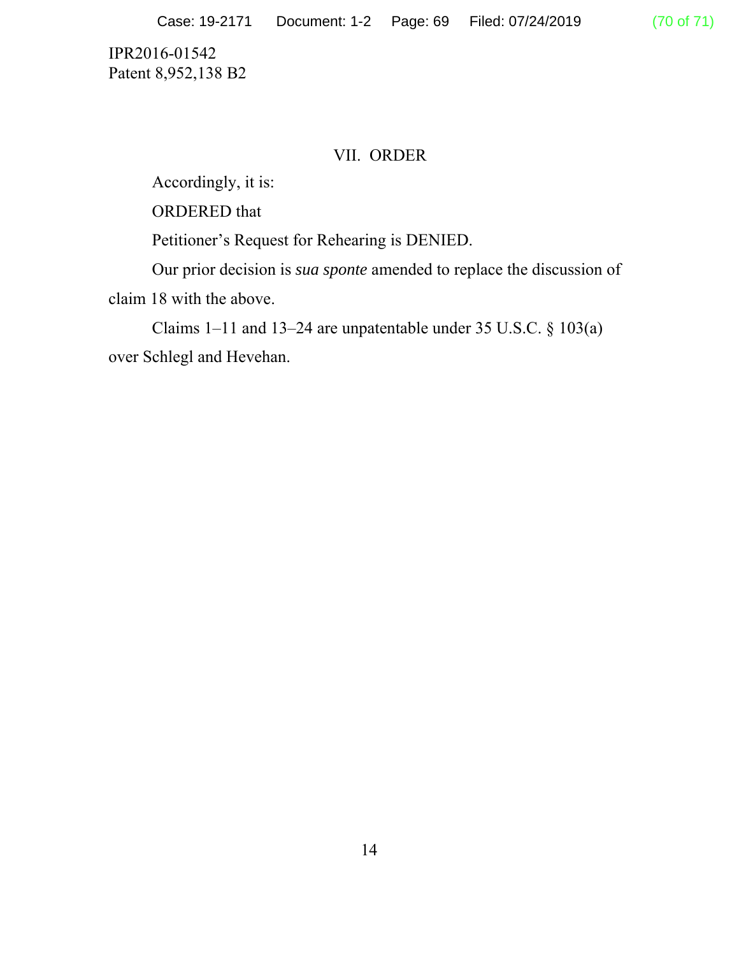## VII. ORDER

Accordingly, it is:

ORDERED that

Petitioner's Request for Rehearing is DENIED.

Our prior decision is *sua sponte* amended to replace the discussion of claim 18 with the above.

Claims 1–11 and 13–24 are unpatentable under 35 U.S.C. § 103(a) over Schlegl and Hevehan.